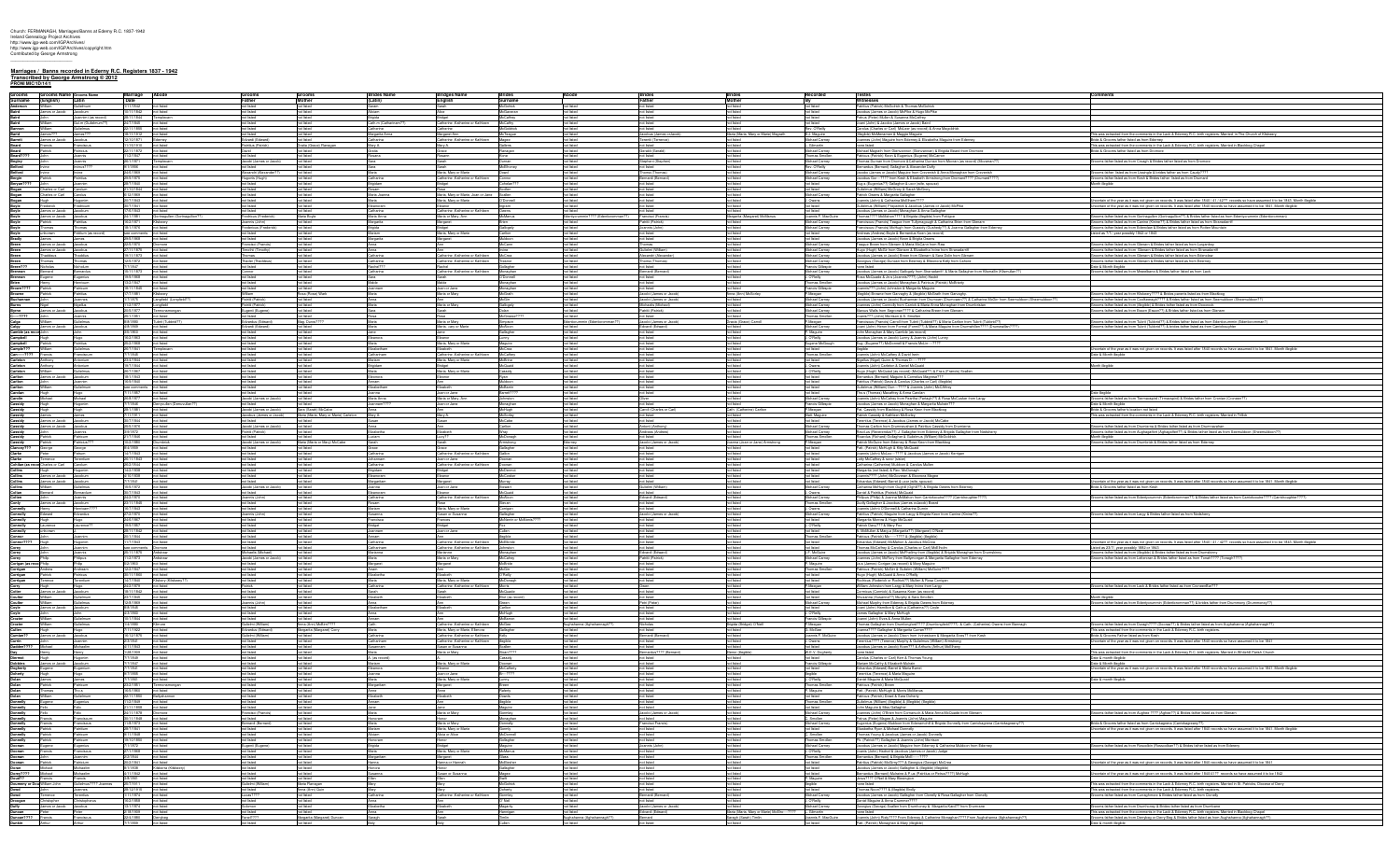http://www.igp-web.com/IGPArchives/copyright.htm Contributed by George Armstrong

 $\overline{\phantom{a}}$  , which is a set of the set of the set of the set of the set of the set of the set of the set of the set of the set of the set of the set of the set of the set of the set of the set of the set of the set of th

**Marriages / Banns recorded in Ederny R.C. Registers 1837 - 1942Transcribed by George Armstrong © 2012 PRONI MIC/1D/14/1**

| Grooms                                                             | Grooms Name   Grooms Name         |                                    |                                           |                                      | Grooms                                            |                                                              | <b>Brides Name</b>          | <b>Bridges Name</b>                                                                                                                                                                                                                                                                                                                                                                                              | Brides                                  |                                                 |                                                | <b>Brides</b>                                    |                                       | <b>Testes</b>                                                                                                                                                                                 | Comments                                                                                                                                                                                                                                                                                |
|--------------------------------------------------------------------|-----------------------------------|------------------------------------|-------------------------------------------|--------------------------------------|---------------------------------------------------|--------------------------------------------------------------|-----------------------------|------------------------------------------------------------------------------------------------------------------------------------------------------------------------------------------------------------------------------------------------------------------------------------------------------------------------------------------------------------------------------------------------------------------|-----------------------------------------|-------------------------------------------------|------------------------------------------------|--------------------------------------------------|---------------------------------------|-----------------------------------------------------------------------------------------------------------------------------------------------------------------------------------------------|-----------------------------------------------------------------------------------------------------------------------------------------------------------------------------------------------------------------------------------------------------------------------------------------|
| Surname<br>Anderson                                                | English)                          |                                    | Marriage Abod<br>Date                     |                                      | ather                                             | Grooms<br>Mother                                             | .atin)                      |                                                                                                                                                                                                                                                                                                                                                                                                                  | Surname                                 |                                                 | Father                                         | Mother                                           |                                       | <b>Witnesses</b>                                                                                                                                                                              |                                                                                                                                                                                                                                                                                         |
| <b>Baird</b>                                                       | William<br>James or Jacob         | Gulielmum<br>Jacobum               | 11/1842<br>/11/1842                       | not listed<br>not listed             | not listed<br>ot listed                           | not listed<br>ot listed                                      | Niciam                      |                                                                                                                                                                                                                                                                                                                                                                                                                  | McGolrick<br>1cGaveran                  | not listed<br>าot listed                        | not listed<br>not listed                       | not listed<br>ot listed                          | ıot listed<br>ot listed               | Patritius (Patrick) McGolrick & Thomas McGolrick<br>Jacobus (James or Jacob) McPike & Hugo McPike                                                                                             |                                                                                                                                                                                                                                                                                         |
| Baird<br><b>Baird</b>                                              | William                           | nnimi (as rec<br>ul.m (Gulielmum?? | 11/1844<br>1/7/1845                       | emplecarn<br>not listed              | ot listed<br>not listed                           | ot listed<br>not listed                                      | Cath.m (Catharinam??)       | Catherine ,Katherine or Kathleen                                                                                                                                                                                                                                                                                                                                                                                 | cCaffrey<br>McCaffry                    | าot listed<br>not listed                        | not listed<br>not listed                       | not listed<br>not listed                         | not listed<br>not listed              | Petrus (Peter) Mullen & Susanna McCaffrey<br>ani (John) & Jacobo (James or Jacob) Baird                                                                                                       |                                                                                                                                                                                                                                                                                         |
| <b>Bannon</b>                                                      | William                           | ulielmus                           | /11/1855                                  | not listed                           | ot listed                                         | not listed                                                   | atherine                    |                                                                                                                                                                                                                                                                                                                                                                                                                  | McGoldrick                              | าot listed                                      | not listed                                     | ot listed                                        | Rev. O'Reilly                         | Carolus (Charles or Carl) McLeer (as record) & Anna Magoldrick                                                                                                                                |                                                                                                                                                                                                                                                                                         |
| <b>Barid</b><br><b>Barrett</b>                                     | ames???<br>James or Jacob         | ames???<br>Jacobus                 | 18/11/1912<br>2/10/1871                   | not listed<br><b>IFderne</b>         | ot listed<br>Edvardi (Edward)                     | not listed<br>ot listed                                      | Margarita Anna<br>Catharina | Margaret Ann<br>Catherine ,Katherine or Kathleen                                                                                                                                                                                                                                                                                                                                                                 | <b>IcTeague</b>                         | ot listed<br>าot listed                         | Jacobus (James orJacob)<br>Terentii (Terrence) | Maria (Maria, Mary or Marie) Magrat<br>ot listed | J. Maguire<br>Michael Carney          | Illegible) McMenamen & Maggie Maguire<br>oannes (John) Maguire from Ederney & Elizabetha Maguire from Ederney                                                                                 | This was extracted from the comments in the Lack & Ederney R.C. birth registers. Married in The Church of Kilskeer<br>Bride & Grooms father listed as from Ederney                                                                                                                      |
| Beard<br><b>Beard</b>                                              | Patrick                           | atricius ?                         | 1/15/1910<br>2/11/1872                    | not listed                           | Patritius (Patrick)                               | Gratia (Grace) Flanagan<br>ot listed                         |                             |                                                                                                                                                                                                                                                                                                                                                                                                                  | anagai                                  | not listed                                      | Geraldi (Gerald)                               | not listed                                       | Gilmartin<br>Michael Carney           | Aichael Magrath from Glenvannon (Glenvannan) & Brigida Beard from Dromore                                                                                                                     | his was extracted from the comments in the Lack & Ederney R.C. birth registers. Married in Blackbog Chapel<br>Bride & Grooms father listed as from Dromore                                                                                                                              |
| Beard????                                                          |                                   |                                    | 1/2/1847                                  | not listed                           | not listed                                        | not listed                                                   |                             |                                                                                                                                                                                                                                                                                                                                                                                                                  |                                         | าot listed                                      | ot listed                                      | not listed                                       | Thomas Smollen                        | Patricus (Patrick) Keon & Eugenius (Eugene) McCarron                                                                                                                                          |                                                                                                                                                                                                                                                                                         |
| <b>Begley</b><br><b>Belford</b>                                    |                                   | Joannis<br>vinus????               | 5/1/1871<br>/1/1856                       | emplecarn<br>not listed              | acobi (James or Jacob)<br>ot listed               | าot listed<br>ot listed                                      |                             |                                                                                                                                                                                                                                                                                                                                                                                                                  | <b>1cElhonev</b>                        | าot listed<br>าot listed                        | Stephani (Stephen)<br>not listed               | not listed<br>ot listed                          | Michael Carney<br>Rev. O'Reilly       | 'homas Durnan from Dromore & Catharina Durnan from Movran (as record) (Movarran??)<br>Bernardus (Bernard) Gallagher & Alexander Duffy                                                         | oms father listed as from Croagh & Brides father listed as from Dromore                                                                                                                                                                                                                 |
| <b>Belford</b><br><b>Bergin</b>                                    | Patrick                           | Patritius                          | 24/6/1869<br>29/9/1875                    | not listed<br>not listed             | Alexandri (Alexander??)<br>Hugonis (Hugh)         | ot listed<br>hot listed                                      | atharina                    | laria, Mary or Marie<br>atherine ,Katherine or Kathleen                                                                                                                                                                                                                                                                                                                                                          | ∷onnor                                  | าot listed<br>not listed                        | Thoma (Thomas)<br>Bernardi (Bernard)           | not listed<br>not listed                         | Michael Carney<br>Michael Carney      | acobo (James or Jacob) Maguire from Crevenish & Anna Monaghan from Crevenish<br>acobus Gor---???? from Kesh & Elizabeth Armstrong from Dromard???? (Drumard????)                              | ms father listed as from Lissingle & brides father as from Caudy????<br>boms father listed as from Kesh & Brides father listed as from Drumard                                                                                                                                          |
| Beryan????                                                         |                                   |                                    | 3/?/1840                                  | not listed                           | ot listed                                         | ot listed                                                    |                             |                                                                                                                                                                                                                                                                                                                                                                                                                  | ohelan??                                | ot listed                                       | ot listed                                      | not listed                                       | ot listed                             | Eug.s (Eugenius??) Gallagher & uxor (wife, spouse)                                                                                                                                            | Aonth illegible                                                                                                                                                                                                                                                                         |
| Bogan<br><b>Bogan</b>                                              | Charles or Carl<br>harles or Carl | Carolum<br>Carolus                 | 1/10/1844<br>/12/1869                     | not listed<br>not listed             | ot listed<br>ot listed                            | าot listed<br>not listed                                     | Rosam<br>Maria Joanna       | Maria, Mary or Marie, Joan or Jane                                                                                                                                                                                                                                                                                                                                                                               | Scallen                                 | ot listed<br>not listed                         | not listed<br>not listed                       | not listed<br>not listed                         | not listed<br>Michael Carney          | ulielmus (William) McGrory & Sarah McGrory<br>atrick Owens & Margarita Gallagher                                                                                                              |                                                                                                                                                                                                                                                                                         |
| <b>Bogan</b><br><b>Boyle</b>                                       | Frederick                         | Fredricum                          | /?/1843<br>0/?/1841                       | not listed                           | ot listed<br>ot listed                            | ot listed<br>not listed                                      | Eleanoram                   | laria, Mary or Marie                                                                                                                                                                                                                                                                                                                                                                                             |                                         | าot listed<br>าot listed                        | not listed<br>not listed                       | ot listed<br>not listed                          | Owens<br>not listed                   | annis (John) & Catharina McElhern????<br>ulielmus (William) Fitzpatrick & Jacobus (James or Jacob) McPike                                                                                     | certain of the year as it was not given on records. It was listed after 1840 / 41 / 42?? records so have assumed it to be 1843. Month illegible<br>ncertain of the year as it was not given on records. It was listed after 1840 records so have assumed it to be 1841. Month illegible |
| <b>Boyle</b>                                                       | ames or Jacob                     | Jacobum                            | 7/6/1843                                  |                                      | ot listed                                         | not listed                                                   | atharina                    | atherine ,Katherine or Kathleen                                                                                                                                                                                                                                                                                                                                                                                  |                                         |                                                 |                                                |                                                  | not listed                            | acobus (James or Jacob) Monaghan & Anna Gallagher                                                                                                                                             |                                                                                                                                                                                                                                                                                         |
| <b>Boyle</b><br><b>Boyle</b>                                       | ames or Jacob<br>Patrick          | Jacobus<br>Patritius               | :4/1/1881<br>16/2/1871                    | rtnagullen (Gortnagullion??)         | redricus (Frederick<br>pannis (John)              | Maria Boyle<br>ot listed                                     | Maria Anna<br>Margarita     | Maria or Mary, Ann                                                                                                                                                                                                                                                                                                                                                                                               |                                         | dentycrummin???? (Edenticromman??)<br>ot listed | rancisci (Francis)<br>Patritii (Patrick)       | Margarita (Margaret) McManus<br>pt listed        | Joannis F. MacGuire<br>Michael Carney | Thomas???? McMahon???? & Brigida (illegible) from Pettigoe<br>Franciscus (Francis) Teague from Tullymagough & Catharina Brien from Glenarn                                                    | boms father listed as from Gortnagullen (Gortnagullion??) & Brides father listed as from Edentycrummin (Edenticrommar<br>ooms father listed as from Canine (Kinine??) & Brides father listed as from Stranadarriff                                                                      |
| <b>Boyle</b><br><b>Boyle</b>                                       | unkonwn                           | Fiddium (as recorc                 | 18/1/1876<br>see comments   not listed    |                                      | redericus (Frederick)<br>ot listed                | ot listed<br>ot listed                                       |                             | Maria, Mary or Marie                                                                                                                                                                                                                                                                                                                                                                                             | arlton:                                 | าot listed<br>not listed                        | Joannis (John)<br>not listed                   | not listed<br>not listed                         | Michael Carney<br>not listed          | ranciscus (Francis) McHugh from Gussidy (Gushedy??) & Joanna Gallagher from Ederney<br>idreas (Andrew) Boyle & Bernardus Koen (as record)                                                     | oms father listed as from Edenclaw & Brides father listed as from Rotten Mountain<br>sted as ?/?/, year possibly 1842 or 1843                                                                                                                                                           |
| <b>Bradly</b>                                                      |                                   |                                    | 9/5/1868                                  | not listed                           | ot listed                                         | ot listed                                                    | argarita                    |                                                                                                                                                                                                                                                                                                                                                                                                                  |                                         | not listed                                      | not listed                                     | not listed                                       | ot listed                             | acobus (James or Jacob) Keon & Brigita Owens                                                                                                                                                  |                                                                                                                                                                                                                                                                                         |
| <b>Breen</b><br><b>Breen</b>                                       | ames or Jacob<br>ames or Jacob    | Jacobus<br><b>Jacobus</b>          | 2/5/1870<br>7/11/1875                     | not listed                           | rancisci (Francis)<br>Timothii (Timothy)          | not listed<br>not listed                                     |                             |                                                                                                                                                                                                                                                                                                                                                                                                                  |                                         | ot listed<br>าot listed                         | Thomas<br>Gulielmi (William)                   | not listed<br>not listed                         | Michael Carney<br>Michael Carney      | ague Breen from Glenarn & Maria McCann from Raw<br>igo (Hugh) McGir from Glenarn & Elizabetha Irvine from Stranadarriff                                                                       | boms father listed as from Glenarn & Brides father listed as from Lurganboy<br>oms father listed as from Glenarn & Brides father listed as from Stranadarriff                                                                                                                           |
| <b>Breen</b><br><b>Breen</b>                                       | าaddeus<br>`homas                 | haddius                            | 9/11/1873<br>12/5/1872                    | not listed                           | Thadei (Thaddeus)                                 | ot listed<br>not listed                                      | atharina<br>atharina        | atherine ,Katherine or Kathleen<br>atherine ,Katherine or Kathleen                                                                                                                                                                                                                                                                                                                                               | reanor                                  | ot listed<br>not listed                         | Alexandri (Alexandeı<br>Thoma (Thomas)         | not listed<br>not listed                         | Michael Carney<br>Michael Carney      | acobus (James or Jacob) Breen from Glenarn & Sara Dolin from Glenarn<br>Reorgius (George) Duncan from Ederney & Elleonora Kelly from Cahore                                                   | ms father listed as from Glenarn & Brides father listed as from Edenclaw<br>ooms father listed as from Glenarn & Brides father listed as from Ederney                                                                                                                                   |
| Breen???                                                           |                                   | licholum                           | ? / 1847                                  | not listed                           | ot listed                                         | ot listed                                                    | achel???                    |                                                                                                                                                                                                                                                                                                                                                                                                                  |                                         | าot listed                                      | ıot listed                                     | Inot listed                                      | Francis Gillespie                     |                                                                                                                                                                                               | te & Month illegible                                                                                                                                                                                                                                                                    |
| <b>Brennan</b><br><b>Brennan</b>                                   | Bernard<br>Eugene                 | Bernardus<br>Eugenius              | 5/11/1873<br>19/9/1868                    | not listed<br>not listed             | onnor<br>ot listed                                | not listed<br>not listed                                     | atharina                    | atherine ,Katherine or Kathleen                                                                                                                                                                                                                                                                                                                                                                                  | <u>ionaghan</u><br>)'Donnell            | ot listed<br>าot listed                         | Bernardi (Bernard)<br>not listed               | not listed<br>not listed                         | Michael Carney<br>O'Reilly            | 9?Jacobus (James or Jacob) Gallogely from Stranadarriff & Maria Gallagher from Kilsmallin (Kilsmullan<br>osa McQuade & Jn.s (Joannis????) (John) Hackit                                       | oms father listed as from Mweelbane & Brides father listed as from Lack                                                                                                                                                                                                                 |
| Brien<br>Brown????                                                 |                                   | enricum<br>Patricum                | 3/2/1847<br><u>18/11/1845  </u>           | not listed<br>not listed             | ot listed<br>ot listed                            | not listed<br>not listed                                     |                             | Joan or Jane                                                                                                                                                                                                                                                                                                                                                                                                     | <u>onaghan</u><br><u>ionaghan</u>       | not listed<br>าot listed                        | not listed<br>not listed                       | not listed<br>not listed                         | homas Smollen<br>Francis Gillespie    | acobus (James or Jacob) Monaghan & Patricus (Patrick) McBriarty<br>Ioannis??? (John) Johnston & Margarita Maguire                                                                             |                                                                                                                                                                                                                                                                                         |
| Browne                                                             |                                   |                                    | /7/1881                                   |                                      |                                                   | Rosa (Rose) Wark                                             |                             | laria or Mary                                                                                                                                                                                                                                                                                                                                                                                                    |                                         | ot listed                                       | Jacobi (James or Jacoł                         | Anna (Ann) McSorley                              | Meegan                                | illegible) Browne from Garvaghy & (illegible) McGrath from Garvaghy                                                                                                                           | boms father listed as from Kilskeery???? & Brides parents listed as from Blackbog                                                                                                                                                                                                       |
| <b>Buchannan</b><br><b>Burns</b>                                   |                                   | Joannes                            | /7/1875<br>1/2/1877                       | Langfield (Longfield??)<br>Longfield | Patritii (Patrick)<br>Patritii (Patrick)          | not listed<br>not listed                                     |                             | Maria or Mary                                                                                                                                                                                                                                                                                                                                                                                                    |                                         | าot listed<br>าot listed                        | Jacobi (James or Jacob<br>Michaelis (Michael)  | not listed<br>not listed                         | Michael Carney<br>Michael Carney      | Jacobus (James or Jacob) Buchannan from Drumown (Drumowen??) & Catharina McGirr from Seemuldoon (Sheemuldoon??)<br>oannes (John) Connolly from Carrick & Maria Anna Monaghan from Drumbristan | oms father listed as from Coolkeeragh???? & Brides father listed as from Seemuldoon (Sheemuldoon??)<br>oms father listed as from (illegible) & Brides father listed as from Doocrock                                                                                                    |
| <b>Byrne</b><br>???                                                | James or Jacob                    | <b>IJacobus</b>                    | 0/5/1877<br>5/1/1851                      | monamongar<br>not listed             | Eugenii (Eugene)<br>ot listed                     | ot listed<br>ot listed                                       |                             |                                                                                                                                                                                                                                                                                                                                                                                                                  | cGrease????                             | ot listed                                       | atritii (Patrick)<br>ot listed                 | ot listed<br>not listed                          | Michael Carney<br>Thomas Smollen      | Marcus Walls from Segronan???? & Catharina Breen from Glenarn<br>oanis??? (John) Morrison & S. Smollen                                                                                        | ms father listed as from Essen (Essan??) & Brides father listed as from Glenarn                                                                                                                                                                                                         |
| Calga                                                              |                                   | ulielmus                           | 8/8/1880                                  | Tubrit (Tubbrid??)                   | Edvardus (Edward)                                 | Mag. Duros???                                                |                             | laria or Mar                                                                                                                                                                                                                                                                                                                                                                                                     |                                         | denticrummin (Edenticromman??                   | cobi (James or Jacoł                           | ìracia (Grace) Carroll                           | Meegan                                | ranciscus (Francis) Carroll from Tubrit (Tubbrid??) & Maria Carlton from Tubrit (Tubbrid??)                                                                                                   | ooms father listed as from Tubrit (Tubbrid??) & Brides father listed as from Edenticrummin (Edenticromman?)                                                                                                                                                                             |
| Calgy<br>Camble (as recor Jo                                       | James or Jacob                    | <b>Jacobus</b>                     | 4/8/1869<br>/5/1860                       | not listed                           | dvardi (Edward)<br>ot listed                      | ot listed<br>hot listed                                      |                             | laria, <ary marie<="" or="" td=""><td></td><td></td><td>Edvardi (Edward)</td><td>not listed</td><td>Michael Carney<br/>P. Maguire</td><td>Joani (John) Heron from Formal (Formil??) &amp; Maria Maguire from Drumwhillen???? (Drumawillan???'<br/>John Monaghan &amp; Mary Camble (as record)</td><td>boms father listed as from Tubrit (Tubbrid??) &amp; brides father listed as from Carrickoughter</td></ary> |                                         |                                                 | Edvardi (Edward)                               | not listed                                       | Michael Carney<br>P. Maguire          | Joani (John) Heron from Formal (Formil??) & Maria Maguire from Drumwhillen???? (Drumawillan???'<br>John Monaghan & Mary Camble (as record)                                                    | boms father listed as from Tubrit (Tubbrid??) & brides father listed as from Carrickoughter                                                                                                                                                                                             |
| Campbell<br><b>Campbell</b>                                        | Patrick                           |                                    | 6/2/1863<br>5/2/1868                      | not listed<br>not listed             | not listed<br>ot listed                           | not listed<br>not listed                                     |                             | Maria, Mary or Marie                                                                                                                                                                                                                                                                                                                                                                                             |                                         | not listed<br>not listed                        | not listed<br>not listed                       | not listed<br>not listed                         | O'Reilly<br>Eugene McGough            | acobus (James or Jacob) Lunny & Joannis (John) Lur<br>Eug. (Eugene??) McDonnell & Francis McLin----                                                                                           |                                                                                                                                                                                                                                                                                         |
| Cample???                                                          | William                           | <b>Jlielmus</b>                    | 3/7/1841                                  |                                      | ot listed                                         | ot listed                                                    |                             |                                                                                                                                                                                                                                                                                                                                                                                                                  |                                         | าot listed                                      | not listed                                     | ot listed                                        |                                       |                                                                                                                                                                                               | certain of the year as it was not given on records. It was listed after 1840 records so have assumed it to be 1841. Month illegibl                                                                                                                                                      |
| Can------????<br>Carleton                                          | Francis                           | ranciscum<br>ntonium               | ?/1845<br>23/4/1844                       | not listed<br>not listed             | not listed<br>ot listed                           | not listed<br>not listed                                     | atharinam                   | atherine ,Katherine or Kathleen<br>Maria, Mary or Marie                                                                                                                                                                                                                                                                                                                                                          | <b>IcCaffery</b>                        | not listed<br>าot listed                        | not listed<br>not listed                       | not listed<br>not listed                         | Thomas Smollen<br>not listed          | oannis (John) McCaffery & David Irwin<br>Nigellus (Nigel) Quinn & Thomas D-----????                                                                                                           | ate & Month illegible                                                                                                                                                                                                                                                                   |
| Carleton<br>Carleton                                               | William                           | ntonium<br>àulielmus               | 9/?/1844<br>:6/7/1867                     | not listed<br>not listed             | ot listed<br>ot listed                            | not listed<br>hot listed                                     |                             | Maria, Mary or Marie                                                                                                                                                                                                                                                                                                                                                                                             |                                         | าot listed<br>not listed                        | not listed<br>not listed                       | ot listed<br>not listed                          | Owens<br>O'Reilly                     | oannis (John) Carleton & Daniel McQuaid<br>Hugo (Hugh) McQuiad (as record) (McQuaid??) & Fra.s (Francis) Scallen                                                                              | <u>Month illegible</u>                                                                                                                                                                                                                                                                  |
| Carlton                                                            |                                   | Jacobum                            | 8/1/1843                                  | not listed                           | ot listed                                         | ot listed                                                    |                             |                                                                                                                                                                                                                                                                                                                                                                                                                  |                                         | าot listed                                      | not listed                                     | not listed                                       | not listed                            | Bernardus (Bernard) Maguire & Cornelius Magrese??'                                                                                                                                            |                                                                                                                                                                                                                                                                                         |
| Carlton<br>Carlton                                                 | William                           | <b>Sulielmum</b>                   | 16/9/1840<br>see comments not listed      | not listed                           | ot listed<br>ot listed                            | not listed<br>not listed                                     | nnam<br>lizabetham          |                                                                                                                                                                                                                                                                                                                                                                                                                  | <b><i><u>IcBarrin</u></i></b>           | not listed<br>าot listed                        | not listed<br>not listed                       | not listed<br>not listed                         | ot listed<br>not listed               | Patritius (Patrick) Davis & Carolus (Charles or Carl) (illegible)<br>Gulielmus (William) Dun---???? & Joannis (John) McCAffrey                                                                |                                                                                                                                                                                                                                                                                         |
| Carolan<br>Carolin                                                 | Michael                           |                                    | 11/1857<br>26/8/1877                      |                                      | ot listed<br><u>lacobi (James or Jacob) </u>      | ot listed<br>ot listed                                       | laria Anna                  | Joan or Jane<br>Maria or Mary, Ann                                                                                                                                                                                                                                                                                                                                                                               | arrett????                              | not listed<br>not listed                        | not listed<br>Oliver                           | not listed<br>not listed                         | not listed<br>Michael Carney          | Tho.s (Thomas) Macaffrey & Anna Carolan<br>pannis (John) McCafrey from Feartha (Fartagh??) & Rosa McCusker from Largy                                                                         | ooms father listed as from Tiermacspird (Tirmacspird) & Brides father from Cronian (Croneen??)                                                                                                                                                                                          |
| Cassidy                                                            |                                   |                                    | 2/1846                                    | rryvullen (Derruvullan??             |                                                   |                                                              | nnam????                    | oan or Jane                                                                                                                                                                                                                                                                                                                                                                                                      | <u>onaghan</u>                          | ot listed                                       | ıot listed                                     |                                                  | rancis Gillespie                      | acobus (James or Jacob) Monaghan & Margarita Mulrain??                                                                                                                                        | ite & Month illegible                                                                                                                                                                                                                                                                   |
| Cassidy<br>Cassidy                                                 |                                   |                                    | 3/1/1881<br>11/1911                       | not listed                           | acobi (James or Jacob)<br>acobus (James or Jacob) | Sara (Sarah) McCabe<br>Maria (Maria, Mary or Marie) Carleton |                             |                                                                                                                                                                                                                                                                                                                                                                                                                  | <u>icHugh</u><br><i><b>IcSorlev</b></i> | not listed<br>not listed                        | Caroli (Charles or Carl)<br>not listed         | Cath. (Catherine) Carlton<br>ot listed           | Meegan<br>Matt. Maguire               | at. Cassidy from Blackbog & Rosa Keon from Blackbog<br>atrick Cassidy & Kathleen McSorley                                                                                                     | Bride & Grooms father's location not listed<br>his was extracted from the comments in the Lack & Ederney R.C. birth registers. Married in Trillick                                                                                                                                      |
| Cassidy<br>Cassidy                                                 | James or Jacob<br>James or Jacob  | Jacobus                            | )/7/1844<br>25/5/1876                     | not listed<br>not listed             | <sup>ot listed</sup><br>acobi (James or Jacob)    | ot listec<br>hot listed                                      |                             |                                                                                                                                                                                                                                                                                                                                                                                                                  | cCabe<br>:arlton                        | าot listed<br>าot listed                        | ot listed<br>Antonii (Anthony                  | ot listed<br>not listed                          | ot listed<br>Michael Carney           | erentius (Terence) & Jacobus (James or Jacob) McCabe<br>homas Carlton from Drumnavahan & Patritius Cassidy from Drumierna                                                                     | oms father listed as from Drumierna & Brides father listed as from Drumnavahan                                                                                                                                                                                                          |
| Cassidy                                                            |                                   |                                    | /9/1872                                   | not listed                           | Patritii (Patrick)                                | ot listed                                                    |                             |                                                                                                                                                                                                                                                                                                                                                                                                                  |                                         | ot listed                                       | Andreas (Andrew)                               | not listed                                       | Michael Carney                        | Revd.us (Reverendus??) J. Gallagher from Ederney & Brigida Gallagher from Nedsherry                                                                                                           | oms father listed as from Aughagaffert (Aghagaffert??) & Brides father listed as from Seemuldoon (Sheemuldoon??                                                                                                                                                                         |
| Cassidy<br>Cassidy                                                 | Patrick<br>Patrick                | Patricum<br>atricius???            | /?/1846<br>0/2/1880                       | not listed<br>Drumbric               | ot listed<br>acobi (James or Jacob)               | ot listed<br>Maria (Maria or Mary) McCabe                    |                             |                                                                                                                                                                                                                                                                                                                                                                                                                  |                                         | าot listed<br>Edernev                           | ıot listed<br>Jacobi (James or Jacob)          | nt lister<br>oanna (Joan or Jane) Armstrong      | Thomas Smollen<br>Meegan              | Ricardus (Richard) Gollagher & Gulielmus (William) McGoldrick<br>atrick McGuire from Ederney & Rose Keon from Blackbo                                                                         | rooms father listed as from Drumbrick & Brides father listed as from Ederney                                                                                                                                                                                                            |
| Clancey???<br>Clarke                                               | Peter                             | Georae<br>Petrum                   | 8/4/1859<br>14/?/1843                     | not listed<br>not listed             | not listed<br>ot listed                           | ot listec<br>ot listed                                       | atharina                    | Catherine , Katherine or Kathleen                                                                                                                                                                                                                                                                                                                                                                                |                                         | not listed<br>าot listed                        | not listed<br>not listed                       | ot listed<br>ot listed                           | ot listed<br>not listed               | att. (Patrick) McHugh & Kitty McQuaid?<br>pannis (John) McLoo---???? & Jacobus (James or Jacob) Kerriga                                                                                       |                                                                                                                                                                                                                                                                                         |
| Clarke                                                             |                                   |                                    | /11/1843                                  | ıot listed                           | ot listed                                         | ot listed                                                    |                             |                                                                                                                                                                                                                                                                                                                                                                                                                  |                                         | ot listed                                       | not listed                                     | ot listed                                        | ot listed                             | otty McCaffrey & soror (sister).                                                                                                                                                              |                                                                                                                                                                                                                                                                                         |
| <b>Cohilan (as recor</b> Charles or Carl Carolum<br><b>Collins</b> |                                   |                                    | 8/2/1844<br>14/2/1838                     | not listed<br>not listed             | ot listed<br>ot listed                            | not listed<br>not listed                                     | atharina                    | Catherine ,Katherine or Kathleen                                                                                                                                                                                                                                                                                                                                                                                 | 1cDermot                                | not listed<br>not listed                        | not listed<br>not listed                       | not listed<br>not listed                         | not listed<br>not listed              | Catharina (Catherine) Muldoon & Carolus Mullen<br>argarita (not listed) & Rev. McDonagh                                                                                                       |                                                                                                                                                                                                                                                                                         |
| <b>Collins</b><br><b>Collins</b>                                   | James or Jacob<br>ames or Jacob   | Jacobum<br>Jacobum                 | 4/10/1838<br>/?/1841                      | not listed<br>not listed             | ot listed<br>not listed                           | าot listed<br>not listed                                     | Eleanoram<br>largaritam     | Margaret                                                                                                                                                                                                                                                                                                                                                                                                         | cCosker                                 | าot listed<br>าot listed                        | not listed<br>not listed                       | not listed<br>not listed                         | ot listed<br>not listed               | oannis???? (John) McGoveran & Eleanora Magee<br>Edvardus (Edward) Barret & uxor (wife, spouse)                                                                                                | icertain of the year as it was not given on records. It was listed after 1840 records so have assumed it to be 1841. Month illegible                                                                                                                                                    |
| <b>Collins</b>                                                     | Villiam                           | aulielmus.                         | 5/5/1872                                  | not listed                           | acobi (James or Jacob)                            | ot listed                                                    |                             | Joan or Jane                                                                                                                                                                                                                                                                                                                                                                                                     |                                         | าot listed                                      | Gulielmi (William)                             | not listed                                       | Michael Carney                        | atharina McHugh from Oughill (Oghill??) & Brigida Owens from Ederney                                                                                                                          | ride & Grooms father listed as from Kesh                                                                                                                                                                                                                                                |
| <b>Coltan</b><br>Colten                                            | 3ernard                           | Bernardum                          | /7/1843<br>4/2/1870                       | not listed<br>not listed             | ot listed<br>Ioannis (John)                       | ot listed<br>not listed                                      | eanoram<br>atharina         | Catherine , Katherine or Kathleen                                                                                                                                                                                                                                                                                                                                                                                | 1cAloo                                  | าot listed<br>not listed                        | not listed<br>Edvardi (Edward)                 | not listed<br>not listed                         | Owens<br>Michael Carney               | aniel & Patritius (Patrick) McQuaid<br>Philipus (Philip) & Joanna McMahon from Carrickcoutra???? (Carrickoughter????                                                                          | rooms father listed as from Edentycrummin (Edenticromman??) & Brides father listed as from Carrickcoutre???? (Carrickoughter????)                                                                                                                                                       |
| Conly<br>Connelly                                                  | James or Jacob                    | Jacobum<br>enricam????             | /11/1845<br>/7/1843                       | not listed<br>not listed             | not listed<br>not listed                          | not listed<br>not listed                                     |                             | Maria, Mary or Marie                                                                                                                                                                                                                                                                                                                                                                                             |                                         | าot listed<br>ot listed                         | ıot listed<br>not listed                       | not listed<br>not listed                         | homas Smollen<br>Owens                | Dudly Gollagher & Jacobus (James orJacob) Beard<br>Ioannis (John) O'Donnell & Catharina Durnin                                                                                                |                                                                                                                                                                                                                                                                                         |
| Connolly                                                           |                                   | dvardus.                           | /2/1870                                   | not listed                           | Ioannis (John)                                    | ot listed                                                    |                             | usan or Susanna                                                                                                                                                                                                                                                                                                                                                                                                  |                                         |                                                 | Jacobi (James or Jacob                         | ot listed                                        | Michael Carney                        | Patritius (Patrick) Maguire from Largy & Brigida Keon from Canine (Kinine??)                                                                                                                  | oms father listed as from Largy & Brides father listed as from Nedsherry                                                                                                                                                                                                                |
| Connolly<br>Connolly                                               | Laurence                          | .aurence??                         | 24/6/1867<br>19/9/1857                    | not listed<br>not listed             | not listed<br>ot listed                           | hot listed<br>not listed                                     | rancisca                    |                                                                                                                                                                                                                                                                                                                                                                                                                  | 1cNerrin or McNenis????                 | ot liste<br>ot listed                           | not listed<br>not listed                       | not listed<br>not listed                         | not listed<br>O'Reilly                | Margarita Morrow & Hugo McQuaid<br>Patrick Davy??? & Mary Fox                                                                                                                                 |                                                                                                                                                                                                                                                                                         |
| <b>Connolly</b><br>Connor                                          | ınkonwi                           |                                    | 8/11/1842<br>)/1/1844                     | not listed<br>not listed             | ot listed<br>not listed                           | not listed<br>not listed                                     | Annam                       | Joan or Jane                                                                                                                                                                                                                                                                                                                                                                                                     |                                         | าot listed<br>าot listed                        | not listed<br>not listed                       | not listed<br>not listed                         | ot listed<br>Thomas Smollen           | V. McMullen & Marg.a (Margarita??) (Margaret) O'Neal<br>Patricus (Patrick) Mc------???? & (illegible) (illegible)                                                                             |                                                                                                                                                                                                                                                                                         |
| Connor????                                                         |                                   | ugonim                             | 1/?/1843                                  | not listed                           | ot listed                                         | ot listed                                                    | atharina                    | atherine ,Katherine or Kathleen                                                                                                                                                                                                                                                                                                                                                                                  | McElbride                               | าot listed                                      | not listed                                     | not listed                                       | not listed                            | lvardus (Edward) McMahon & Jacobus McCrea                                                                                                                                                     | certain of the year as it was not given on records. It was listed after 1840 / 41 / 42?? records so have assumed it to be 1843. Month illegible                                                                                                                                         |
| Corey<br>Corey                                                     |                                   | nannis                             | ee comments<br>/11/1875                   |                                      | ot listed<br>chaelis (Michael)                    | ot listed<br>ot listed                                       | atharinam<br>ırianna        | atherine ,Katherine or Kathleen                                                                                                                                                                                                                                                                                                                                                                                  |                                         | not listea<br>ot listed                         | <u>not listed</u><br>Edvardi (Edward)          | not listed<br>not listed                         | not listed<br>F. McGuire              | homas McCaffrey & Carolus (Charles or Carl) McElholm<br>acobus (James or Jacob) McPhelimy from (illegible) & Brigida Monaghan from Drumskinn                                                  | sted as 23/?/, year possibly 1882 or 1843<br>rooms father listed as from (illegible) & Brides father listed as from Drumskinny                                                                                                                                                          |
| Corey<br>Corigan (as recor Philip                                  |                                   |                                    | 1/2/1873<br>2/1860                        | not listed                           | acobi (James or Jacob)<br>ot listed               | ot listed<br>ot listed                                       | largaret                    | Maria or Mary                                                                                                                                                                                                                                                                                                                                                                                                    | cBride                                  | าot listed<br>าot listed                        | Patritii (Patrick)<br>ıot listed               | not listed<br>not listed                         | Michael Carney<br>Maguire             | bannes (John) McRory from Ballymongan & Margarita Gallagher from Ederney<br>a.s (James) Corigan (as record) & Mary Maguire                                                                    | oms father listed as from Lettercran & Brides father listed as from Tonah???? (Tonagh????                                                                                                                                                                                               |
| Corrigan                                                           | <b>Andrew</b>                     | Andream                            | 2/2/1847                                  | not listed                           |                                                   |                                                              |                             |                                                                                                                                                                                                                                                                                                                                                                                                                  |                                         |                                                 |                                                |                                                  | omas Smollen                          | Patricus (Patrick) McGirr & Gulielmi (William) McGuire???                                                                                                                                     |                                                                                                                                                                                                                                                                                         |
| <u>Corrigan</u><br>Corrigan                                        | Terence                           | Terentium                          | 14/7/1840                                 | ıot listed<br>Kilskery (Kilskeery??  | ot listed                                         | not listed                                                   |                             | laria, Mary or Marie                                                                                                                                                                                                                                                                                                                                                                                             |                                         | าot listed                                      | not listed                                     | not listed                                       | not listed<br>not listed              | Hugo (Hugh) McQuaid & Anna O'Reilly<br>Rodricus (Roderick or Rodrick??) Mullen & Rosa Corrigan                                                                                                |                                                                                                                                                                                                                                                                                         |
| <b>Corry</b><br>Cotter                                             | James or Jacob                    | Jacobum                            | :4/2/1879<br>8/11/1842                    | not listed                           | atrick<br>not listed                              | not listed<br>not listed                                     | atharina                    | atherine ,Katherine or Kathleen                                                                                                                                                                                                                                                                                                                                                                                  | 1cQuade                                 | ot listed<br>าot listed                         | Owen<br>not listed                             | ot listed<br>not listed                          | not listed                            | William Johnston from Largy & Mary Irvine from Largy<br>ormicus (Cormick) & Susanna Koen (as record)                                                                                          | oms father listed as from Lack & Brides father listed as from CroneenBar???                                                                                                                                                                                                             |
| Coulter                                                            | William                           | Gulielmum                          | 3/?/1845                                  | not listed                           | not listed                                        | not listed                                                   | izabeth                     |                                                                                                                                                                                                                                                                                                                                                                                                                  | Eliot (as record)                       | าot listed                                      | not listed                                     | not listed                                       | not listed                            | husanna (Susanna??) Murphy & Sara Smollen                                                                                                                                                     | Month illegible                                                                                                                                                                                                                                                                         |
| <b>Coulter</b><br>Coyle                                            | William<br>James or Jacob         | àulielmus<br><b>Jacobum</b>        | 12/8/1869<br>8/8/1845                     | not listed<br>not listed             | <u>Joannis (John)</u><br>ot listed                | hot listed<br>ot listed                                      | izabetham                   |                                                                                                                                                                                                                                                                                                                                                                                                                  | `arlton.                                | ot liste<br>not listed                          | Petri (Peter)<br>not listed                    | not listed<br>not listed                         | Michael Carney<br>ıot listed          | lichael Murphy from Ederney & Brigida Owens from Ederney<br>oani (John) Hamilton & Cath.a (Catharina??) Coyle                                                                                 | ??? ooms father listed as from Edentycrummin (Edenticromman??) & brides father from Drummony (Drummoney                                                                                                                                                                                 |
| Coyle<br><u>Crozier</u>                                            | William                           | Gulielmum                          | 4/3/1860<br>0/1/1844                      | not listed<br>not listed             | ot listed<br>ot listed                            | not listed<br>ot listed                                      |                             |                                                                                                                                                                                                                                                                                                                                                                                                                  | a∪Huw.<br>1cBarron                      | าot listed<br>าot listed                        | ot listed<br>ot listed                         | not listed<br>ot listed                          | O'Reilly<br>rancis Gillespie          | ames Gallagher & Mary McHugh<br>anni (John) Eves & Anna Mullen                                                                                                                                |                                                                                                                                                                                                                                                                                         |
| Crozier<br>Cullen                                                  | William                           | àulielmus                          | 1/4/1880<br>11/1922                       | not listed                           | ulielmi (William<br>dvardus (Edward)              | nna (Ann) McBirn????                                         |                             | atherine ,Katherine or Kathleen                                                                                                                                                                                                                                                                                                                                                                                  |                                         | Aughahanna (Aghahannagh??<br>ot listed          | ıot listed                                     | Brigida (Bridget) O'Neill<br>not listed          | Meegan<br>G. McGee                    | homas Gallagher from Drumlongford???? (Drumlongfield????) & Cath. (Catherine) Owens from Bannagh                                                                                              | oms father listed as from Duragh???? (Dooraa??) & Brides father listed as from Aughahanna (Aghahannagh?'                                                                                                                                                                                |
| Cumian??                                                           | James or Jacob         IJacobus   |                                    | 6/12/1875                                 | not listed                           | ulielmi (William)                                 | Margarita (Margaret) Cori<br>ot listed                       | atharina                    | laria, Mary or Marie, Ellenora<br>atherine ,Katherine or Kathleen                                                                                                                                                                                                                                                                                                                                                |                                         | าot listed                                      | Bernardi (Bernard)                             | not listed                                       | Joannis F. McGuire                    | oanna???? Gallagher & Margarita Curran????<br>acobus (James or Jacob) Dixon from Irvinestown & Margarita Eves?? from Kesh                                                                     | his was extracted from the comments in the Lack & Ederney R.C. birth registers.<br>ride & Grooms Father listed as from Kesh                                                                                                                                                             |
| Currin<br>Dadden????                                               |                                   | <i><b>Aichaelim</b></i>            | /3/1841<br>/11/1843                       | not listed<br>not listed             | ot listed<br>ot listed                            | ot listed<br>not listed                                      | atharinam<br>usannam        | atherine ,Katherine or Kathleen<br>Susan or Susanna                                                                                                                                                                                                                                                                                                                                                              |                                         | ot listed<br>ot listed                          | t listed<br>not listed                         | ot listed<br>not listed                          | Owens<br>not listed                   | erentius???? (Terence) Murphy & Gulielmus (William) Armstrong<br>acobus (James or Jacob) Koen??? & Arthuris (Arthur) McElheny                                                                 | icertain of the year as it was not given on records. It was listed after 1840 records so have assumed it to be 1841                                                                                                                                                                     |
| <b>Diermot</b>                                                     |                                   |                                    | 1/28/1909<br>?/1849                       | not listed<br>not listed             | not listed<br>ot listed                           | not listed<br>าot listed                                     | (as record                  | Maria or Mary                                                                                                                                                                                                                                                                                                                                                                                                    |                                         | าot listed<br>าot listed                        | Bernardus???? (Bernard)<br>ıot listed          | Elenor (illegible)<br>ot listed                  | W.E.V. Dogherty                       | Carolus (Charles or Carl) Kerr & Thomas Young                                                                                                                                                 | is was extracted from the comments in the Lack & Ederney R.C. birth registers. Married in Whitehill Parish Church                                                                                                                                                                       |
|                                                                    | James or Jacob                    | <b>Jacobum</b>                     | 7/1847                                    | not listed                           | ot listed                                         | ot listed                                                    |                             | laria, Mary or Marie                                                                                                                                                                                                                                                                                                                                                                                             |                                         | าot listed                                      | not listed                                     | not listed                                       | not listed<br>Francis Gillespie       | ariam McCaffry & Elizabeth Mulrain                                                                                                                                                            | ate & month illegible<br>ate & Month illegible                                                                                                                                                                                                                                          |
| Dogherty<br>Doherty                                                |                                   | ıgenium                            | 7/1841<br>/7/1855                         | not listed<br>not listed             | ot listed<br>not listed                           | not listed<br>not listed                                     | eanora                      | Joan or Jane                                                                                                                                                                                                                                                                                                                                                                                                     | ????                                    | าot listed<br>ot listed                         | not listed<br>not listed                       | not listed<br>not listed                         | ot listed                             | dvardus (Edward) Barret & Maria Barret<br>erentius (Terence) & Maria Maguire                                                                                                                  | icertain of the year as it was not given on records. It was listed after 1840 records so have assumed it to be 1841. Month illegible                                                                                                                                                    |
| <b>Dolan</b>                                                       | Patrick                           |                                    | 7/1861                                    | not listed<br>nonamor                | ot listed<br>ot listed                            | not listed<br>hot listed                                     |                             | Maria, Mary or Marie                                                                                                                                                                                                                                                                                                                                                                                             |                                         | าot listed<br>าot listed                        | not listed<br>not listed                       | not listed<br>not listed                         | O'Reilly<br>Thomas Smollen            | aniel Maguire & Maria McQuai<br>atricus (Patrick) Breen                                                                                                                                       | Date & month illegible                                                                                                                                                                                                                                                                  |
| <b>Dolan</b><br><b>Dolan</b>                                       | `homas                            |                                    | 3/5/1860                                  | not listed                           | ot listed                                         | not listed                                                   | largaritam                  | vlargare:                                                                                                                                                                                                                                                                                                                                                                                                        |                                         | าot listed                                      | not listed                                     | not listed                                       | Maguire                               | tt. (Patrick) McHugh & Morris McManus                                                                                                                                                         |                                                                                                                                                                                                                                                                                         |
| <b>Dolan</b><br>Donnelly                                           | William<br>Eugene                 | ulielmum<br>ugenius                | 11/1850<br>1/2/1849                       | not listed                           | ot listed<br>ot listed                            | hot listed<br>not listed                                     | zaheth<br>Annam             |                                                                                                                                                                                                                                                                                                                                                                                                                  | llegible                                | าot listed<br>ot listed                         | ot listed<br>not listed                        | ot listed<br>not listed                          | Thomas Smollen                        | atricus (Patrick) Dowd & Sara Doherty<br>Gulielmus (William) (illegible) & (Illegible) (Illegible)                                                                                            |                                                                                                                                                                                                                                                                                         |
| Donnelly<br>Donnelly                                               |                                   |                                    | 1/11/1858<br>1/11/1878                    | not listed                           | not listed<br>Francisci (Francis)                 | not listed<br>hot listed                                     |                             | Maria or Mar                                                                                                                                                                                                                                                                                                                                                                                                     | 1aquire                                 | าot listed<br>าot listed                        | not listed<br>Jacobi (James or Jacob           | not listed<br>not listed                         | not listed<br>Michael Carney          | ın Maguire & Miss Gallaghe<br>annes (John) O'Brien from Cornanuck & Maria Anna McQuade from Glenarn                                                                                           | ooms father listed as from Aughee ???? (Aghee??) & Brides father listed as from Glenarn                                                                                                                                                                                                 |
| Donnelly                                                           | Francis                           | anciscum                           | /11/1848                                  | not listed                           | ot listed                                         | ot listed                                                    |                             |                                                                                                                                                                                                                                                                                                                                                                                                                  | <u>naghan</u>                           | ot listed                                       | ot listed                                      | not listed                                       | Smollen                               | etrus (Peter) Magee & Joannis (John) Maguire                                                                                                                                                  |                                                                                                                                                                                                                                                                                         |
| Donnelly<br><b>Donnelly</b>                                        | Patrick                           | anciscus<br>Patritium              | 11/8/1873<br>8/?/1841                     | not listed                           | ernardi (Bernard)<br>not listed                   | ot listed<br>าot listed                                      | lariam                      | Maria or Mary<br>Maria, Mary or Marie                                                                                                                                                                                                                                                                                                                                                                            |                                         | ot listed<br>ot listed                          | rancisci Francis)<br>not listed                | not listed<br>not listed                         | Michael Carney<br>ot listed           | :?ugenius (Eugene) Muldoon from Edenamohill & Brigida Donnelly from Carrickagrena (Carrickagreany<br>Iizabetha Ryon & Michael Donnelly                                                        | Bride & Grooms father listed as from Carrickagrena (Carrickagreany??)<br>ncertain of the year as it was not given on records. It was listed after 1840 records so have assumed it to be 1841. Month illegible                                                                           |
| <b>Donnelly</b><br>Donnelly                                        | <b>Patrick</b><br>Patrick         | Patricum<br>atricum?               | 11/1848<br>19/10/1850                     | not listed<br>not listed             | ot listed<br>ot listed                            | ot listed<br>ot listed                                       | Aliciam                     | Alicia or Alice                                                                                                                                                                                                                                                                                                                                                                                                  | 1cDonnell<br><u>ollaghe</u>             | าot listed<br>าot listed                        | not listed<br>not listed                       | not listed<br>not listed                         | Smollen<br>Thomas Smollen             | homas Young & Jacobus (James or Jacob) Donnelly<br>k. (Patrick??) Gollagher & Joannis (John) Morrison                                                                                         |                                                                                                                                                                                                                                                                                         |
| Doonan                                                             |                                   | ugenius                            | 1/1872                                    | not listed                           | Eugenii (Eugene)                                  | not listed                                                   |                             | <u>iaget</u>                                                                                                                                                                                                                                                                                                                                                                                                     |                                         | าot listed                                      | Joannis (John)                                 | not listed                                       | Michael Carney                        | acobus (James or Jacob) Maguire from Ederney & Catharina Muldoon from Ederney                                                                                                                 | oms father listed as from Roscolbin (Rosscolban??) & Brides father listed as from Edereny                                                                                                                                                                                               |
| <b>Doonan</b><br><b>Doonan</b>                                     | rancis                            | ranciscus<br>Joannim               | 1/1868<br>/2/1844                         | not listed                           | ot listed<br>ot listed                            | ot listed<br>not listed                                      | largaritam                  | laria, Mary or Marie<br>Margaret                                                                                                                                                                                                                                                                                                                                                                                 |                                         | าot listed<br>ot listed                         | ot listed<br>not listed                        | ot listed<br>not listed                          | <b>D'Reill</b><br>Thomas Smollen      | anis (John) Hacket & Jacobus (James or Jacob) Judge<br>ernardus (Bernard) & Brigida McE------????                                                                                             |                                                                                                                                                                                                                                                                                         |
| Doonan<br><b>Doran</b>                                             | Patrick                           | atricium?<br>lichaelim             | )/2/1841<br>1/1838                        | not listed<br>terra (Kilskeery)      | not listed<br>ot listed                           | not listed<br>ot listed                                      |                             | Hanna or Hannah                                                                                                                                                                                                                                                                                                                                                                                                  | McElesher                               | าot listed<br>าot listed                        | not listed<br>not listed                       | not listed<br>not listed                         | not listed<br>ıot listed              | <sup>9</sup> atritius (Patrick) McGirny??? & Georgius (George) McCrea<br>acobus (James or Jacob) Gallagher & (illegible) (illegible                                                           | icertain of the year as it was not given on records. It was listed after 1840 records so have assumed it to be 1841                                                                                                                                                                     |
| Dorey????                                                          | Michael                           | chaelim                            | 11/1842                                   |                                      | ot listed                                         | ot listed                                                    | sanna                       | Susan or Susanna                                                                                                                                                                                                                                                                                                                                                                                                 |                                         | ot listed                                       | not listed                                     | not listed                                       | not listed                            | ernardus (Bernard) Mulraine & P.us (Patritius or Petrus????) McHugh                                                                                                                           | ncertain of the year as it was not given on records. It was listed after 1840/41?? records so have assumed it to be 1842                                                                                                                                                                |
| Doud??<br>Doumeny or Dou William John                              |                                   | Gulielmus???? Joannes              | /7/1911                                   | not listed                           | ot listed<br>Gulielmi (William)                   | not listed<br>Maria Flanagan                                 |                             |                                                                                                                                                                                                                                                                                                                                                                                                                  | 1cGolrick                               | าot listed<br>not listed                        | not listed<br>not listed                       | not listed<br>not listed                         | . Maguire                             | erus???? O'Neil & Mary Blesington<br>ne listed                                                                                                                                                | This was extracted from the comments in the Lack & Ederney R.C. birth registers. Married in St. Patricks, Diocese of Derry                                                                                                                                                              |
| <b>Dowd</b><br>Dowd                                                | <b>l</b> errence                  | erentius                           | 3/12/1915<br>11/1874                      | not listed<br>not listed             | ot listed<br>ucas????                             | Anna (Ann) Quin<br>ot listed                                 | Catharina                   | atherine ,Katherine or Kathleen                                                                                                                                                                                                                                                                                                                                                                                  |                                         | าot listed<br>าot listed                        | not listed<br>Bernardi (Bernard)               | not listed<br>not listed                         | ot listed<br><b>Michael Carney</b>    | homas Noon???? & (Illegible) Brolly<br>acobus (James or Jacob) Gallagher from Clonelly & Rosa Gallagher from Clonelly                                                                         | is was extracted from the comments in the Lack & Ederney R.C. birth registers.<br>boms father listed as from Curraghmore & Brides father listed as from Clonelly                                                                                                                        |
| <u>Droogan</u>                                                     | hristopher                        | <u>nristopherus</u>                | 6/2/1858                                  | not listed                           | ot listed                                         | ot listed                                                    |                             |                                                                                                                                                                                                                                                                                                                                                                                                                  |                                         | ot liste                                        | <u>pt</u> listed                               | not listed                                       | )'Reilly                              | aniel Maguire & Anna Crummer????                                                                                                                                                              |                                                                                                                                                                                                                                                                                         |
| <b>Duffy</b><br><b>Duncan</b>                                      | James or Jacob                    | <b>IJacobus</b>                    | 3/1/1874<br>2/18/1909                     | not listed<br>not listed             | ot listed                                         | ot listed<br>hot listed                                      | zabetha                     |                                                                                                                                                                                                                                                                                                                                                                                                                  |                                         | ot listed<br>ot listed                          | lacobi (James or Jacoł<br>dvardi (Edward)      | Maria (Maria, Mary or Marie) McElro----????      | chael Carney<br>Gilmartin             | eorgius (George) Scallen from Drumhoney & Margarita Kard?? from Drumrane                                                                                                                      | coms father listed as from Drumhoney & Brides father listed as from Drumbane<br>This was extracted from the comments in the Lack & Ederney R.C. birth registers. Married in Blackbog Chapel                                                                                             |
| <b>Duncan????</b> Francis<br><b>Dunkin</b> Arthur                  |                                   | Franciscus<br>Arthur               | 22/4/1880 Derrybeg<br>?/?/1859 not listed |                                      | not listed                                        | Margarita (Margaret) Duncan<br>not listed                    |                             |                                                                                                                                                                                                                                                                                                                                                                                                                  |                                         | Aughahanna (Aghahannagh??)<br>not listed        | Bernard<br>not listed                          | Saragh (Sarah) Timlin<br>not listed              | not listed                            | Joannis F. MacGuire   Joannis (John) Riely???? From Ederney & Catherine Monaghan???? From Aughahanna (Aghahannagh??)<br>Patt. (Patrick) Monaghan & Mary (illegible)                           | Grooms father listed as from Derrybeg or Derry Beg & Brides father listed as from Aughahanna (Aghahannagh??)<br>Date & month illegible                                                                                                                                                  |
|                                                                    |                                   |                                    |                                           |                                      |                                                   |                                                              |                             |                                                                                                                                                                                                                                                                                                                                                                                                                  |                                         |                                                 |                                                |                                                  |                                       |                                                                                                                                                                                               |                                                                                                                                                                                                                                                                                         |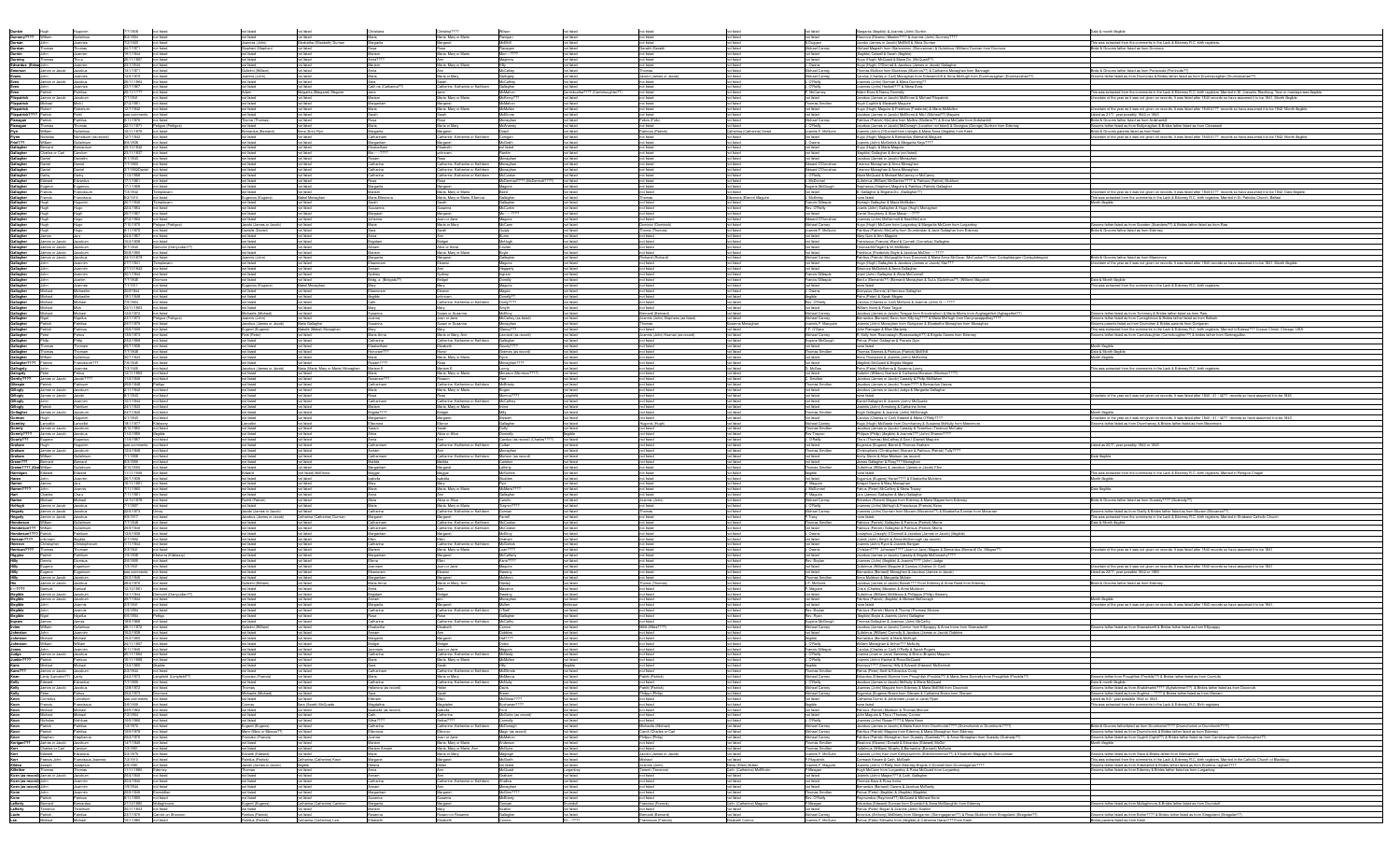| <b>Dunkin</b><br>Dunnery????                                            |                                                    |                                              | ?/1838                                                         | not listed<br>not listed                              | ot listed                                                           | t listed<br>t listed                                    |                                             | hristina????<br>Maria, Mary or Marie                                     |                                        | not listed<br>not listed                            | าot listed<br>ot listed                                             | าot listed                                             | ot listed                                                    | Margarita (illegible) & Joannis (John) Dunkin<br>Eleonora (Eleanor) Meekin???? & Joannis (John) Dunnery????                                                                                                                                                          | Date & month illegible                                                                                                                                                                                                                                                                       |
|-------------------------------------------------------------------------|----------------------------------------------------|----------------------------------------------|----------------------------------------------------------------|-------------------------------------------------------|---------------------------------------------------------------------|---------------------------------------------------------|---------------------------------------------|--------------------------------------------------------------------------|----------------------------------------|-----------------------------------------------------|---------------------------------------------------------------------|--------------------------------------------------------|--------------------------------------------------------------|----------------------------------------------------------------------------------------------------------------------------------------------------------------------------------------------------------------------------------------------------------------------|----------------------------------------------------------------------------------------------------------------------------------------------------------------------------------------------------------------------------------------------------------------------------------------------|
| <u><b>Jurnan</b></u><br><u>Durnian</u>                                  |                                                    |                                              | 1/7/1871<br>1/1844                                             | not listed<br>not listed<br>not listed                | Joannes (John)<br>Stephani (Stephen)<br>ot listed                   | izabetha (Elizabeth) Durnan<br>t listed<br>t listed     |                                             | laria, Mary or Marie                                                     |                                        | not listed<br>not listed<br>not listed              | าot listed<br>Geraldi (Gerald)<br>ot listed                         | ıot listed<br>not listed<br>nt listed                  | N.Duggan<br>Michael Carney<br>ot listed                      | acobo (James or Jacob) McElhill & Alicia Durnan<br>lichael Magrath from Glenvannon (Glenvannan) & Gulielmus (William) Durnian from Dromore<br>(illegible) Calwell & Sarah (illegible)                                                                                | his was extracted from the comments in the Lack & Ederney R.C. birth registers<br>Bride & Grooms father listed as from Dromore                                                                                                                                                               |
| <b>Durnin</b><br><b>Durning</b><br><b>Edvardus (Edwa J</b> ohn          |                                                    |                                              | 11/1857<br>1/1844                                              | not listed<br>not listed                              | not listed<br>ot listed                                             | ot listed<br>t listed                                   | nna2222                                     | laria, Mary or Marie                                                     |                                        | not listed<br>not listed                            | not listed<br>t listed                                              | not listed<br>not listed                               | not listed<br>J. Owens                                       | Hugo (Hugh) McQuaid & Maria Do. (McQuaid??)<br>lugo (Hugh) O'Donnell & Jacobus (James or Jacob) Gallaghe                                                                                                                                                             |                                                                                                                                                                                                                                                                                              |
| <u>Emerson</u><br><u>Evans</u><br><u>Eves</u>                           | James or Jacob<br>James or Jacob                   |                                              | 1/1871<br>4/5/1876<br>1/1864                                   | not listed<br>not listed<br>not listed                | Gulielmi (William)<br>Joannis (John)<br>ot listed                   | t listed<br>t listed<br>t listed                        |                                             | Aaria or Mary                                                            |                                        | not listed<br>not listed<br>not listed              | acobi (James or Jacob)<br>t listed                                  | not listed<br>ot listed                                | Michael Carney<br>Michael Carney<br>. O'Reilly               | mas McAran from Muckross (Muckros??) & Catharina Monaghan from Bannagh<br>(2??) arolus (Charles or Carl) Monaghan from Edenamohill & Anna McHugh from Drumnavaghan (Drumnavahan<br>annes (John) Gorman & Maria Durning??                                             | 3ride & Grooms father listed as from Portanode (Portinode??<br>rooms father listed as from Drumcose & Brides father listed as from Drumnavaghan (Drumnavahan??)                                                                                                                              |
| <u>Eves</u><br>Eves                                                     |                                                    |                                              | 7/1867<br>11/1777<br>1841                                      | not listed<br>not listed                              | ot listed<br>Adam                                                   | t listed<br>Margarita (Margaret) Maguire                | Cath.na (Catharina??)                       | Catherine, Katherine or Kathleen                                         | llagher                                | ot listed<br>Carrickoultra???? (Carrickoughter??)   | ot listed<br>t listec                                               | not listed<br>ot listed                                | O'Reilly<br>P. McCarney                                      | annes (John) Hackett??? & Maria Eves<br>Adam Eves & Nancy Donnelly                                                                                                                                                                                                   | [his was extracted from the comments in the Lack & Ederney R.C. birth registers. Married in St. Josephs, Blackbog. Year or marriage was illegible.                                                                                                                                           |
| <u>Fitzpatrick</u><br><b>Fitzpatrick</b><br>Fitzpatrick                 | ames or Jacob                                      |                                              | 2/1851<br>?/1842                                               | not listed<br>not listed<br>not listed                | not listed<br>not listed<br>ot listed                               | it listed<br>t listed<br>t listed                       | aaritan                                     | Maria, Mary or Marie<br>laria, Mary or Marie                             |                                        | ot listed<br>not listed<br>ot listed                | pt listed<br>ot listed<br>pt listed                                 | าot listed<br>nt listed                                | าot listed<br>Thomas Smollen<br>ot listed                    | acobus (James or Jacob) McElrone & Michael Fitzpatrick<br>Hugh Coghlin & Elizabeth Maguire<br>lugo (Hugh) Maguire & Fredricus (Frederick) & Maria McMullen                                                                                                           | Uncertain of the year as it was not given on records. It was listed after 1840 records so have assumed it to be 1841. Month illegible<br>Jncertain of the year as it was not given on records. It was listed after 1840/41?? records so have assumed it to be 1842. Month illegible          |
| Fitzpatrick????<br><b>Flanagan</b>                                      |                                                    |                                              | ee comments not listed<br>1/1876<br>1/1871                     | not listed<br>Petigoe (Pettigoe                       | not listed<br>Thoma (Thomas)<br>pt listed                           | ot listed<br>t listed<br>t listed                       |                                             | <u> Aaria or Mary</u>                                                    | lcElrone<br><u>naghan</u>              | not listed<br>not listed                            | not listed<br>Felicis (Felix)<br>pt listed                          | not listed<br>not listed                               | not listed<br>Michael Carney<br>O'Reill                      | lacobus (James or Jacob) McElrone & Mic.I (Michael??) Maguire<br>Patritius (Patrick) McCabe from Mullins (Mullans??) & Anna McCabe from Ardshankill<br>icobus (James or Jacob) McDonagh (Location not listed) & Georgius (George) Dunken from Ederney                | Listed as 21/?/, year possibly 1842 or 1843<br>Bride & Grooms father listed as from Ardshankil<br>ooms father listed as from Ballymaghan & Brides father listed as from Clonawee                                                                                                             |
| <u>-lanagan</u><br><u>-Iyn</u><br><b>Flynn</b>                          |                                                    | holaum (as record                            | 11/1879<br>/1842                                               | not listed<br>not listed                              | Bernardus (Bernard)<br>ot listed                                    | Anna (Ann) Flyr<br>t listed                             | largarita<br>Catharinam                     | Catherine ,Katherine or Kathleen                                         |                                        | not listed<br>not listed<br>not listed              | Patricius (Patrick)<br>ot listed                                    | atharina (Catherine) Dowd                              | oannis F. McGuire<br>ot listed                               | Joannis (John) O'Donnell from Lisingle & Maria Anna (illegible) from Kesh<br>lugo (Hugh) Maguire & Bernardus (Bernard) Maguire                                                                                                                                       | Bride & Grooms parents listed as from Kesh<br>Incertain of the year as it was not given on records. It was listed after 1840/41?? records so have assumed it to be 1842. Month illegible                                                                                                     |
| Friel???<br><u>Gallagher</u><br>Gallagher                               | harles or Carl;                                    | ulielmum<br>ernardum                         | i/1838<br>0/1842<br>1/1837                                     | not listed<br>not listed<br>not listed                | ot listed<br>ot listed<br>ot listed                                 | t listed<br>t listed<br>t listed                        | largaritam<br>Iizabetham<br>----????        | Elizabeth                                                                |                                        | not listed<br>not listed<br>ıot listed              | not listed<br>ot listed<br>าot listed                               | ot listed<br>ıot listed<br>ot listed                   | . Owens<br>ot listed<br>hot listed                           | Joannis (John) McGolrick & Margarita Keys???<br>Hugo (Hugh) & Maria Maguire<br>(illegible) Gallagher & Anna (not listed)                                                                                                                                             |                                                                                                                                                                                                                                                                                              |
| Gallagher<br>Gallagher<br>Gallagher                                     |                                                    |                                              | /1843<br>?/1862Daniel not listed                               | not listed<br>not listed                              | ot listed<br>ot listed<br>not listed                                | t listed<br>t listed<br>ot listed                       | Catharina                                   | atherine, Katherine or Kathleen<br>Catherine, Katherine or Kathleen      | naahan                                 | not listed<br>not listed<br>not listed              | าot listed<br>ot listed<br>not listed                               | ıot listed<br>not listed                               | hot listed<br>dward O'Donahoe<br>Edward O'Donahoe            | lacobus (James or Jacob) Monaghan<br>erence Monaghan & Anna Monaghan<br>erence Monaghan & Anna Monaghan                                                                                                                                                              |                                                                                                                                                                                                                                                                                              |
| Gallagher<br><u>Gallagher</u>                                           |                                                    |                                              | 2/1858 not listed<br>/1861                                     | not listed                                            | not listed<br>ot listed                                             | t listed<br>t listed                                    | Catharina                                   | Catherine ,Katherine or Kathleen                                         | cDermad???? (McDermott????)            | not listed<br>not listed                            | ot listed<br>ot listec                                              | not listed                                             | . O'Reilly<br>. McDonnel                                     | aria McQuaid & Michael McCarney or McCanny<br>ulielmus (William) McGariren???? & Patricus (Patrick) Muldoor                                                                                                                                                          |                                                                                                                                                                                                                                                                                              |
| Gallagher<br>Gallagher<br>Gallagher                                     |                                                    | ugenius<br>anciscum<br>ranciscus             | 1/1868<br>1842<br>2/1910                                       | not listed<br>Templecarn<br>not listed                | ot listed<br>ot listed<br>Eugenius (Eugene)                         | t listed<br>t listed<br>Mabel Monaghan                  | <u>argarita</u><br>Aaria Elleonora          | laria, Mary or Marie<br>laria, Mary or Marie, Ellenora                   |                                        | ıot listed<br>not listed<br>not listed              | hot listed<br>าot listed<br>Thomas                                  | ot listed<br>Elleonora (Elenor) Maguire                | Eugene McGough<br>าot listed<br>J. McKinley                  | Stephanus (Stephen) Maguire & Patritius (Patrick) Gallaghe<br>Gallagher & Brigetta Do. (Gallagher??)                                                                                                                                                                 | Jncertain of the year as it was not given on records. It was listed after 1840/41?? records so have assumed it to be 1842. Date illegible<br>This was extracted from the comments in the Lack & Ederney R.C. birth registers. Married in St. Patricks Church, Belfas                         |
| Gallagher<br>Gallagher  <br>Gallagher                                   |                                                    |                                              | /?/1846<br>2/4/1854<br>7/1857                                  | Templecarn<br>not listed<br>not listed                | ot listed<br>ot listed                                              | t listed<br>t listed<br>t listed                        | uzanna                                      |                                                                          | $-.222'$                               | not listed<br>ıot listed                            | ot listed<br>าot listed<br>ot listed                                | ıot listed                                             | Francis Gillespie<br>ev. O'Reilly                            | Murtagh Gallagher & Maria McMullen<br>oanis (John) Gallagher & Hugo (Hugh) Monaghan                                                                                                                                                                                  | Month illegible                                                                                                                                                                                                                                                                              |
| Gallagher<br>Gallagher                                                  |                                                    |                                              | /1862<br>/10/1875                                              | not listed<br>Petigoe (Pettigoe)                      | ot listed<br>ot listed<br>Jacobi (James or Jacob)                   | t listed<br>t listed                                    |                                             | pan or Jane<br>Aaria or Mary                                             |                                        | not listed<br>ot listed<br>not listed               | ot listed<br>Dominici (Dominick                                     | not listed                                             | <u>not listed</u><br>Edward O'Donahoe<br>Michael Carney      | aniel Dougherty & Alice Macar----?<br>nnes (John) McDermott & Neal McCann<br>lugo (Hugh) McCann from Lurganboy & Margarita McCann from Lurganboy                                                                                                                     | Grooms father listed as from Scarden (Scardens??) & Brides father listed as from Raw                                                                                                                                                                                                         |
| Gallagher<br><u>Gallagher</u><br>Gallagher                              | James or Jacob                                     | Jacobum                                      | 11/1875<br>l/4/1857<br>/2/1838                                 | not listed<br>not listed<br>not listed                | Danielis (Daniel)<br>t listed<br>ot listed                          | t listed<br>t listed<br>t listed                        |                                             |                                                                          |                                        | not listed<br>ot listed<br>not listed               | Thoma (Thomas)<br>t listed<br>าot listed                            | not listed<br>not listed                               | Joannis F. McGuire<br>hot listed                             | Patritius (Patrick) McCaffry from Drumbristan & Jane Gallagher from Ederney<br>ıry Quin & Ann Maguire<br>anciscus (Francis) Ward & Cornelii (Cornelius) Gallagher                                                                                                    | Bride & Grooms father listed as from Ederney                                                                                                                                                                                                                                                 |
| Gallagher<br>Gallagher                                                  | ames or Jacob<br>James or Jacob                    | <b>Jacobum</b>                               | )/8/1855                                                       | Derivolin (Derryvullan??)<br>not listed               | ot listed<br>ot listed                                              | t listed<br>t listed                                    |                                             | Alice or Alicia<br>laria, Mary or Marie                                  |                                        | not listed<br>not listed                            | ot listed<br>ot listed                                              | าot listed                                             | not listed<br>hot listed                                     | mas McTegart & M. McMuller<br>edricus (Frederick) Boyle & Jacobus McDon-----????                                                                                                                                                                                     |                                                                                                                                                                                                                                                                                              |
| Gallagher<br><u>Gallagher</u>                                           | James or Jacob                                     |                                              | l/10/1878<br>?/1841                                            | not listed<br>Templecarn<br>Innt lister               | Joannis (John)<br>ot listed                                         | t listed<br>t listed                                    | <u>Aargarita</u>                            |                                                                          |                                        | not listed<br>ot listed                             | Richardi (Richard)<br>t listed                                      | าot listed                                             | Michael Carney<br>ot listed<br>าot listed                    | Patritius (Patrick) McLaughlin from Doocrock & Maria Anna McOscar (McCusker??) from Corlaghdargen (Corlaghdergan<br>Hugo (Hugh) Gallagher & Jacobus (James or Jacob) Star???<br>Eleonora McGolrick & Anna Gallagher                                                  | Bride & Grooms father listed as from Meenmore<br>Uncertain of the year as it was not given on records. It was listed after 1840 records so have assumed it to be 1841. Month illegible                                                                                                       |
| Gallagher<br>Gallagher<br>Gallagher<br>Gallagher June<br>Gallagher June |                                                    |                                              | 1/1844<br>1845<br>1/1911                                       | not listed<br>Dromore<br>not listed                   | ot listed<br>not listed<br>Eugenius (Eugene)                        | t listed<br>ot listed<br>Mabel Monaghan                 | Bridg. a (Bridgida??)                       |                                                                          |                                        | ot listed<br>not listed<br>not listed               | ot listed<br>not listed<br>not listed                               | not listed<br>not listed                               | Francis Gillespie<br>Francis Gillespie<br>าot listed         | ani (John) Gallagher & Alicia McConnell<br>Berd.o (Bernardo??) (Bernard) Monaghan & Gul.s (Gulielmus??) (William) Magolrick<br>ne listed                                                                                                                             | Date & Month illegible<br>This was extracted from the comments in the Lack & Ederney R.C. birth registers                                                                                                                                                                                    |
| Gallagher<br>Gallagher                                                  |                                                    |                                              | 8/1/1848                                                       | not listed<br>not listed                              | ot listed<br>not listed                                             | t listed<br>t listed                                    | illegible                                   |                                                                          |                                        | not listed<br>not listed                            | ot listed<br>not listed                                             | าot listed                                             | Owens<br>llegible                                            | onysius (Dennis) & Henricus Gallagher<br>Petro (Peter) & Sarah Magee                                                                                                                                                                                                 |                                                                                                                                                                                                                                                                                              |
| Gallagher<br>Gallagher<br>Gallagher                                     | Michael                                            |                                              | i/1854<br>11/1863 not listed<br>2/1872                         | not listed<br>not listed                              | not listed<br>not listed<br>Michaelis (Michael)                     | t listed<br>t listed<br>t listed                        |                                             | atherine ,Katherine or Kathleen<br>Susan or Susanna                      |                                        | not listed<br>not listed<br>not listed              | าot listed<br>ot listed<br>Bernardi (Bernard)                       | ot listed<br>ot listed                                 | Rev. O'Reilly<br>not listed<br>Michael Carney                | arolus (Charles or Carl) McGuire & Joannis (John) G----????<br>William Irvine & Rose Tague<br>Jacobus (James or Jacob) Teague from Knocknahorn & Maria Morris from Aughagaffart (Aghagaffert??)                                                                      | irooms father listed as from Tummery & Brides father listed as from Raw                                                                                                                                                                                                                      |
| Gallagher<br>Gallagher                                                  |                                                    |                                              | 3/7/1873<br>29/7/1879<br>/6/1909                               | Petigoe (Pettigoe)<br>not listed<br>not listed        | Joannis (John)<br>Jacobus (James or Jacob)<br>Eugenii (Eugene)      | t listed<br>Maria Gallagher<br>labelis (Mabel) Monaghar |                                             | pan or Jane<br>Susan or Susanna                                          | McCafrey (as listed)<br><u>onaghan</u> | ot listed<br>not listed<br>ot listed                | Joannis (John) Stephens (as listed)                                 | <sup>ot listed</sup><br>Susanna Monaghan               | Michael Carney<br>Joannis F. Macguire<br>F. O'Gara           | Bernardus (Bernard) Keon from Killy big???? & Maria McHugh from Derrynacappelkey???<br>oannis (John) Monaghan from Gortgeran & Elizabetha Monaghan from Monaghar<br>ohn Flanagan & Ellen Mariarity                                                                   | rooms father listed as from Curraghmore & Brides father listed as from Belleek<br>ooms parents listed as from Drumdran & Brides parents from Gortgeran<br>nis was extracted from the comments in the Lack & Ederney R.C. birth registers. Married in Eclesia??? Corpus Christi, Chicago, USA |
| Gallagher<br>Gallagher<br>Gallagher                                     |                                                    |                                              | 3/9/1873 not listed<br>$\frac{2}{1868}$ not listed             |                                                       | Petri (Peter)<br>not listed                                         | t listed<br>t listed                                    | <i>l</i> laria Anna<br>atharina             | Aaria or Mary, Ann<br>Catherine, Katherine or Kathleen                   | onard (as record)<br>allagher          | not listed<br>not listed                            | Joannis (John) Keenan (as record)<br>ot listed                      | not listed<br>not listed                               | Michael Carney<br>Eugene McGough                             | l. Kelly from Rosnowlagh (Rossnowlagh??) & Brigida Owens from Ederney<br>Petrus (Peter) Gallagher & Francis Quin                                                                                                                                                     | rooms father listed as from Carrickaughter (Carrickoughter??) & brides father from Gortnagullion                                                                                                                                                                                             |
| Gallagher<br>Gallagher                                                  |                                                    |                                              | <u>?/1838</u><br>?/1848<br>?/1843                              | not listed<br>not listed<br>not listed                | ot listed<br>not listed<br>ot listed                                | t listed<br>t listed<br>t listed                        | abetham:<br>nnoram???                       | Aaria, Mary or Marie                                                     | emes (as record)                       | ot listed<br>not listed<br>ot listed                | t listed<br>าot listed<br>าot listed                                | าot listed                                             | t listed<br>Thomas Smollen<br>not listed                     | nomas Gremes & Patricus (Patrick) McElhill<br>nna Thompson & Joannis (John) McKenna.                                                                                                                                                                                 | Month illegible<br>Date & Month illegible<br>Month illegible                                                                                                                                                                                                                                 |
| Gallagher<br>Callagher???? Fr<br>Gallogely Jo                           |                                                    | ranciscum???                                 | 6/1845<br>3/1925                                               | not listed<br>not listed                              | not listed<br>Jacobus (James or Jacob)                              | Maria (Maria, Mary or Marie) Monaghan                   | Mariam E                                    | Aariam E.                                                                | aghan???                               | not listed<br>not listed                            | hot listed<br>ot listed                                             | not listed<br>าot listed                               | not listed<br>G. McGee                                       | llegible) McQuaid & Brigida Magee<br>Petro (Peter) McKenna & Susanna Lunny                                                                                                                                                                                           | This was extracted from the comments in the Lack & Ederney R.C. birth registers                                                                                                                                                                                                              |
| Galogely<br>Gerrity????<br>Gilespie                                     | James or Jacob                                     | Jacobi????                                   | 11/1859 not listed<br><u>2/1849 _</u><br>/1848                 | not listed                                            | not listed<br>ot listed<br>ot listed                                | t listed<br>t listed                                    | anam???<br>tharinam                         | <i>l</i> aria, Mary or Marie<br>atherine ,Katherine or Kathleen          | lorason (Morrison????)                 | ot listed<br>tot listed<br>ot listed                | ot listed<br>าot listed<br>ot listed                                | ot listed<br>าot listed                                | not listed<br>C. Smollen<br>homas Smollen                    | iulielmi (William) Graham & Catharina Morason (Morrison????)<br>acobus (James or Jacob) Cassidy & Philip McMahor<br>icobus (James or Jacob) Trower???? & Bernardus Owens                                                                                             |                                                                                                                                                                                                                                                                                              |
| Gillogly<br>Gillogly<br><u>Gillogly</u>                                 | James or Jacob<br>James or Jacob                   | Jacobum                                      | 1/1842<br>1/1843<br>1/1844                                     | not listed<br>not listed<br>not listed                | not listed<br>not listed<br>ot listed                               | ot listed<br>ot listed<br>t listed                      | atharinam                                   | laria, Mary or Marie<br>Catherine ,Katherine or Kathleen                 |                                        | not listed<br>Longfield<br>ot listed                | not listed<br>าot listed<br>ot listed                               | not listed<br>not listed                               | not listed<br>not listed<br>ot listed                        | Jacobus (James or Jacob) Judge & Margarita Gallagher<br>one listed<br>Daniel Gallagher & Joannis (John) McQuade                                                                                                                                                      | Jncertain of the year as it was not given on records. It was listed after 1840 / 41 / 42?? records so have assumed it to be 1843                                                                                                                                                             |
| <b>Gillogly</b>                                                         | imes or Jacob                                      |                                              | l/1/1843<br>?/1845                                             | not listed<br>not listed                              | not listed<br>ot listed                                             | t listed<br>t listed                                    | igida????                                   | <i>l</i> laria, Mary or Marie                                            |                                        | not listed<br>ot listed                             | hot listed<br>าot listed                                            | าot listed                                             | not listed<br>Thomas Smollen                                 | Joannis (John) Armstong & Catharina Irvine<br>lugh Gollagher & Joannis (John) McDonagh                                                                                                                                                                               | Month illegible                                                                                                                                                                                                                                                                              |
| Gollagher<br>Gorman<br>Gormley                                          | Lancellot<br>James or Jacob                        | Lancellot                                    | /1/1843<br>8/1/1877<br>/10/1850                                | not listed<br>Kilskeery<br>not listed                 | not listed<br>Lancellot<br>ot listed                                | t listed<br>t listed<br>t listed                        | largaritam<br>Elleonora                     |                                                                          |                                        | not listed<br>not listed<br>ot listed               | hot listed<br>Hugonis (Hugh)<br>ot listed                           | าot listed<br>าot listed<br>ot listed                  | not listed<br>Michael Carney<br>Thomas Smollen               | Carolus (Charles or Carl) Stewart & Maria O'Reily????<br>lugo (Hugh) McGrade from Drumharvey & Susanna McNulty from Meenmore<br>acobus (James or Jacob) Cassidy & Terentius (Terence) McCabe                                                                         | Incertain of the year as it was not given on records. It was listed after 1840 / 41 / 42?? records so have assumed it to be 1843<br>Grooms father listed as from Drumharvey & Brides father listed as from Meenmore                                                                          |
| Gormly<br>Gormly????<br>Gourly???<br>Graham<br>Graham                   | James or Jacob<br>Eugene                           | <b>Jacobus</b>                               | 1/2/1855 illegible<br>/9/1857<br>ee comments not listed        | not listed                                            | not listed<br>not listed<br>not listed<br>not listed                | t listed<br>t listed<br>ot listed                       | Catharinam                                  | Alicia or Alice<br>Catherine ,Katherine or Kathleen                      | olus (as record) (Charles????)         | illegible<br>not listed                             | าot listed<br>ot listed<br>not listed                               | าot listed<br>not listed                               | <u>lev Traynor</u><br>O'Reilly<br>not listed                 | hilipus (Philip) (illegible) & Joannis??? (John) Shanon???<br>o.s (Thomas) McCaffrey & Dan.l (Daniel) Maguire<br>ugenius (Eugene) Barret & Thomas Graham                                                                                                             | Listed as 20/?/, year possibly 1842 or 1843                                                                                                                                                                                                                                                  |
| Graham<br>Green???                                                      | James or Jacob                                     | <b>Jacobum</b>                               | 2/4/1848 not listed<br>/1858                                   | not listed                                            | ot listed                                                           | t listed<br>t listed                                    | Annam<br>Catharinam                         | Catherine ,Katherine or Kathleen                                         | lorison (as record)                    | not listed<br>ot listed                             | าot listed<br>ot listed                                             | าot listed<br>›t listed                                | Thomas Smollen<br>ot listed                                  | hristopheris (Christopher) Shanan & Patricus (Patrick) Tully????<br>rchy Slevin & Alice Morison (as record)                                                                                                                                                          | Date illegible                                                                                                                                                                                                                                                                               |
| Greme???? (Gral William<br>Hannigan                                     |                                                    | اسر رواها                                    | /3/1859<br>0/1850<br>$(11/1909)$ not listed                    | not listed<br>not listed                              | not listed<br>ot listed<br>Edward                                   | rt listed<br>t listed<br>not listed) McElrone           | argaritam                                   |                                                                          |                                        | not listed<br>ot listed<br>not listed<br>not listed | าot listed<br>ot listed<br>not listed                               | าot listed<br>not listed                               | not listed<br>homas Smollen<br><u>llegible</u>               | ames Gallagher & Rosy??? Monaghan<br>lielmus (William) & Jacobus (James or Jacob) Flinn                                                                                                                                                                              | This was extracted from the comments in the Lack & Ederney R.C. birth registers. Married in Pettigoe Chapel                                                                                                                                                                                  |
| <u>Haran</u><br>Harren<br>Harren????                                    |                                                    |                                              | 3/?/1838<br>11/1861 not listed<br>1/1860                       | not listed<br>not listed                              | not listed<br>not listed<br>ot listed                               | t listed<br>t listed<br>t listed                        |                                             | Aaria, Mary or Marie                                                     | cMaris????                             | not listed<br>not listed                            | ot listed<br>ot listed<br>ot listed                                 | าot listed<br>าot listed<br>ıot listed                 | ot listed<br>P. Maguire<br>J. McDonnel                       | Eugenius (Eugene) Haran???? & Elizabetha Mulraine<br>Bridget Owens & Mary Monaghar<br>Petrus (Peter) McCaffery & Maria Tracey                                                                                                                                        | Month illegible<br>Date illegible.                                                                                                                                                                                                                                                           |
| Harten<br>HcHugh                                                        |                                                    |                                              | 2/10/1878 not listed<br>1/1867                                 | not listed                                            | t listed<br>Patritii (Patrick)<br>ot listed                         | t listed<br>ot listed                                   |                                             | llicia or Alice                                                          |                                        | ot listed<br>not listed<br>ot listed                | t listec<br>Joannis (John                                           | not listed                                             | Maguire<br>Michael Carney                                    | s (James) Gallagher & Mary Gallagher<br>lobertus (Robert) Magee from Ederney & Maria Magee from Ederney                                                                                                                                                              | Bride & Grooms father listed as from Gussidy???? (Gushedy??)                                                                                                                                                                                                                                 |
| <b>Hegarty</b><br><b>Hegarty</b>                                        | James or Jacob<br>James or Jacob<br>James or Jacob | <b>Jacobus</b><br><b>Jacobus</b>             | 2/5/1873<br>9/5/1917                                           | not listed<br>– Lurnev<br>not listed                  | Jacobi (James or Jacob)<br>Jacobus (James or Jacob)                 | Catharina (Catherine) Durnian                           | atnarına<br>Aargaret                        | aria, Mary or Marie<br>Catherine ,Katherine or Kathleen                  |                                        | not listed<br>not listed                            | pt listed<br>าot listed                                             | ıot listed                                             | O'Reilly<br>ilichael Carnev                                  | Joannes (John) McHugh & Franciscus (Francis) Keor<br>oannes (John) Durnian from Movarn (Movarran??) & Elizabetha Durnian from Movarran                                                                                                                               | Grooms father listed as from Graffy & Brides father listed as from Movarn (Movarran??)<br>This was extracted from the comments in the Lack & Ederney R.C. birth registers. Married in Strabane Catholic Church                                                                               |
| <b>Henderson</b><br>Henderson???<br>Henderson???? Patrick               |                                                    | ulielmum<br>'atritium                        | /1848<br><u>9/9/1846 _</u><br>3/9/1838                         | not listed<br>not listed<br>not listed                | ot listed<br>not listed<br>not listed                               | vt listed<br>t listed                                   | atharinam<br><u>atharinam</u><br>largaritam | Catherine ,Katherine or Kathleen<br>Catherine ,Katherine or Kathleen     |                                        | not listed<br>not listed<br>not listed              | าot listed<br>not listed<br>not listed                              | not listed<br>ıot listed                               | Thomas Smollen<br>not listed<br>J. Owens                     | Patricus (Patrick) Gollagher & Patricus (Patrick) Morris<br>Patricus (Patrick) Gollagher & Patricus (Patrick) Morris<br>Josephus (Joseph) O'Donnell & Jacobus (James or Jacob) (illegible)                                                                           | Date & Month illegible                                                                                                                                                                                                                                                                       |
| Hereran????<br><u>lereron</u>                                           |                                                    | istopherun                                   | 71862<br><u>11/1844 - </u>                                     | not listed<br>not listed                              | not listed<br>not listed                                            | t listed<br>ot listed                                   | atharina                                    | Catherine ,Katherine or Kathleen                                         | lcGolricŀ                              | not listed<br>not listed                            | not listed<br>าot listed                                            | ıot listed<br>ıot listed                               | hot listed<br>าot listed                                     | Joanis (John) Smyth & Anna McDonough (as record)<br>oannis (John) Ryon & Joannis Kerigar                                                                                                                                                                             |                                                                                                                                                                                                                                                                                              |
| Herrican????<br><u>Higgins</u>                                          |                                                    | Patritium                                    | /9/1838<br>6/1855                                              | not listed<br>Kilskerra (Kilskeery<br>not listed      | ot listed<br>not listed<br>not listed                               | t listed<br>ot listed<br>ot listed                      | <b>Aargaritam</b>                           | aria, Mary or Marie                                                      |                                        | ot listed<br>not listed<br>not listed               | ot listed<br>hot listed<br>not listed                               | not listed<br>not listed                               | Owens<br>not listed<br>Rev. Boylan                           | ristian???? Johanam???? (Joan or Jane) Magee & Bernardus (Bernard) Do. (Magee??)<br>Jacobus (James or Jacob) Cassidy & Brigida McDonachy???<br>Joannes (John) (illegible) & Joannis???? (John) Judge                                                                 | Incertain of the year as it was not given on records. It was listed after 1840 records so have assumed it to be 1841                                                                                                                                                                         |
|                                                                         | ugene<br>ames or Jacob                             | ugenium<br>ugenium                           | 3/1841<br>ee comments not listed<br>3/1845                     | not listed<br>not listed                              | not listed<br>not listed<br>ot listed                               | t listed<br>ot listed<br>t listed                       | pannam<br>Eleanoram<br>largaritam           | oan or Jane                                                              |                                        | not listed<br>not listed<br>not listed              | าot listed<br>าot listed<br>ot listed                               | ot listed<br>าot listed                                | าot listed<br>hot listed<br>Thomas Smollen                   | ulielmus (William) Maguire & Carolus (Charles Or Carl)<br>Bernardus (Bernard) Monaghan & Jacobus (James or Jacob)<br>ına Muldoon & Margarita Mulrair                                                                                                                 | Jncertain of the year as it was not given on records. It was listed after 1840 records so have assumed it to be 1841<br>Listed as 22/?/, year possible 1842 or 1883                                                                                                                          |
| __????                                                                  | ames or Jacob                                      |                                              | 28/4/1876<br>10/1861                                           | not listed<br>not listed                              | Gulielmi (William)<br>ot listed                                     | ot listed<br>t listed                                   | ⁄laria Anna                                 | Maria or Mary, Ann                                                       |                                        | not listed<br>not listed                            | Thoma (Thomas)<br>ot listed                                         | not listed<br>ot listed                                | .F. McGuire<br>P. Maguire                                    | acobus (James or Jacob) Barrett??? From Ederney & Anna Reed from Ederney<br>na.s (Charles) Macaron & Anne Muldoon                                                                                                                                                    | Bride & Grooms father listed as from Ederney                                                                                                                                                                                                                                                 |
| <u>llegible</u><br><u>llegible</u><br>illegible                         | James or Jacob<br>James or Jacob                   |                                              | 4/1/1844<br>29/?/1844<br>:/1841                                | Derivolin (Derryvullan??)<br>not listed<br>not listed | ot listed<br>not listed<br>ot listed                                | t listed<br>ot listed<br>t listed                       |                                             |                                                                          | <u>onaghan</u>                         | not listed<br>not listed<br><u>Ardstraw</u>         | not listed<br>าot listed<br>ot listed                               | ot listed<br>not listed                                | hot listed<br>าot listed<br>ot listed                        | Gulielmus (William) McManus & Philippus (Philip) Sweeny<br>Patritius (Patrick) (illegible) & Michael McDonagh                                                                                                                                                        | Month illegible<br>Incertain of the year as it was not given on records. It was listed after 1840 records so have assumed it to be 1841                                                                                                                                                      |
| illegible<br><u>illegible</u><br>Ingram                                 |                                                    |                                              | /6/1854<br>/6/1854<br>3/6/1868                                 | not listed<br>Pettigo<br>not listed                   | not listed<br>not listed<br>ot listed                               | ot listed<br>ot listed<br>t listed                      | Catharina<br>atharina                       | Catherine ,Katherine or Kathleen<br>Catherine, Katherine or Kathleen     |                                        | not listed<br>not listed<br>not listed              | hot listed<br>าot listed<br>ot listed                               | not listed<br>not listed<br>ot listed                  | Rev. Boylan<br>Rev. Ryan<br>Eugene McGough                   | Patricus (Patrick) Morris & Thoma (Thomas) Morrow<br>illegible) Boyle & Joannis (John) Gallagher<br>omas Gallagher & Joannes (John) McCaffry                                                                                                                         |                                                                                                                                                                                                                                                                                              |
| <b>Irvine</b><br>Johnston                                               |                                                    | ulielmus                                     | 8/11/1872<br>2/1838                                            | not listed<br>not listed                              | Gulielmi (William)<br>ot listed                                     | t listed<br>t listed                                    | Elizabetha                                  |                                                                          |                                        | not listed<br>not listed                            | Militii (Miles????<br>pt listed                                     | not listed<br>ot listed                                | Michael Carney<br>hot listed                                 | Jacobus (James or Jacob) Connor from Killycappy & Anna Irvine from Stranadarriff<br>ulielmus (William) Connolly & Jacobus (James or Jacob) Dobbins                                                                                                                   | irooms father listed as from Stranadarriff & Brides father listed as from Killycappy                                                                                                                                                                                                         |
| <b>Johnston</b><br><u><b>Johnston</b></u><br><u>Jones</u>               |                                                    |                                              | $\frac{2}{1855}$<br>11/1857<br>1/1845                          | not listed<br>not listed<br>not listed                | not listed<br>not listed<br>not listed                              | ot listed<br>t listed<br>ot listed                      | <u> Aargarita</u><br>aonnam                 | oan or Jane                                                              |                                        | not listed<br>not listed<br>not listed              | <u>not listed</u><br>hot listed<br>not listed                       | not listed<br>ot listed<br>not listed                  | <u>llegible</u><br>O'Reilly<br>Francis Gillespie             | Bernardus (Bernard) & Maria McHugh<br><b>Villiam Monaghan &amp; Arthur??? McNulty</b><br>Carolus (Charles or Carl) O'Reilly & Sarah Rogers                                                                                                                           |                                                                                                                                                                                                                                                                                              |
| <u>Judge</u><br>Junkin????<br>Kane                                      | James or Jacob                                     | <b>Jacobus</b>                               | $\frac{111}{1864}$ not listed<br>1/1868<br>3/2/1855 illegible  | not listed                                            | not listed<br>ot listed<br>not listed                               | ot listed<br>t listed<br>ot listed                      | atharina                                    | Catherine, Katherine or Kathleen<br>aria, Mary or Marie                  |                                        | not listed<br>not listed<br>illegible               | าot listed<br>ot listed<br>not listed                               | not listed<br>ot listed<br>not listed                  | . O'Reilly<br>O'Reilly<br>llegible                           | oanna (Joan or Jane) Sweeney & Brid.a (Brigida) Maguire<br>annis (John) Hacket & Rosa McQuaid<br>Dionisus???? (Dennis) Hilly & Edvardi (Edward) McDermott                                                                                                            |                                                                                                                                                                                                                                                                                              |
| <u><ane???< u=""><br/>Kean</ane???<></u>                                | ames or Jacob<br>anty (Lancelot??)                 | <b>Jacobum</b>                               | 2/1844                                                         | not listed<br>4/2/1873 Langfield (Longfield??)        | not listed<br>Francisci (Francis)                                   | ot listed<br>t listed                                   | atharinam.                                  | Catherine ,Katherine or Kathleen<br><i>l</i> aria or Mary                |                                        | not listed<br>not listed                            | าot listed<br>Patritii (Patrick)                                    | not listed<br>าot listed                               | Thomas Smollen<br>Michael Carney                             | Patrus (Peter) Swift & Edvardus Conly<br>??Edvardus (Edward) Mumna from Proughlisk (Procklis??) & Maria Anna Donnelly from Proughlisk (Procklis                                                                                                                      | Grooms father from Proughlisk (Procklis??) & Brides father listed as from Cruntully                                                                                                                                                                                                          |
| <u>Kelly</u><br><b>Kelly</b><br><u>(elly</u>                            | ames or Jacob                                      | idvardus                                     | /?/1859<br>2/8/1872<br>$\frac{1}{2}$ /1873                     | not listed<br>not listed<br>Dromore                   | not listed<br>`homas<br>Michaelis (Michael                          | t listed<br>t listed<br>ot listed                       | Catharina<br>Ielenora (as record)           | Catherine, Katherine or Kathleen                                         |                                        | not listed<br>not listed<br>not listed              | not listed<br>Patritii (Patrick)<br>Philippi (Philip)               | not listed<br>าot listed<br>not listed                 | . O'Reilly<br>Michael Carney<br>Michael Carney               | Jacobus (James or Jacob) McNulty & Maria McQuaid<br>annes (John) Maguire from Ederney & Maria McElhill from Doocrock<br>Eugenius (Eugene) Breen from Glenarn & Catharina Breen from Glenarn                                                                          | Date & month illegible<br>irooms father listed as from Ahakilmartin???? (Aghakinmart??) & Brides father listed as from Doocrock<br>irooms father listed as from Aughna----???? & Brides father listed as from Glenarn                                                                        |
| <u>(eon</u><br><u>(eon</u><br>Keon                                      | ornelius<br>Michael                                | ornelium<br>anciscus                         | comments not listed<br>i/1909<br>9/5/1862                      | not listed<br>not listed                              | ot listed<br>Cormac<br>not listed                                   | t listed<br>ara (Sarah) McQuade<br>t listed             | agdalina<br>ssabella (as record)            |                                                                          | chanan????                             | not listed<br>not listed<br>not listed              | not listed<br>not listed<br>าot listed                              | าot listed<br>not listed<br>not listed                 | าot listed<br>llegible<br>าot listed                         | Catharina Durnin & Johannam (Joan or Jane) Ryan<br>Patricus (Patrick) Muldoon & Thomas Morrow                                                                                                                                                                        | Listed as 5/2/, year possible 1842 or 1843<br>his was extracted from the comments in the Lack & Ederney R.C. Birth registers.                                                                                                                                                                |
| <u>Keon</u><br><u>Keon</u>                                              |                                                    |                                              | :/1864<br>5/5/1866                                             | not listed<br>not listed                              | ot listed<br>not listed                                             | t listed<br>ot listed                                   |                                             | atherine<br>Selina????                                                   | cGolric (as record)                    | ot listed<br>not listed                             | ot listed<br>not listed                                             | ot listed<br>not listed                                | ot listed<br>J. O'Reilly                                     | hn Maguire & Tho.s (Thomas) Connor<br>oannes (John) Rosan???? & Maria Keon                                                                                                                                                                                           |                                                                                                                                                                                                                                                                                              |
| <u>(eon </u><br>Keon<br><u>(eon</u>                                     |                                                    |                                              | 2/1872<br>5/9/1878<br>9/2/1876                                 | not listed<br>not listed<br>not listed                | Eugenii (Eugene)<br>Marci (Marc or Marcus??)<br>Francisci (Francis) | t listed<br>t listed<br>t listed                        | atharina<br>Elleonora                       | Catherine ,Katherine or Kathleen<br>oan or Jane                          | lagir (as record)<br>lcMahor           | not listed<br>not listed<br>not listed              | Michaelis (Michael)<br>Caroli (Charles or Carl<br>Philippi (Philip) | าot listed<br>าot listed<br>not listed                 | Michael Carney<br>Michael Carney<br>Michael Carney           | Jacobus (James or Jacob) & Maria Keon from Drumhorick???? (Drumchorick or Drumhorrik????<br>Patritius (Patrick) Maguire from Ederney & Maria Monaghan from Ederney<br>Patritius (Patrick) Monaghan from Gussidy (Gushedy??) & Anna Monaghan from Gussidy (Gushedy??) | Bride & Grooms fatherlisted as from Drumhorick???? (Drumchorick or Drumhorrik????)<br>irooms father listed as from Drumchorick & Brides father listed as from Ederney<br>Grooms father listed as from Oughill (Oghill??) & Brides father listed as from Carrickaughter (Carrickoughter??)    |
| Kerigan???<br>Kerr ______                                               | James or Jacob<br>Charles or Carl                  | <b>Jacobum</b><br><b>Carolum</b><br>Fynaryne | l/?/1846<br>$\frac{12}{1851}$<br>/2/1879                       | not listed<br>not listed<br>not listed                | ot listed<br>ot listed<br>dvardi (Edward)                           | t listed<br><sub>t</sub> listed                         | lariam Annam                                | laria, Mary or Marie<br><i>l</i> laria, Mary or Marie, Anı<br>ia or Marv |                                        | not listed<br>not listed<br>hatsil tor              | ot listed<br>ot listed<br>acobi (James or Jacob)                    | ot listed<br>าot listed                                | homas Smollen<br>homas Smollen<br>oannis E. McGuire          | eanora (Eleanor) Donald & Edvardus (Edward) McGirr<br>ulielmus (William) Murphy & Bernardus (Bernard) McGuire<br>Joannes (John) Kerr from Edinycrummin (Edenticromman??) & Elizabeth Magragh fro Glenvannan                                                          | Month illegible<br>Grooms father listed as from Skea & Brides father from Glenvannan                                                                                                                                                                                                         |
| Kerr<br>Kildea                                                          | Francis John<br>Joseph                             | Franciscus Joannes<br>osephus                | 2/1910<br>/6/1881                                              | not listed<br>not listed                              | Patritius (Patrick)<br>Jacobi (James or Jacob)                      | Catharina (Catherine) Keon                              |                                             |                                                                          | <b>Mayray</b><br>McGrath<br>ot listed  | not listed<br>not listed                            | Vlichael<br>Joannis (John)                                          | $\frac{1}{2}$<br>not listed<br>Elena (Ellen) Mullen    | annis <b>contrato</b><br>P.Fitzpatrick<br>Joannis F. Maguire | ormack Keown & Cath. McGrath<br>Joannis (John) O'Reilly from Ederney Brigida O Donnell from Drumnagahan????                                                                                                                                                          | This was extracted from the comments in the Lack & Ederney R.C. birth registers. Married in the Catholic Church of Blackbog<br>Grooms father listed as from Ardshankill & Brides father listed as from Drumna---aghan????                                                                    |
| Kilfether<br>Koen (as record) John                                      | Thomas<br>Koen (as record) James or Jacob          | Jacobum                                      | 1/1880 Ederney<br>25/4/1840 not listed<br>30/4/1840 not listed |                                                       | homas<br>not listed<br>not listed                                   | t listed<br>ot listed<br>ot listed                      | اatharina                                   | Catherine , Katherine or Kathleen                                        | lcQuaid<br>Shallow                     | Lurganboy<br>not listed<br>not listed               | Terenti (Terrence)<br>hot listed<br>hot listed                      | Cath. (Catherine) McElholm<br>not listed<br>not listed | P.Meegan<br>not listed<br>not listed                         | Hugh McCann from Lurganboy & Rosa McQuaid from Lurganboy<br>Joannis (John) Magee??? & Cath. Gallagher<br>iomas Keys & Rosa Irvine                                                                                                                                    | Grooms father listed as from Ederney & Brides father listed as from Lurganboy                                                                                                                                                                                                                |
| Koen (as record) John<br>Kone J<br>Kone                                 | Patrick                                            | nannim                                       | 9/1844<br>5/5/1845 Enniskillen<br>1/1855 not listed            | not listed                                            | not listed<br>not listed<br>not listed                              | ot listed<br>ot listed<br><sub>t listed</sub>           | <b>Aargaritam</b><br>uzanna                 | ນເsanna                                                                  | McGinn????<br>∕lcBriartv               | not listed<br>not listed<br>not listed              | าot listed<br>not listed<br>not listed                              | ot listed<br>not listed<br>not listed                  | not listed<br>Thomas Smollen<br>Rev. O'Reilly                | Bernardus (Bernard) Owens & Jacobus McGarity<br>Petrus (Peter) (illegible) & (illegible) (Illegible)<br>Reymundus (Raymond??) McQuaid & Michael Kone                                                                                                                 |                                                                                                                                                                                                                                                                                              |
| <b>Lafferty</b> Be<br><b>Lafferty</b> Te                                | Bernard<br>Ferrence                                | Bernardus<br>Terentium                       | 7/12/1880 Mullaghmore<br>11/1843 not listed                    |                                                       | Eugenii (Eugene)<br>not listed                                      | atharina (Catherine) Carleton<br><sub>t listed</sub>    | largarita                                   |                                                                          |                                        | Drumduff<br>not listed                              | Francisci (Francis)<br>ot listed                                    | Cath. (Catherine) Maguire<br>nt listed                 | P.Meegan<br>ot listed                                        | Edvardus (Edward) Duncan from Drumduff & Anna McGlaughlin from Ederney<br>Petrus (Peter) Bogan & Joannis (John) Scallon                                                                                                                                              | Grooms father listed as from Mullaghmore & Brides father listed as from Drumduff                                                                                                                                                                                                             |
| Lavin                                                                   | Patrick                                            |                                              | 1/1880                                                         | 3/7/1876 Carrick on Shannon<br>not listed             | Patrtius (Patrick)<br>Patritius (Patrick)                           | t listed<br>Catharina (Catherine) Lee                   | Elizabeth                                   | Rosann or Rosanne<br>Elizabeth                                           |                                        | $\frac{not \text{ listed}}{Kil---????}$             | Bernardi (Bernard)<br>Franciscus (Francis)                          | not listed<br>Elizabeth Connor                         | Michael Carney<br>Joannis F. McGuire                         | Antonius (Anthony) McBriarty from Glengarren (Glenngagarran??) & Rosa Muldoon from Stragoland (Stragolan??)<br>Petrus (Peter) Kilmartin from (illegible) & Catherine Haran??? From Kesh                                                                              | Grooms father listed as from Boher???? & Brides father listed as from Stragoland (Stragolan??)<br>Brides parents listed as from Kesh                                                                                                                                                         |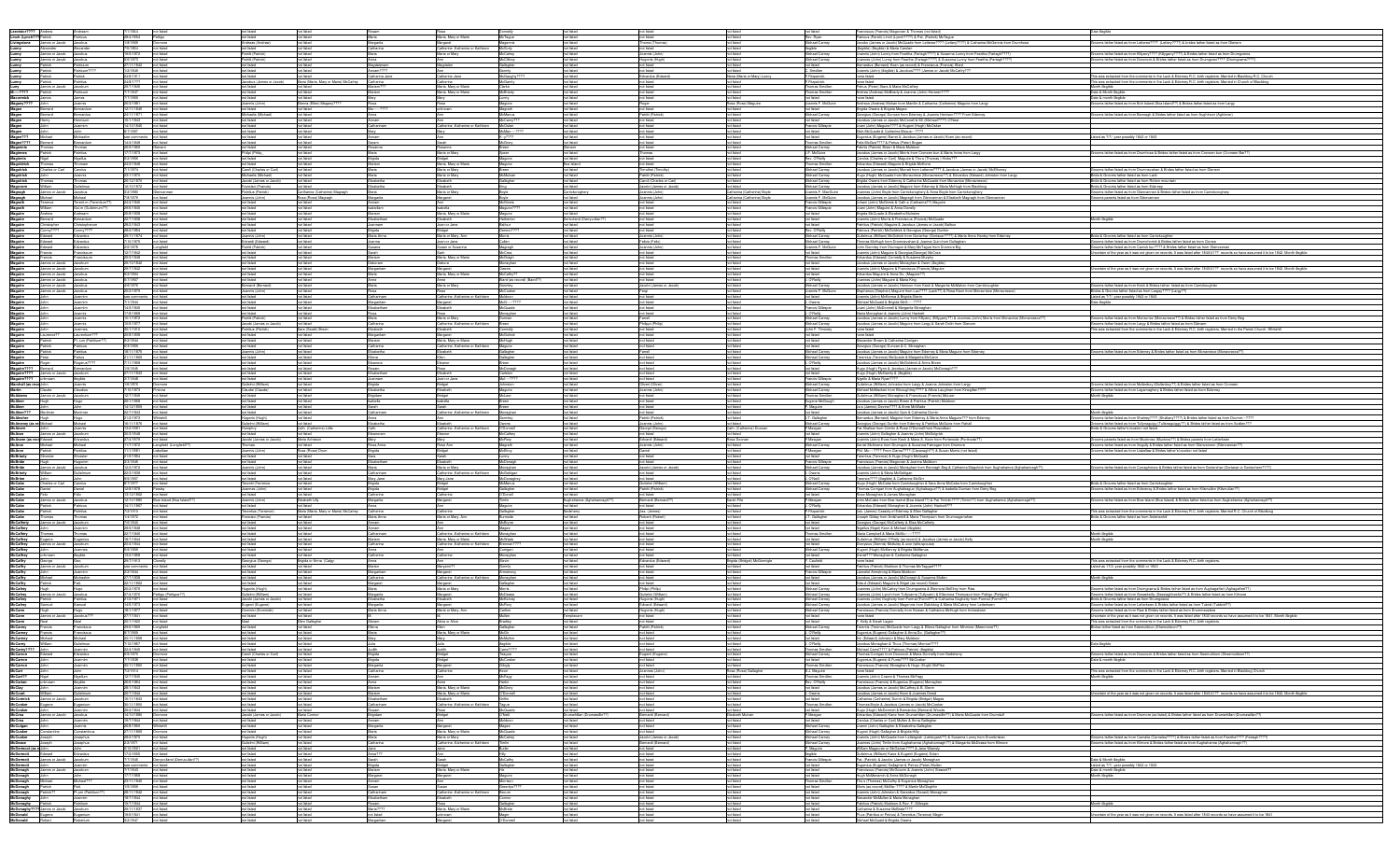| Leevistor????                                                                                                                    |                                                                                                                                                                                                                                              |                                      | 1/1844<br>not listed                                                                |                                                                 |                                                   |                                |                                                        |                           |                                                      |                                                              |                                                    |                                                                                 | anciscus (Francis) Magovran & Thomas (not listed)                                                                                                                                          |                                                                                                                                                                                                                                     |
|----------------------------------------------------------------------------------------------------------------------------------|----------------------------------------------------------------------------------------------------------------------------------------------------------------------------------------------------------------------------------------------|--------------------------------------|-------------------------------------------------------------------------------------|-----------------------------------------------------------------|---------------------------------------------------|--------------------------------|--------------------------------------------------------|---------------------------|------------------------------------------------------|--------------------------------------------------------------|----------------------------------------------------|---------------------------------------------------------------------------------|--------------------------------------------------------------------------------------------------------------------------------------------------------------------------------------------|-------------------------------------------------------------------------------------------------------------------------------------------------------------------------------------------------------------------------------------|
| Linch (Lynch??? Patrick                                                                                                          |                                                                                                                                                                                                                                              |                                      | 28/4/1854<br>Pettigo<br>8/1869<br>Dromore                                           | ot listed<br>Andreas (Andrew)                                   | t listec<br>ot listed<br>ot listed                |                                | Aaria, Mary or Marie                                   | cTaque                    | not listed<br>not listed                             | not listed<br>Thoma (Thomas)                                 | ot listed<br>not listed                            | Rev. Ryan<br>Michael Carney                                                     | Patricus (Parick) Linch (Lynch????) & Pat. (Patrick) McTague<br>Jacobo (James or Jacob) McQuade from Letteree???? (Lettery????) & Catharina McGennis from Drumhose                         | Date illegible<br>irooms father listed as from Letteree???? (Lettery????) & brides father listed as from Glenari                                                                                                                    |
| <b>Lunny</b>                                                                                                                     | Livingstone James or Jacob Jacobus<br>Alexander                                                                                                                                                                                              |                                      | 5/1854<br>not listed                                                                | t listed                                                        | pt listed                                         |                                | atherine ,Katherine or Kathleen                        |                           | ot listed                                            | t listed                                                     |                                                    |                                                                                 | illegible) (Illegible) & Maria Carolan                                                                                                                                                     |                                                                                                                                                                                                                                     |
| Lunny<br>Lunny                                                                                                                   | James or Jacob<br>James or Jacob                                                                                                                                                                                                             |                                      | 9/5/1872<br>not listed<br>6/1873<br>not listed                                      | Patritii (Patrick)<br>Patritii (Patrick)                        | ot listed<br>pt listed                            |                                | laria or Mary                                          |                           | ot listed<br>ot listed                               | Joannis (John<br>Hugonis (Hugh)                              |                                                    | Michael Carney<br>Michael Carney                                                | annis (John) Lunny from Feartha (Fartagh????) & Susanna Lunny from Feartha (Fartagh????)<br>oannes (John) Lunny from Feartha (Fartagh????) & Susanna Lunny from Feartha (Fartagh????)      | ooms father listed as from Killyarry???? (Killygarry????) & Brides father listed as from Drumgowna<br>irooms father listed as from Doocrock & Brides father listed as from Drumgown???? (Drumgowna????)                             |
| Lunny<br>Lunny                                                                                                                   | Patrick<br>Patrick                                                                                                                                                                                                                           | Patricum???'                         | /11/1842<br>not listed<br>not listed<br>2/1849                                      | ot listed<br>ot listed                                          | ot listed<br>ot listed                            | <u>gdalenam</u><br>nnam????    |                                                        |                           | ot listed<br>ot listed                               | ot listed<br>ot listed                                       | ot listed<br>t listed                              | hot listed<br>C. Smollen                                                        | Bernardus (Bernard) Koen (as record) & Franciscus (Francis) Ward<br>Joannis (John) (illegible) & Jacobus???? (James or Jacob) McCaffry???                                                  |                                                                                                                                                                                                                                     |
| Lunny<br>Lunny                                                                                                                   |                                                                                                                                                                                                                                              |                                      | 4/8/1911<br>not listed<br>4/8/1???<br>not listed                                    | ot listed<br>Jacobus (James or Jacob)                           | t listec<br>Maria (Maria, Mary or Marie) McCafrey | Catharina Jane<br>Catharina    | Catherine Jane<br>atherine                             | lcGaughy???               | ot listed<br>ot listed                               | dvardus (Edward):<br>t listed                                | laria (Maria or Mary) Lunny                        | .Fitzpatrick<br>'.Fitzpatrick                                                   | ne listed<br>ne listed                                                                                                                                                                     | This was extracted from the comments in the Lack & Ederney R.C. birth registers. Married in Blackbog R.C. Church<br>This was extracted from the comments in the Lack & Ederney R.C. birth registers. Married in Church of Blackbor  |
| Luny<br>M----????                                                                                                                | ames or Jacob                                                                                                                                                                                                                                |                                      | not listed<br>7/1847<br>not listed                                                  | it listed<br>ot listed                                          | ot listed                                         |                                | ria, Mary or Marie<br><i>A</i> aria, Mary or Marie     |                           | <u>ot listed</u><br>not listed                       | ot listec<br>hot listed                                      | ıot listed                                         | homas Smollen<br>Thomas Smollen                                                 | Petrus (Peter) Stars & Maria McCaffery<br>Andrea (Andrew) McBriarty & Joannis (John) Hereren????                                                                                           | Month illegible<br>Date & Month illegible                                                                                                                                                                                           |
| <b>Macormick</b><br>Magany????                                                                                                   |                                                                                                                                                                                                                                              |                                      | ?/1859<br>not listed<br>/3/1881<br>not listed                                       | ot listed<br>Joannis (John)                                     | ot listed<br>lenna (Ellen) Magany???              |                                |                                                        |                           | not listed<br>ot listed                              | าot listed                                                   | ot listed<br>losa (Rose) Maguire                   | ot listed<br>oannis F. McGuire                                                  | ndreus (Andrew) Mohan from Mantlin & Catharina (Catherine) Maguire from Larg                                                                                                               | Date & month illegible<br>rooms father listed as from Boh Island (Boa Island??) & Brides father listed as from Larg                                                                                                                 |
| <u>Magee</u><br><b>Magee</b>                                                                                                     |                                                                                                                                                                                                                                              | ernardum                             | 2/11/1845<br>not listed<br>4/11/1871<br>not listed                                  | ot listed<br>Michaelis (Michael)                                | t listed<br>t listed                              | --????                         |                                                        |                           | ot listed<br>ot listed                               | ot listed<br>Patritii (Patrick                               |                                                    | pt listed<br>Michael Carney                                                     | Brigida Owens & Brigida Magee<br>Georgius (George) Duncan from Ederney & Joannis Herrison???? From Ederney                                                                                 | irooms father listed as from Bannagh & Brides father listed as from Aughinver (Aghinver)                                                                                                                                            |
| Magee<br>Magee                                                                                                                   |                                                                                                                                                                                                                                              | Ienricum                             | not listed<br>5/1/1843<br>14/10/1845<br>not listed                                  | ot listed<br>ot listed                                          | ot listed<br>ot listed                            | Catharinam                     | Catherine ,Katherine or Kathleen                       |                           | ot listed<br>not listed                              | าot listed<br>hot listed                                     | ıot listed<br>ıot listed                           | hot listed<br>Francis Gillespie                                                 | Jacobus (James or Jacob) McConell & M.I (Michael????) O'Neal<br>Joani (John) Maguire???? & Hugoni (Hugh) McOsker                                                                           |                                                                                                                                                                                                                                     |
| <b>Magee</b><br>Magee???                                                                                                         |                                                                                                                                                                                                                                              | <i>l</i> lichaelim                   | 7/1857<br>not listed<br>e comments not listed                                       | ot listed<br>ot listed                                          | ot listed<br>pt listed                            |                                |                                                        | lcMan----????             | ot listed<br>ıot listed                              | าot listed<br>ot listed                                      | <sub>t listed</sub>                                | าot listed<br>าot listed                                                        | Mick McQuade & Catherine Macus---????<br>Eugenius (Eugene) Barret & Jacobus (James or Jacob) Koen (as record)                                                                              | Listed as ?/?/, year possibly 1842 or 1843                                                                                                                                                                                          |
| Magee????<br>Magennis                                                                                                            |                                                                                                                                                                                                                                              | rnardum                              | 4/4/1848<br>not listed<br>5/9/1869<br><b>Glenarn</b>                                | pt listed<br>ot listed                                          | pt listed<br>ot listed                            | osanna                         |                                                        |                           | <u>ot listed</u><br>Glenarn                          | ot listec<br>not listed                                      | ıot listed                                         | homas Smollen<br>Michael Carney                                                 | Felix McGee???? & Petrus (Peter) Bogar<br>Patritis (Patrick) Breen & Maria Muldoon                                                                                                         |                                                                                                                                                                                                                                     |
| <u>Maginnes</u><br><u>Maginnis</u>                                                                                               |                                                                                                                                                                                                                                              | Patritius                            | /7/1873<br>not listed<br>2/1856<br>not listed                                       | Philipi (Philip<br>ot listed                                    | ot listed<br>pt listed                            |                                | <i>A</i> aria or Mary                                  |                           | ot listed<br>ot listed                               | Thomas<br>ot listed                                          | าot listed                                         | .F. McGuire<br>ev. O'Reilly                                                     | Jacobus (James or Jacob) Morris from Croneen bun & Maria Irvine from Largy<br>Carolus (Charles or Carl) Maguire & Tho.s (Thomas) Hicks???                                                  | irooms father listed as from Drumhose & Brides father listed as from Croneen bun (Croneen Bar??)                                                                                                                                    |
| Magoldrick<br><b>Magolrick</b>                                                                                                   | `homas<br>harles or Carl                                                                                                                                                                                                                     |                                      | 4/3/1848<br>not listed<br>1/1874<br>not listed                                      | ot listed<br>Caroli (Charles or Carl)                           | ot listed<br>listed                               |                                | <i>A</i> aria, Mary or Marie<br><i>A</i> aria or Mary  |                           | 3oa Island<br>ot listed                              | ot listed<br><b>Fimothei (Timothy)</b>                       |                                                    | Thomas Smollen<br>Michael Carney                                                | Edvardus (Edward) Maguire & Brigida McKone<br>icobus (James or Jacob) Murratt from Letteree???? & Jacobus (James or Jacob) McElhoney                                                       | ooms father listed as from Drumnavahan & Brides father listed as from Glenarn                                                                                                                                                       |
| Magolrick<br>Magolrick                                                                                                           |                                                                                                                                                                                                                                              |                                      | 3/1/1870<br>not listed<br>6/12/1870<br>not listed                                   | <i><b>Aichaelis (Michael)</b></i><br>Jacobi (James or Jacob     | pt listed<br>ot listed                            | zabetha                        | <i>A</i> aria or Mary<br>lizabeth                      |                           | not listed<br>ot listed                              | Patritii (Patrick)<br>Caroli (Charles or Car                 | ıot listed<br>ot listed                            | Michael Carney<br>Michael Carney                                                | lugo (Hugh) McQuade from Monavriece (Monavreece??) & Edvardus (Edward) Johnston from Largy<br>Brigida Owens from Ederney & Catharina McQuade from Monavrice (Monavreece                    | Bride & Grooms father listed as from Lack<br>Bride & Grooms father listed as from Rotten mountain                                                                                                                                   |
| <u>Magovern</u>                                                                                                                  | James or Jacob                                                                                                                                                                                                                               | Jacobus                              | 2/10/1872<br>not listed<br>2/1880<br>Glenvannan                                     | rancisci (Francis)<br>Patritius (Patrick)                       | t listed<br>artharina (Catherine) Magragh         | zabetha                        | Elizabeth<br>Maria or Mary                             |                           | ot listed                                            | acobi (James or Jacob)                                       | <sub>t listed</sub><br>Catharina (Catherine) Boyle | Michael Carney<br>oannis F. MacGuire                                            | Jacobus (James or Jacob) Maguire from Ederney & Maria McHugh from Blackbog<br>oannes (John) Boyle from Carrickcroghery & Anna Boyle from Carrickcroghery                                   | Bride & Grooms father listed as from Ederney<br>rooms father listed as from Glanvannan & Brides father listed as from Carrickcrogher                                                                                                |
| <u>Magragh</u><br><u>Magragh</u>                                                                                                 |                                                                                                                                                                                                                                              | erent.m (Terentium??)                | /8/1879<br>not listed<br>not listed<br>24/4/1845                                    | Joannis (John)<br>not listed                                    | losa (Rose) Magrag<br>ot listed                   | <u>rgarita</u>                 |                                                        |                           | Carrickcrogher<br>not listed                         | <u>Joannis (John) </u><br><u>oannis (John)</u><br>not listed | ∶atharina (Catherine) Boyle<br>ıot listed          | pannis F. McGuire<br>Francis Gillespie                                          | icobus (James or Jacob) Magragh from Glenvannan & Elizabeth Magragh from Glenvannar<br>Johani (John) McGinnis & Cath.a (Catharina??) Maguire                                               | ooms parents listed as from Glenvannar                                                                                                                                                                                              |
| Magrath<br><b>Magrath</b>                                                                                                        |                                                                                                                                                                                                                                              | ul.m (Gulielmum??)                   | not listed<br>9/6/1845<br>5/8/1838                                                  | ot listed<br>ot listed                                          | ot listed                                         |                                |                                                        |                           | not listed<br>it listed                              | ot listed<br>pt listed                                       | ıot listed<br>† listed⊦                            | Francis Gillespie                                                               | oani (John) Maguire & Anna Donelly                                                                                                                                                         |                                                                                                                                                                                                                                     |
| <u>Maguire</u><br><u>Maguire</u>                                                                                                 |                                                                                                                                                                                                                                              | Bernardum                            | not listed<br>/?/1838<br>not listed                                                 | ot listed                                                       | pt listed<br>ot listed                            | zabetham                       | laria, Mary or Marie                                   |                           | Derivoland (Derryvullan??)                           | ot listed                                                    | ot listed                                          | ot listed<br>าot listed                                                         | rigida McQuade & Elizabetha Mulraine<br>Joannis (John) Morris & Franciscus (Francis) McQuade                                                                                               | Month illegible                                                                                                                                                                                                                     |
| <b>Maguire</b><br><b>Maguire</b>                                                                                                 |                                                                                                                                                                                                                                              | <u>ristopherun</u><br>.<br>Cormy???  | 3/2/1843<br>not listed<br>28/2/1854<br>not listed                                   | ot listed<br>ot listed                                          | pt listed<br><u><sub>pt</sub></u> listed          |                                | loan or Jane                                           |                           | it listed<br>not listed                              | ot listed<br>าot listed                                      | ıot listed                                         | าot listed<br>Rev. O'Reilly                                                     | Patritius (Patrick) Maguire & Jacobus (James or Jacob) Balfour<br>'atricus (Patrick) McGoldrick & Georgius (George) Dunkin                                                                 |                                                                                                                                                                                                                                     |
| <b>Maguire</b><br><b>Maguire</b>                                                                                                 |                                                                                                                                                                                                                                              | Edvardus<br>Edvardus                 | 9/11/1874<br>not listed<br>10/1875<br>not listed                                    | Joannis (John)<br>Edvardi (Edward)                              | ot listed<br>ot listed                            | <i>l</i> aria Anna             | <i>A</i> aria or Mary, Ann<br>loan or Jane             |                           | ot listed<br>ot listed                               | oannis (John)<br>Felicis (Felix)                             | ot listed<br>ot listed                             | Michael Carney<br>Michael Carney                                                | iulielmus (William) McGolrick from Gorterhar (Gortacar????) & Maria Anna Hanley from Ederney<br>omas McHugh from Drumnavahan & Joanna Quin from Dullaghar                                  | Bride & Grooms father listed as from Carrickoughte<br>rooms father listed as from Drumchorick & Brides father listed as from Clonee                                                                                                 |
| <b>Maguire</b><br><u>Maguire</u>                                                                                                 | rancis                                                                                                                                                                                                                                       | Edvardus<br>ranciscun                | /6/1878<br>Longfield<br>not listed                                                  | Patritii (Patrick)<br>it listed                                 | pt listed<br>t listed                             |                                | usan or Susanna                                        |                           | ot listed                                            | Joannis (John)                                               | ıot listed                                         | oannis F. McGuire                                                               | ohn Gormley from Drumquin & Mary McTague from Dromore Big<br>annis (John) Maguire & Georgius(George) McCrea                                                                                | rooms father listed as from Carrick bur???? & Brides father listed as from Glenvannan<br>Incertain of the year as it was not given on records. It was listed after 1840/41?? records so have assumed it to be 1842. Month illegible |
| <b>Maguire</b><br><b>Maguire</b>                                                                                                 | Francis<br>James or Jacob                                                                                                                                                                                                                    | Franciscum<br>Jacobum                | /3/1848<br>not listed<br>29/10/1842<br>not listed                                   | not listed<br>ot listed                                         | ot listed<br>ot listed                            |                                | laria, Mary or Marie                                   |                           | not listed<br>ot listed                              | าot listed<br>ot listed                                      | not listed                                         | Thomas Smollen<br>าot listed                                                    | vardus (Edward) Connelly & Susanna Murphy<br>Jacobus (James or Jacob) Monaghan & Owen (illegible)                                                                                          |                                                                                                                                                                                                                                     |
| <u>Maguire</u><br><b>Maguire</b>                                                                                                 | James or Jacob Jacobum<br>James or Jacob Jacobus                                                                                                                                                                                             |                                      | 49/7/1842<br>Inot IIstea<br>not listed<br>9/2/1864                                  | ot listed                                                       | ot listed                                         |                                | Maria, Mary or Marie                                   | IcCaffry??                | ot listed                                            | ot listed                                                    | ot listed                                          | hot listed                                                                      | Joannis (John) Maguire & Franciscus (Francis) Maguire<br>Edvardus Maguire & Anna Do. (Maguire??)                                                                                           | Uncertain of the year as it was not given on records. It was listed after 1840/41?? records so have assumed it to be 1842. Month illegible                                                                                          |
| <b>Maguire</b><br><b>Maguire</b>                                                                                                 | James or Jacob Jacobus<br>James or Jacob Jacobus                                                                                                                                                                                             |                                      | /7/1867<br>not listed<br>not listed<br>4/6/1876                                     | ot listed<br>Bernardi (Bernard)                                 | pt listed<br>$\frac{ot$ listed<br>ot listed       |                                | Aaria or Mary                                          | ard (as record) (Baird??) | <u>ot listed</u>                                     | pt listed<br>Jacobi (James or Jacob)                         | ıot listed                                         | . O'Reilly<br>Michael Carney                                                    | annes (John) Maguire & Maria King<br>lacobus (James or Jacob) Herricon from Kesh & Margarita McMahon from Carrickoughter                                                                   | Grooms father listed as from Kesh & Brides father listed as from Carrickoughter                                                                                                                                                     |
| Maguire<br><b>Maguire</b>                                                                                                        | James or Jacob Jacobus                                                                                                                                                                                                                       |                                      | not listed<br>)/2/1879<br>ee comments not listed                                    | Joannis (John)<br>ot listed                                     | ot listed                                         | Catharinam                     | Catherine ,Katherine or Kathleen                       |                           | ot listed<br>ot listed                               | าot listed                                                   | ot listed                                          | Joannis F. McGuire<br>าot listed                                                | Stephenus (Stephen) Maguire from Lac???? (Lack??) & Rosa Keon from Monavriece (Monavreece)<br>oannis (John) McKenna & Brigida Slevin                                                       | Brides & Grooms father listed as from Largey???? (Largy??)<br>Listed as ?/?/, year possibly 1842 or 1843                                                                                                                            |
| Maguire<br><u>Maguire</u>                                                                                                        |                                                                                                                                                                                                                                              |                                      | /1/1844<br>not listed<br>4/3/1845<br>not listed                                     | ot listed<br>ot listed                                          | pt listed<br>pt listed                            | <u>Aargaritam</u><br>zabetham  |                                                        | lcG-----????              | not listed<br><u>ot listed</u>                       | าot listed<br>ot listec                                      | ıot listed                                         | J. Owens<br>Francis Gillespie                                                   | Michael McQuaid & Brigida McG-----????<br>ani (John) McDonnell & Margarita Monaghar                                                                                                        | Date illegible                                                                                                                                                                                                                      |
| <u>Maguire</u><br><b>Maguire</b>                                                                                                 |                                                                                                                                                                                                                                              |                                      | not listed<br>7/8/1868<br>0/1/1872<br>not listed                                    | not listed<br>Patritii (Patrick)                                | ot listed<br>ot listed                            |                                | <i>A</i> aria or Mary                                  | naghan                    | not listed<br>not listed                             | hot listed<br><sup>=</sup> arrell                            | ot listed<br>าot listed                            | J. O'Reilly<br>Michael Carney                                                   | laria Monaghan & Joannis (John) Hackett<br>Jacobus (James or Jacob) Lunny from Killyarry (Killygarry??) & Joannes (John) Morris from Monavrice (Monavreece??)                              | Grooms father listed as from Monavrice (Monavreece??) & Brides father listed as from Derry Beg                                                                                                                                      |
| <u>Maguire</u><br><b>Maguire</b>                                                                                                 |                                                                                                                                                                                                                                              |                                      | 0/5/1877<br>not listed<br>not listed<br>0/1/1910                                    | Jacobi (James or Jacob)<br>Patritius (Patrick)                  | ot listed<br>Sara (Sarah) Breen                   | atharina<br>Elizabeth          | Catherine ,Katherine or Kathleen                       |                           | ot listed<br>not listed                              | Philippi (Philip)<br>not listed                              | ıot listed                                         | Michael Carney<br>John F. Timoney                                               | Jacobus (James or Jacob) Maguire from Largy & Sarah Dolin from Glenarn<br>one listed                                                                                                       | rooms father listed as from Largy & Brides father listed as from Glenarn<br>This was extracted from the comments in the Lack & Ederney R.C. birth registers. Married in the Parish Church, Whitehill                                |
| <u>Maguire</u><br>Maguire                                                                                                        |                                                                                                                                                                                                                                              | aurentium???<br>Pt. ium (Patritium?? | 0/8/1838<br>not listed<br>not listed<br>/2/1844                                     | ot listed                                                       | pt listed<br>ot listed                            | <u>argaritam</u>               | Aaria, Mary or Marie                                   |                           | ıot listed<br>not listed                             | าot listed<br>hot listed                                     | ıot listed                                         | าot listed<br>hot listed                                                        | Alexander Brown & Catharina Corrigan                                                                                                                                                       |                                                                                                                                                                                                                                     |
| Maguire<br><u>Maguire</u>                                                                                                        |                                                                                                                                                                                                                                              | Patritius                            | not listed<br>3/1859<br>8/11/1875 not listed                                        | ot listed<br>ot listed<br>Joannis (John)                        | ot listed<br>ot listed                            | zabetha                        | Catherine, Katherine or Kathleen                       |                           | ot listed<br>ot listed                               | not listed<br>Farrell                                        | ot listed                                          | าot listed<br>Michael Carney                                                    | deorgius (George) Duncan & C. Monaghan<br>Jacobus (James or Jacob) Maguire from Ederney & Maria Maguire from Ederney                                                                       | ooms father listed as from Ederney & Brides father listed as from Monavriece (Monavreece??                                                                                                                                          |
| <b>Maguire</b><br><b>Maguire</b>                                                                                                 |                                                                                                                                                                                                                                              | <b>IPetrus</b><br>Rogerus???         | 1/11/1869 not listed<br>1/1868<br>not listed                                        | iot listed<br>ot listed                                         | ot listed<br><u><sub>pt</sub></u> listed          |                                |                                                        |                           | not listed<br>ot listed                              | าot listed<br>ot listed                                      | าot listed                                         | Michael Carney<br>O'Reilly                                                      | Terentius (Terence) McQuade & Margarita McCann<br>acobus (James or Jacob) McGoldrick & Anna Breer                                                                                          |                                                                                                                                                                                                                                     |
| Maguire????<br>Maguire????                                                                                                       | Bernard<br>James or Jacob                                                                                                                                                                                                                    | Bernardum<br>Jacobum                 | not listed<br>/5/1845<br>/11/1843<br>not listed                                     | not listed<br>not listed                                        | ot listed<br>ot listed                            | izabetham                      |                                                        |                           | not listed<br>not listed                             | not listed<br>าot listed                                     | not listed<br>ot listed                            | hot listed<br>not listed                                                        | Hugo (Hugh) Flynn & Jacobus (James or Jacob) McDonagh???<br>Hugo (Hugh) McGarrity & (illegible)                                                                                            |                                                                                                                                                                                                                                     |
| Maguire????<br>Marchall (as reco John                                                                                            | unknown                                                                                                                                                                                                                                      |                                      | 7/1848<br>not listed<br>1/6/1876<br>Dromore                                         | ot listed<br>Gulielmi (William)                                 | ot listed<br>ot listed                            |                                | loan or Jane                                           |                           | ot listed<br>ot listed                               | ot listed<br>Oliveri (Oliver)                                | <sub>t listed</sub><br>not listed                  | Francis Gillespie<br>Michael Carney                                             | Nigello & Maria Ryan????<br>Gulielmus (William) Johnston from Largy & Joanna Johnston from Largy                                                                                           | Grooms father listed as from Mullenboy (Mullanboy??) & Brides father listed as from Croneen                                                                                                                                         |
| <b>Martin</b>                                                                                                                    |                                                                                                                                                                                                                                              |                                      | 10/1873<br>Fintona                                                                  | Claudei (Claude)                                                | ot listed                                         | lizabetha                      |                                                        |                           | ot listed                                            | Joannis (John)                                               | ıot listed                                         | Michael Carney                                                                  | Michael McMacken from Kilcoughtrey???? & Allicia Laughran from Kinegillan????                                                                                                              | irooms father listed as from Legamaghery & Brides father listed as from Ederney                                                                                                                                                     |
| <b>McAdams</b><br><b>McAleer</b>                                                                                                 | James or Jacob Jacobum                                                                                                                                                                                                                       |                                      | 12/?/1845<br>not listed<br>not listed<br>6/1/1868<br>4/12/1859 not listed           | ot listed<br>ot listed<br>ot listed                             | ot listed<br>ot listed<br>ot listed               |                                |                                                        |                           | not listed<br>not listed<br>not listed               | <u>ot</u> listed<br>าot listed<br>not listed                 | ıot listed                                         | <b>Thomas Smollen</b><br>Eugene McGough                                         | iulielmus (William) Monaghan & Franciscus (Francis) McLeer<br>Jacobus (James or Jacob) Breen & Patritius (Patrick) Muldoon<br>s (James) Devine???? & Anne McWade.                          | Month illegible                                                                                                                                                                                                                     |
| McAleer<br>McAleer???<br>McAlesher                                                                                               | <b>Mortimer</b>                                                                                                                                                                                                                              |                                      | 22/?/1843 not listed                                                                | not listed                                                      | ot listed                                         | Catharinam                     | Catherine ,Katherine or Kathleen                       |                           | not listed                                           | าot listed                                                   | not listed                                         | P. Maguire<br>hot listed                                                        | Jacobus (James or Jacob) Quin & Catharina Durnin                                                                                                                                           | Month illegible                                                                                                                                                                                                                     |
| McAneney (as red Michael                                                                                                         |                                                                                                                                                                                                                                              |                                      | 1/2/1873<br>Whitehil<br>16/11/1876 not listed                                       | Hugonis (Hugh)<br>Gulielmi (William)                            | pt listed<br>ot listed                            | :abetha                        |                                                        |                           | ot listed<br>not listed                              | Patritii (Patrick)<br>Joannis (John)                         | ıot listed<br>Cath. (Catherine) Doonan             | . Gallagher<br>Michael Carney                                                   | Bernardus (Bernard) Maguire from Ederney & Maria Anna Maguire??? from Ederney<br>Georgius (George) Dunkin from Ederney & Patritius McGuire from Rahall                                     | rooms father listed as from Shalney???? (Shallany????) & Brides father listed as from Drumm---????<br>frooms father listed as from Tullynaguigy (Tullanaguiggy??) & Brides father listed as from Scallen???                         |
| McAnern<br><b>McAran</b>                                                                                                         |                                                                                                                                                                                                                                              |                                      | 3/2/1881<br>not listed                                                              | umphry                                                          | ath. (Catherine) Little<br>pt listed l            |                                | Catherine ,Katherine or Kathleen                       |                           | not listed                                           | Georgii (George)                                             |                                                    | P.Meegan                                                                        | Pat Shallow from Crimlin & Rose O'Donnell from Roscolban                                                                                                                                   | Bride & Grooms father's location not listed                                                                                                                                                                                         |
|                                                                                                                                  | James or Jacob                                                                                                                                                                                                                               |                                      | /3/1848<br>not listed                                                               | t listed                                                        |                                                   | eanoram                        |                                                        |                           | ot listed                                            | ot listed                                                    | listed:                                            | าot listed                                                                      | Joannis (John) Gollagher & Joannis (John) McGolgrick                                                                                                                                       |                                                                                                                                                                                                                                     |
| McArann (as recoEdward<br><u>McAroe</u>                                                                                          |                                                                                                                                                                                                                                              | Edvardus                             | not listed<br>7/4/1879<br>1/7/1872 Langfield (Longfield??)                          | Jacobi (James or Jacob)<br>ıomas                                | Maria Acheson<br>ot listed                        | osa Anna                       |                                                        |                           | not listed<br>not listed                             | Edvardi (Edward)<br>Joannis (John)                           | Rosa Doonan<br>ıot listed                          | P.Meegan<br>Michael Carney                                                      | Joannis (John) Eves from Kesh & Maria A. Keon from Portenode (Portinode??)<br>Daniel McAnena from Drumquin & Susanna Falnagan from Dromore                                                 | Grooms parents listed as from Muckross (Muckros??) & Brides parents from Letterkeen<br>irooms father listed as from Segully & Brides father listed as from Glenvannon (Glenvannan??)                                                |
| <u>McAron</u><br><b>McBriarty</b>                                                                                                |                                                                                                                                                                                                                                              |                                      | /1/1881<br>Lisbellaw<br>1/9/1854<br>not listed                                      | Joannis (John)<br>ot listed                                     | Rosa (Rose) Drun<br>ot listed                     |                                |                                                        |                           | tot listed<br>not listed                             | ot listed                                                    | ıot listed                                         | P.Meegan<br>not listed                                                          | hil. Mc----???? From Clarna???? (Claranagh??) & Susan Morris (not listed)<br>Ferentius (Terence) & Hugo (Hugh) McQuaid                                                                     | ooms father listed as from Lisbellaw & Brides father's location not listed                                                                                                                                                          |
| McBride<br>McBride                                                                                                               | James or Jacob Jacobus                                                                                                                                                                                                                       |                                      | not listed<br>not listed<br>2/2/1872                                                | ot listed<br>Joannis (John)                                     | ot listed<br>ot listed                            | zabetham                       | Maria or Mary                                          | <u>lonaghan</u>           | not listed<br>not listed                             | hot listed<br>Jacobi (James or Jacob)                        | ot listed<br>not listed                            | Francis Gillespie<br>Michael Carney                                             | ranciscus (Francis) Magovran & Joanna Muldoon<br>'3?'Jacobus (James or Jacob) Monaghan from Bannagh Beg & Catharina Magolrick from Aughahanna (Aghahannagh                                 | Grooms father listed as from Curraghmore & Brides father listed as from Gorterchar (Gortacar or Gortacharn????)                                                                                                                     |
| <b>McBrierty</b><br><u>McBrine</u>                                                                                               |                                                                                                                                                                                                                                              |                                      | /3/1838<br>not listed<br>/5/1857<br>not listed                                      | ot listed<br>ot listed                                          | pt listed<br>ot listed                            | atharinam<br>ary Jane          | Catherine ,Katherine or Kathleen                       | <u>Jonaghe</u>            | ot listed<br>not listed                              | t listed<br>าot listed                                       | ıot listed                                         | . Owens<br>J. O'Neill                                                           | <sub>'</sub> annis (John) & Maria McGettigan<br>erence???? (illegible) & Catherine McGirr                                                                                                  |                                                                                                                                                                                                                                     |
| McCabe<br>McCabe                                                                                                                 | Carolus Carl Carolus<br>)anie                                                                                                                                                                                                                |                                      | /7/1877<br>not listed<br>2/8/1878                                                   | Terentii (Terrence<br>loannes (John)                            | ot listed<br>ot listed                            |                                |                                                        |                           | not listed<br>ot listed                              | Gulielmi (William)<br>Patritii (Patrick)                     | ıot listed<br>ot listed                            | Michael Carney<br>Michael Carney                                                | ugo (Hugh) McCabe from Carrickoughter & Sara Anna McCabe from Carrickoughter<br>homas Corrigan from Aughaleague (Aghaleague??) & Isabella Durnian from Derry Beg                           | Bride & Grooms father listed as from Carrickoughter<br>irooms father listed as from Edereney & Brides father listed as from Kilsmullen (Kilsmullan??)                                                                               |
| McCabe<br><b>McCabe</b>                                                                                                          | James or Jacob Jacobus                                                                                                                                                                                                                       |                                      | 3/12/1862<br>not listed<br>2/10/1880 Bow Island (Boa Island??)                      | ot listed<br>Joannis (John)                                     | ot listed<br>izabeth Lilly                        | Catherine<br>largarita         | Catherine                                              |                           | ot listed<br>ughahanna (Aghahannagh??)               | pt listed<br>rnardi (Bernard??)                              | not listed<br>Sarah Fife                           | hot listed<br>P.Meegan                                                          | Rose Monaghan & James Monaghan<br>ohn McCabe from Bow Isalnd (Boa Island??) & Pat Timblin???? (Timlin??) from Aughahanna (Aghahannagh??)                                                   | ooms father listed as from Bow Island (Boa Island) & Brides father listed as from Aughahanna (Aghahannagh??)                                                                                                                        |
|                                                                                                                                  | l Patrick                                                                                                                                                                                                                                    | Patritius                            | 14/11/1867<br>not listed<br>/2/1910<br>not listed                                   | iot listed<br><sup>-</sup> erentius (Terrence)                  | pt listed<br>aria (Maria, Mary or Marie) McCafrey |                                |                                                        |                           |                                                      |                                                              |                                                    | . O'Reilly<br>Pitznatrick ⊺                                                     | Edvardus (Edward) Monaghan & Joannis (John) Hackett???<br>Jas. (James) Cassidy of Ederney & Ellen Gallagher                                                                                | This was extracted from the comments in the Lack & Ederney R.C. birth registers. Married R.C. Church of Blackbog                                                                                                                    |
| McCabe<br>McCabe<br>McCabe<br><b>McCafferty</b>                                                                                  | James or Jacob Jacobum                                                                                                                                                                                                                       |                                      | 1/4/1872<br>not listed<br>7/6/1840<br>not listed                                    | rancisci (Francis)<br>ot listed                                 | ot listed<br>ot listed                            | <i>l</i> laria Anna            | <i>A</i> aria or Mary, Ann                             |                           | ot listed<br>not listed                              | Roberti (Robert)<br>ot listed                                | ot listed<br>not listed                            | T. Gallagher<br>าot listed                                                      | Joseph Gilday from Ardshankill & Maria Thompson from Drumnagenahar<br>Georgius (George) McCafferty & Eliza McCafferty                                                                      | Bride & Grooms father listed as from Ardshankill                                                                                                                                                                                    |
|                                                                                                                                  | homas                                                                                                                                                                                                                                        |                                      | 28/5/1848<br>not listed<br>2/?/1846<br>not listed                                   | ot listed<br>not listed                                         | ot listed<br>pt listed                            | Catharinam                     | atherine ,Katherine or Kathleen                        | <u>lonaghan</u>           | not listed<br>not listed                             | ot listed<br>hot listed                                      | าot listed                                         | ot listed<br>Thomas Smollen                                                     | Nigellus (Nigel) Keon & Michael (illegible)<br>Maria Campbell & Maria McMu------????                                                                                                       | Month illegible                                                                                                                                                                                                                     |
| McCaffery T<br>McCaffrey E                                                                                                       | James or Jacob Jacobum                                                                                                                                                                                                                       |                                      | 18/?/1844<br>not listed<br>not listed<br>0/4/1844                                   | not listed<br>ot listed                                         | ot listed<br>ot listed                            |                                | aria, Mary or Marie<br>atherine ,Katherine or Kathleen |                           | ot listed<br>ot listed                               | hot listed<br>าot listed                                     | ot listed                                          | าot listed<br>าot listed                                                        | iulielmus (William) O'Reily (as record) & Jacobus (James or Jacob) Kelly<br>onysius (Dennis) McAuley & uxor (wife,spouse                                                                   | Month illegible                                                                                                                                                                                                                     |
| <b>McCaffrey</b>                                                                                                                 | unknown                                                                                                                                                                                                                                      | illegible                            | not listed<br>5/9/1869<br>3/2/1858<br>not listed                                    | not listed<br>ot listed                                         | ot listed<br>ot listed                            | Catherine                      | Catherine                                              |                           | not listed<br>ot listed                              | hot listed<br>ot listed                                      | not listed<br>ot listed                            | Michael Carney<br>าot listed                                                    | Hugoni (Hugh) McKervey & Brigida McManus<br>Daniel??? Monaghan & Catherine Gallagher                                                                                                       |                                                                                                                                                                                                                                     |
| <b>McCaffrey</b>                                                                                                                 | James or Jacob Jacobum                                                                                                                                                                                                                       |                                      | 29/7/1913<br>e comments not listed                                                  | Georgius (George<br>ot listed                                   | Brigida or Anna (Calg<br>pt listed                |                                |                                                        |                           | ot listed<br>not listed                              | Edvardus (Edward<br>ot listed                                | Brigida (Bridget) McGonnigle                       | . Caufield<br>าot listed                                                        | Patritius (Patrick) Muldoon & Thomas McTeggart????                                                                                                                                         | This was extracted from the comments in the Lack & Ederney R.C. birth registers<br>Listed as 17/2, year possibly 1842 or 1843                                                                                                       |
| McCaffry<br>McCaffry<br>McCaffry<br>McCaffry                                                                                     | Michael                                                                                                                                                                                                                                      | Michaelim                            | not listed<br>2/1844<br>7/?/1838 not listed                                         | not listed                                                      | ot listed<br>ot listed                            | <u>largaritam</u><br>Catharina | Catherine ,Katherine or Kathleen                       |                           | not listed<br>not listed                             | าot listed<br>าot listed                                     | ot listed<br>not listed                            | Francis Gillespie<br>not listed                                                 | ancelot Armstrong & Maria Muldoon<br>Jacobus (James or Jacob) McDonagh & Susanna Mullen                                                                                                    | Month illegible                                                                                                                                                                                                                     |
|                                                                                                                                  | Patrick                                                                                                                                                                                                                                      |                                      | /11/1862<br>not listed<br>not listed<br>)/2/1876                                    | not listed<br>ot listed                                         | ot listed<br>ot listed                            |                                | <i>A</i> aria or Mary                                  |                           | ot listed<br>ot listed                               | ot listed                                                    | ot listed                                          | ot listed<br>Michael Carney                                                     | Edw.d (Edward) Maguire & Briget (as record) Green<br>Joannes (John) McCafrey from Drumgowna & Eleonora McElroy from Raw                                                                    | rooms father listed as from Drumgowna & Brides father listed as from Aughagaffart (Aghagaffert??                                                                                                                                    |
|                                                                                                                                  | James or Jacob Jacobus<br>Patrick                                                                                                                                                                                                            | Patritius                            | 7/4/1876<br>Pettigo (Pettigoe??<br>1/2/1871<br>not listed                           | Hugonis (Hugh)<br>Gulielmi (William)<br>lacobi (James or Jacob) | pt listed<br>ot listed                            | largarita<br>zabetha           | <u>Aargaret</u>                                        |                           | ot listed<br>ot listed                               | Philipi (Philip)<br>Gulielmi (William)                       | ıot listed<br>ot listed                            | Michael Carney<br>Michael Carney                                                | loannes (John) Lynch from Tullycarne (Tullycarn) & Elleonora Thompson from Pettigo (Pettigoe)<br>oannes (John) Dogherty from Formal (Formil??) & Catharina Dogherty from Formal (Formil??) | Grooms father listed as from Sesaskeilty (Sessiaghkeelta??) & Brides father listed as from Kilmore<br>Bride & Grooms father listed as from Drumgowna                                                                                |
| <b>McCafrey</b><br><b>McCann</b>                                                                                                 | Samuel                                                                                                                                                                                                                                       | Samuel                               | 14/5/1873<br>not listed<br>8/1/1877 not listed                                      | Eugenii (Eugene)<br>Dominici (Dominick)                         | ot listed<br>ot listed                            | <u>Aargarita</u><br>Maria Anna | <i>A</i> aria or Mary, Ann                             |                           | not listed<br>ot listed                              | Hugonis (Hugh)<br>Edvardi (Edward)                           | not listed<br>ıot listed                           | Michael Carney<br>Michael Carney                                                | Jacobus (James or Jacob) Magennis from Balckbog & Maria McCafrey from Letterkeen                                                                                                           | Grooms father listed as from Letterkeen & Brides father listed as from Tubrid (Tubbrid??)<br>rooms father listed as from Raw & Brides father listed as from Drummacalara                                                            |
|                                                                                                                                  | James or Jacob Jacobus???                                                                                                                                                                                                                    |                                      | 7/?/1841<br>not listed<br>/1/1920<br>not listed                                     | ot listed                                                       | pt listed                                         |                                | Alicia or Alice                                        |                           | <u>emplecarn</u><br>ot listed                        | Hugonis (Hugh)<br>ot listed<br>ot listed                     | ot listed                                          | hot listed<br>ot listed                                                         | ranciscus (Francis) Donnelly from Keeran & Catharina McHugh from Irvinestown<br>ne listed                                                                                                  | Incertain of the year as it was not given on records. It was listed after 1840 records so have assumed it to be 1841. Month illegible<br>his was extracted from the comments in the Lack & Ederney R.C. birth registers.            |
| McCann<br>McCann<br><b>McCanny</b>                                                                                               | Francis<br>Francis                                                                                                                                                                                                                           | Franciscus<br>Franciscus             | Longfield<br>9/6/1869<br>/?/1869<br>not listed                                      | ot listed                                                       | <b>Ellen Gallagher</b><br>ot listed<br>ot listed  |                                |                                                        |                           | not listed                                           | Patritii (Patrick)                                           | ıot listed<br>not listed                           | Michael Carney                                                                  | . Kelly & Sarah Lagan<br>Terentis (Terence) McQuade from Largy & Ellena Gallagher from Minmore (Meenmore??)                                                                                | Brides father listed as from Seemuldoon (Shemuldoon??)                                                                                                                                                                              |
| McCarney                                                                                                                         | <b>IWilliam</b>                                                                                                                                                                                                                              | dulielmus                            | )/11/1858<br>not listed<br>12/1857<br>not listed                                    | not listed<br>ot listed<br>ot listed                            | ot listed                                         |                                | laria, Mary or Marie                                   |                           | not listed<br>ot listed<br>not listed                | not listed<br>ot listed<br>not listed                        | ot listed<br>าot listed                            | . O'Reilly<br>ot listed                                                         | Eugenius (Eugene) Gallagher & Anna Do. (Gallagher??)<br>d. (Edward) Johnston & Mary Muldoon                                                                                                |                                                                                                                                                                                                                                     |
| McCarney<br>McCarny<br>McCarny????                                                                                               |                                                                                                                                                                                                                                              | Edvardus                             | <u>2/4/1845 _</u><br>not listed<br>Dromore                                          | ot listed                                                       | ot listed<br>ot listed                            |                                |                                                        |                           | not listed                                           | าot listed                                                   | าot listed                                         | . O'Reilly<br>Thomas Smollen                                                    | Jacobus Monaghan & Tho.s (Thomas) Morrow????<br>Michael Carrol???? & Patricus (Patrick) (illegible)                                                                                        | Date illegible                                                                                                                                                                                                                      |
| McCarron<br><u>McCarron</u>                                                                                                      |                                                                                                                                                                                                                                              |                                      | 5/1870<br>not listed<br>/?/1838                                                     | Caroli (Charles or Carl)<br>ot listed                           | ot listed<br>ot listed                            |                                |                                                        |                           | ot listed<br>not listed                              | Eugenii (Eugene)<br>not listed                               | ot listed                                          | Michael Carney<br>not listed                                                    | tomas Corrigan from Doocrock & Maria Donnelly from Nedsherry<br>Eugenius (Eugene) & Funia???? McCosker                                                                                     | rooms father listed as from Doocrock & Brides father listed as from Seemuldoon (Sheemuldoon??)<br>Date & month illegible                                                                                                            |
| <u>McCarron</u>                                                                                                                  |                                                                                                                                                                                                                                              |                                      | )/11/1850<br>not listed<br>not listed<br>/2/1914                                    | ot listed<br>ot listed                                          | ot listed<br>pt listed                            | <u> Aargarita</u><br>Catharina | Catherine                                              |                           | ot listed<br>ıot listed                              | ot listed<br>Joannes (John)                                  | t listed<br>Rosa (Rose) Gallaghe                   | Thomas Smollen<br>J. Maguire                                                    | Franciscus (Francis) Monaghan & Hugo (Hugh) McPike<br>ne listed                                                                                                                            | This was extracted from the comments in the Lack & Ederney R.C. birth registers. Married in Blackbog Church                                                                                                                         |
| McCart<br>McCart??<br><u>McCartan</u>                                                                                            | nknowi                                                                                                                                                                                                                                       |                                      | 2/?/1845<br>not listed<br>5/6/1854<br>not listed                                    | ot listed<br>not listed                                         | pt listed<br>ot listed                            |                                |                                                        |                           | ot listed<br>not listed                              | ot listed<br>าot listed                                      | ot listed                                          | Thomas Smollen<br>Rev. O'Reilly                                                 | Joannis (John) Cowen & Thomas McFagy<br>Franciscus (Francis) & Eugenius (Eugene) Monaghan                                                                                                  | Month illegible                                                                                                                                                                                                                     |
| <b>McCoart</b>                                                                                                                   |                                                                                                                                                                                                                                              | oannim<br>ulielmum                   | 8/1/1843<br>not listed<br>3/?/1842<br>not listed                                    | ot listed<br>ot listed                                          | ot listed<br>ot listed                            |                                | laria, Mary or Marie<br>aria, Mary or Marie            |                           | not listed<br>ot listed                              | าot listed<br>ot listed                                      | ıot listed                                         | hot listed<br>. Owens                                                           | Jacobus (James or Jacob) McCaffrey & B. Slevin<br>acobus (James or Jacob) Keon & Joannes Dowd                                                                                              | ncertain of the year as it was not given on records. It was listed after 1840/41?? records so have assumed it to be 1842. Month illegible                                                                                           |
| McCormick<br>McCosker                                                                                                            | James or Jacob                                                                                                                                                                                                                               | Jacobum<br>iugenium                  | not listed<br>6/11/1843<br>0/11/1850 not listed                                     | ot listed<br>ot listed                                          | ot listed<br>pt listed                            | lizabetham<br>atharinam        | atherine ,Katherine or Kathleen                        |                           | ot listed<br>ıot listed                              | hot listed<br>ot listed                                      | าot listed<br>าot listed                           | าot listed<br>Thomas Smollen                                                    | Catharina (Catherine) Durnin & Brigida (Bridget) Magee<br>omas Boyle & Jacobus (James or Jacob) McCosker                                                                                   |                                                                                                                                                                                                                                     |
| <u>McCosker</u><br>McCrea                                                                                                        | James or Jacob Jacobus                                                                                                                                                                                                                       |                                      | 9/4/1844<br>not listed<br>14/10/1880<br>Dromore                                     | ot listed<br>Jacobi (James or Jacob)                            | pt listed<br>Maria Connor                         |                                |                                                        |                           | Drumwhillan (Drumawillin??)                          | t listec<br>lernardi (Bernard)                               | Elizabeth Mulrair                                  | าot listed<br>P.Meegan                                                          | ugo (Hugh) McDermott & Bernardus (Bernard) Woods<br>Edvardus (Edward) Kane from Drumwhillan (Drumawillin??) & Maria McQuade from Drumduff                                                  | Grooms father listed as from Dromore (as listed) & Brides father listed as from Drumwhillan (Drumawillan??)                                                                                                                         |
| McCrea<br>McCulgan                                                                                                               |                                                                                                                                                                                                                                              |                                      | 9/?/1844<br>not listed<br>6/8/1869<br>Whitehill                                     | ot listed<br>ot listed                                          | ot listed<br>ot listed                            | rgarita                        |                                                        |                           | t listed<br>ot listed                                | ot listed<br>ot listed                                       | ot listed<br>ot listed                             | hot listed<br>Michael Carney                                                    | Carolus (Charles or Carl) Mullen & Anna Gallaghe<br>Joanni (John) Gallagher & Elizabetha Gallagher                                                                                         |                                                                                                                                                                                                                                     |
| McCusker                                                                                                                         |                                                                                                                                                                                                                                              | onstantinus                          | 1/1869<br>28/2/1870 not listed                                                      | ot listed<br>Hugonis (Hugh)                                     | pt listed<br>ot listed                            |                                | laria, Mary or Marie<br><i>A</i> aria or Mary          |                           | ot listed<br>not listed                              | Jacobi (James or Jacob)                                      |                                                    | Michael Carney<br>Michael Carney                                                | lugoni (Hugh) Gallagher & Brigida Hilly<br>Joannis (John) McQuade from Lettergesh (Lettergash??) & Susanna Lunny from Drumbristan                                                          | irooms father listed as from Carnalia (Carnalea????) & Brides father listed as from Feartha???? (Fartagh????)                                                                                                                       |
| McDease                                                                                                                          |                                                                                                                                                                                                                                              |                                      | /2/1871<br>not listed<br>not listed<br>10/1861                                      | Gulielmi (William)<br>ot listed                                 | ot listed<br>ot listed                            | atharina                       | Catherine ,Katherine or Kathleen                       |                           | not listed<br>ot listed                              | Bernardi (Bernard)<br>t listed                               | ot listed                                          | Michael Carney                                                                  | Joannes (John) Timlin from Aughahanna (Aghahannagh??) & Margarita McDease from Kilmore<br>William Magavran or McGarran???? & Jane Wamsly                                                   | irooms father listed as from Kilmore & Brides father listed as from Aughahanna (Aghahannagh??)                                                                                                                                      |
| McDermoot (as reJohn<br>McDermott Edward                                                                                         |                                                                                                                                                                                                                                              | Edvardus                             | 7/2/1855<br>not listed<br>Derryvolland (Derruvullan??)                              | not listed<br>ot listed                                         | ot listed<br>ot listed                            |                                |                                                        |                           | not listed<br>not listed                             | ot listed<br>าot listed                                      | ıot listed<br>າot listed                           | P. Maguire<br>illegible<br>$\overline{\phantom{a}}$<br><b>Francis Gillespie</b> | Gulielmus (William) Kane & Eugenii (Eugene) Dolan<br>Pat. (Patrick) & Jacobo (James or Jacob) Monaghan                                                                                     | Date & Month illegible                                                                                                                                                                                                              |
| <b>McCaffery</b><br>McCaffrey<br><b>McCaffry</b><br>McCaffry<br>McCafrey<br>McCafrey Ja<br>McCafrey<br>McClay<br><b>McCusker</b> |                                                                                                                                                                                                                                              |                                      | $\frac{7}{2}$ 1845<br>see comments not listed<br>$\frac{7}{2}$ / 1843<br>not listed | not listed                                                      | ot listed<br>ot listed                            |                                | Aaria, Mary or Marie                                   |                           | not listed                                           | hot listed                                                   | ıot listed<br>not listed                           | าot listed<br>not listed                                                        | Eugenius (Eugene) Gallagher & Petrus (Peter) Mullen<br>Franciscus (Francis) McGovern & Joannis (John) Stewart??                                                                            | Listed as ?/?/, year possibly 1842 or 1843<br>Date & month illegible                                                                                                                                                                |
|                                                                                                                                  |                                                                                                                                                                                                                                              | Michael???                           | 7/?/1858 not listed                                                                 | not listed<br>not listed<br>not listed                          | ot listed<br>ot listed                            |                                |                                                        |                           | not listed<br>not listed<br>not listed               | not listed<br>not listed<br>not listed                       | ot listed<br>ıot listed                            | not listed<br>Thomas Smollen                                                    | lugh McMenamin & Anne McDonagh                                                                                                                                                             | Month illegible                                                                                                                                                                                                                     |
|                                                                                                                                  |                                                                                                                                                                                                                                              |                                      | 23/11/1845 not listed<br>/5/1859<br>not listed                                      | not listed                                                      | pt listed                                         | Catharinam                     |                                                        |                           | not listed                                           | าot listed                                                   | ıot listed                                         | hot listed                                                                      | Tho.s (Thomas) McCaffry & Eugenius Monaghan<br>Moris (as record) McMa--???? & Martin McGloghlin                                                                                            |                                                                                                                                                                                                                                     |
|                                                                                                                                  |                                                                                                                                                                                                                                              | Pt.um (Patritium??)                  | 28/11/1842 not listed<br>18/?/1844<br>not listed                                    | not listed<br>not listed                                        | ot listed<br>ot listed                            | lizabetham                     | Catherine ,Katherine or Kathleen                       |                           | not listed<br>not listed                             | not listed<br>not listed                                     | ıot listed<br>ot listed                            | hot listed<br>าot listed                                                        | Joannis (John) Johnston & Gerardus (Gerard) Monaghan<br>Alexander McMullen & Maria Monaghan                                                                                                |                                                                                                                                                                                                                                     |
|                                                                                                                                  | McDonagh Michael Michael???<br>McDonagh Patrick Patt.<br>McDonagh Patrick? Pt.um (Patrit<br>McDonaghy John Joannim<br>McDonaghy Patrick Patritium<br>McDonaghy????James or Jacob Jacobum<br>McDonald Eugene Eugenium<br>McDonald Eugene Euge |                                      | 19/?/1844<br>not listed<br>29/11/1837 not listed<br>19/9/1841<br>not listed         | not listed<br>not listed<br>not listed                          | ot listed<br>ot listed<br>ot listed               | Aaria????<br>not listed        | Maria, Mary or Marie<br>ınknown                        | McBride                   | not listed<br>not listed<br>not listed<br>not listed | าot listed<br>not listed<br>าot listed                       | not listed<br>not listed                           | าot listed<br>not listed<br>not listed                                          | Patritius (Patrick) Muldoon & Rev. F. Gillespie<br>Catharina & Susanna McBride????<br>Pt.us (Patritius or Petrus) & Terentius (Terence) Magirr                                             | Month illegible<br>Jncertain of the year as it was not given on records. It was listed after 1840 records so have assumed it to be 1841                                                                                             |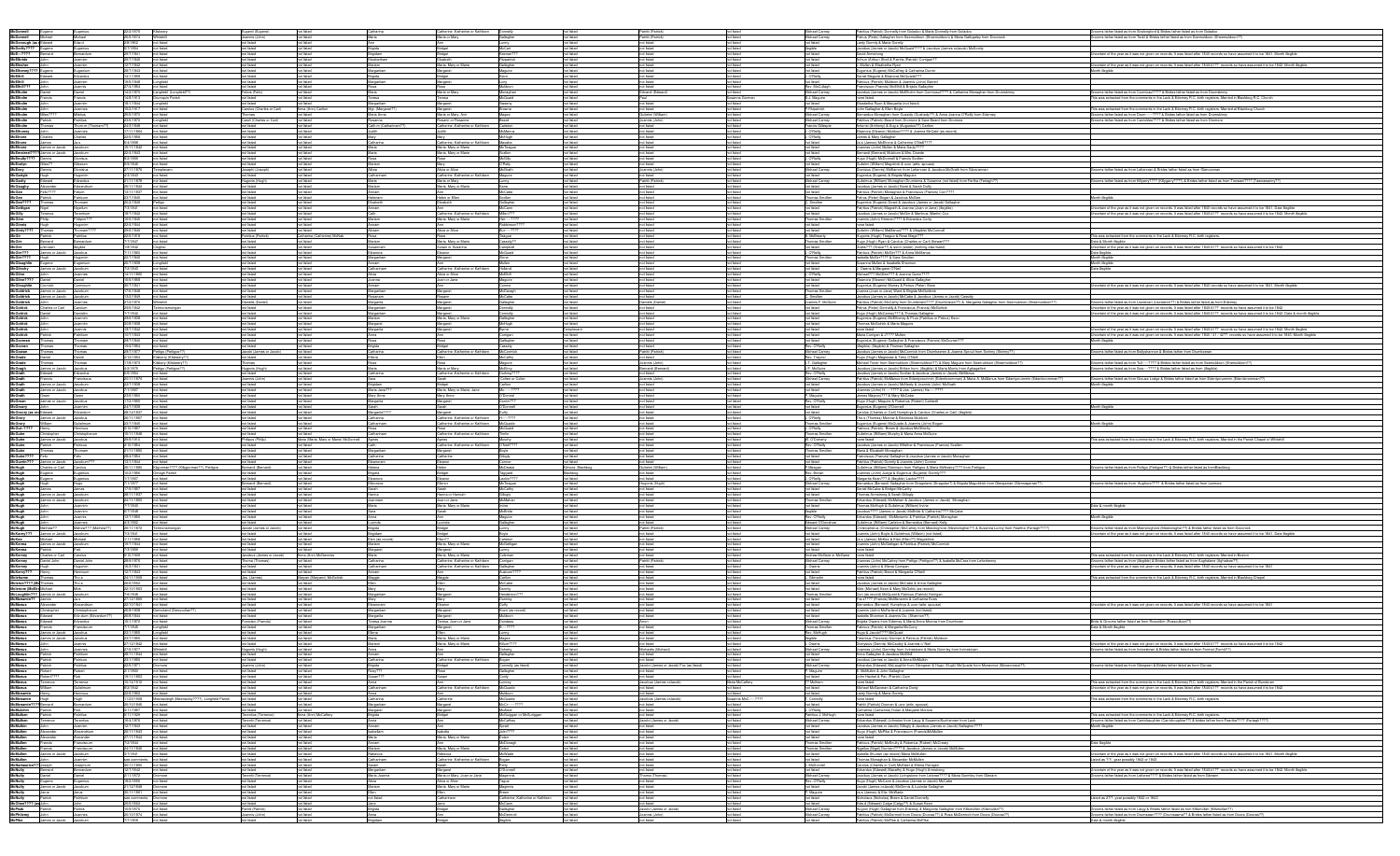| McDonnell<br>McDonnell                                                         |                                           |                                 | 2/1876<br>/5/1874                                                 | Whitehill                                                             | Eugenii (Eugene)                                         | ot listed                                                        |                                                   | atherine ,Katherine or Kathleen<br>aria or Mary                        |                                         | not listed                                           | Patritii (Patrick)<br>Patritii (Patrick)             | not listed                              | Michael Carney<br>Michael Carney                      | Patritius (Patrick) Donnelly from Goladoo & Maria Donnelly from Goladoo<br>Petrus (Peter) Gallagher from Seemuldoon (Sheemuldoon) & Maria Gallogeley from Doocrock                                                                                       | irooms father listed as from Stralongford & Brides father listed as from Goladoo<br>coms father listed as from Tedd & Brides father listed as from Seemuldoon (Sheemuldoon??)                                                                                                                   |
|--------------------------------------------------------------------------------|-------------------------------------------|---------------------------------|-------------------------------------------------------------------|-----------------------------------------------------------------------|----------------------------------------------------------|------------------------------------------------------------------|---------------------------------------------------|------------------------------------------------------------------------|-----------------------------------------|------------------------------------------------------|------------------------------------------------------|-----------------------------------------|-------------------------------------------------------|----------------------------------------------------------------------------------------------------------------------------------------------------------------------------------------------------------------------------------------------------------|-------------------------------------------------------------------------------------------------------------------------------------------------------------------------------------------------------------------------------------------------------------------------------------------------|
| McDonough (as rEdward<br>McDority????                                          |                                           |                                 | 1862<br>7/1854                                                    | not listed<br>าot listed                                              | Joannis (John)<br>ot listed<br>ot listed                 | ot listed<br>ot listed<br>ot listed                              |                                                   |                                                                        | allaghe                                 | not listed<br>not listed<br>not listed               | t listed<br>ot listed                                | not listed<br>not listed                | not listed                                            | Lanty Gormly & Maria Gormly<br>Jacobus (James or Jacob) McQuaid???? & Jacobus (James orJacob) McDonity                                                                                                                                                   |                                                                                                                                                                                                                                                                                                 |
| McE---????<br>McElbride                                                        | Bernard                                   | ernardum                        | 7/1841                                                            | าot listed<br>าot listed                                              | ot listed<br>pt listed                                   | ot listed<br>ot listed                                           | abetham                                           |                                                                        | eenan???                                | าot listed<br>าot listed                             | ot listed<br>ot listed                               | not listed<br>not listed                | t listed<br>ot listed                                 | )avid Armstrong<br>Arthuri (Arthur) Sheil & Patritis (Patrick) Corrigan??                                                                                                                                                                                | Jncertain of the year as it was not given on records. It was listed after 1840 records so have assumed it to be 1841. Month illegible                                                                                                                                                           |
| <b>McElesher</b><br>McElheney???? Eugene                                       |                                           | ıenium                          | ?/1842<br>? / 1843                                                | not listed<br>not listed                                              | not listed<br>ot listed                                  | ot listed<br>ot listed                                           | <u>garitam</u>                                    | aria, Mary or Marie                                                    | allaghe                                 | not listed<br>not listed                             | ıot listed<br>ot listed                              | not listed<br>not listed                | าot listed<br>ot listed                               | I. Mullen & Elizabetha Ryon<br>ugenius (Eugene) McCaffrey & Catharina Durnin                                                                                                                                                                             | Uncertain of the year as it was not given on records. It was listed after 1840/41?? records so have assumed it to be 1842. Month illegible<br>Month illegible                                                                                                                                   |
| McElhill<br>McElhill                                                           |                                           | vardus                          | 4/1/1858<br>9/5/1848                                              | not listed<br>_ongfield                                               | าot listed<br>ot listed                                  | ot listed<br>ot listed                                           | argaritam                                         |                                                                        |                                         | not listed<br>not listed                             | ot listed<br>ot listed                               | not listed<br>not listed                | . O'Reilly<br>าot listed                              | Daniel Maguire & Eleanora McQuade??<br>Patricus (Patrick) Muldoon & Joannis (John) Barrett                                                                                                                                                               |                                                                                                                                                                                                                                                                                                 |
| McElhill???<br>McElholm<br>McElholm                                            |                                           |                                 | 7/4/1854<br>4/2/1870<br>4/8/1913                                  | Langfield (Longfield??<br>Drumquin Parish                             | t listed<br>Felicis (Felix)<br>ot listed                 | ot listed<br>iot listed<br>iot listed                            |                                                   | aria or Mary                                                           | <u>onaghan</u>                          | ot listed<br>not listed<br>not listed                | Edvardi (Edward)                                     | not listed<br>Susanna Gormai            | ev. McCullagh<br>Michael Carney<br>J. Maguire         | anciscus (Francis) McElhill & Brigida Gallagh<br>lacobus (James or Jacob) McElholm from Cormicaul???? & Catharina Monaghan from Drumskinny<br>one listed                                                                                                 | irooms father listed as from Cormicaul???? & Brides father listed as from Drumskinny<br>his was extracted from the comments in the Lack & Ederney R.C. birth registers. Married in Blackbog R.C. Church                                                                                         |
| McElholm<br>McElholm<br>McElholm                                               |                                           |                                 | /1/1844                                                           | <u>_ongfield</u><br>าot listed<br>าot listed                          | ot listed<br>Carolus (Charles or Carl)                   | ot listed<br>Anna (Ann) Carlton                                  | urgaritam<br><b>Igt.</b> (Margaret??<br>aria Anna | laria or Mary, Ann                                                     |                                         | not listed<br>hot listed<br>าot listed               | ot listed<br>t listed<br>Gulielmi (William           | not listed<br>not listed<br>not listed  | t listed<br>.Fitzpatrick<br>Michael Carney            | lizabetha Ryon & Margarita (not listed)<br>lohn Gallagher & Ellen Boyle<br>ernardus Monaghan from Gussidy (Gushedy??) & Anna Joanna O'Reilly from Ederney                                                                                                | his was extracted from the comments in the Lack & Ederney R.C. birth registers. Married at Blackbog Church<br>rooms father listed as from Drum------???? & Brides father listed as from Drumskinn                                                                                               |
| <u>McElholm</u><br>McElholm<br>McElhoney                                       |                                           | hom.m (Thomam??                 | /6/1870<br>3/1848<br>1/1864                                       | Longfield<br>not listed<br>not listed                                 | Caroli (Charles or Carl)<br>ot listed<br>าot listed      | ot listed<br>ot listed<br>ot listed                              | Cath.m (Catharinam??                              | losann or Rosanne<br>atherine ,Katherine or Kathleen                   | cManus                                  | not listed<br>not listed<br>not listed               | <u>Joannis (John)</u><br>it listed<br>ot listed      | not listed<br>not listed<br>not listed  | Michael Carney<br>Francis Gillespie<br>. O'Reilly     | Patritius (Patrick) Beard from Dromore & Sara Beard from Dromore<br>Antonio (Anthony) & Aug.s (Augustus??) Carlton<br>Eleanora (Eleanor) Muldoon???? & Joanna McQaid (as record)                                                                         | rooms father listed as from Carricklee???? & Brides father listed as from Dromore                                                                                                                                                                                                               |
| McElrone<br>McElrone<br><b>McElrone</b>                                        | James or Jacob                            | lacobum                         | 5/1858<br>11/1842                                                 | not listed<br>าot listed<br>not listed                                | ot listed<br>pt listed<br>not listed                     | ot listed<br>ot listed<br>ot listed                              |                                                   | therine, Katherine or Kathleen<br>aria, Mary or Marie                  | acabe<br><u>:Teague</u>                 | not listed<br>าot listed<br>not listed               | ot listed<br>ot liste<br>ot listed                   | not listed<br>not listed                | . O'Reilly<br>ıt listeı<br>ot listed                  | James & Mary Gallagher<br>S (James) McElrone & Catherine O'Neill???<br>loannes (John) Mullen & Maria Dauly???                                                                                                                                            |                                                                                                                                                                                                                                                                                                 |
| McEnulty????                                                                   | McEmstreel???? James or Jacob             |                                 | :/4/1843<br>2/1869                                                | not listed<br>not listed                                              | not listed<br>าot listed                                 | ot listed<br>ot listed                                           |                                                   | aria, Mary or Marie                                                    |                                         | not listed<br>hot listed                             | ot listed<br>ot listed                               | not listed<br>not listed                | not listed<br>. O'Reilly                              | Bernardi (Bernard) Muldoon & Mrs. Dowde<br>Hugo (Hugh) McDonnell & Francis Scollen                                                                                                                                                                       |                                                                                                                                                                                                                                                                                                 |
| McEvelyn<br><u>McEvoy</u><br>McGarigle                                         |                                           |                                 | 9/1846<br>1/1876<br>3/1843                                        | hot listed<br>Templecar<br>not listed                                 | ot listed<br>Josephi (Joseph                             | ot listed<br>ot listed                                           | harinam                                           | icia or Alice<br>atherine ,Katherine or Kathleen'                      |                                         | hot listed<br>าot listed                             | ot listed<br>Ioannis (John)<br>ot listed             | not listed<br>not listed<br>not listed  | ot listed<br>Michael Carney                           | Gulielmi (William) Magolrick & uxor (wife, spouse)<br>ionisius (Dennis) McBarron from Lettercran & Jacobus McGrath from Glenvannan<br>Eugenius (Eugene) & Brigida Maguire                                                                                | oms father listed as from Lettercran & Brides father listed as from Glenvannan                                                                                                                                                                                                                  |
| <b>McGarity</b><br>McGaughy                                                    | Nexander<br>Felix????                     | aubievt<br>Nexandrum            | 1/1878<br>1/1842<br>11/1837                                       | hot listed<br>not listed<br>not listed                                | not listed<br>lugonis (Hugh)<br>าot listed<br>not listed | ot listed<br>ot listed<br>ot listed<br>ot listed                 |                                                   | เria or Mary<br>laria, Mary or Marie                                   | ∩Cahe                                   | hot listed<br>not listed<br>not listed<br>not listed | Patritii (Patrick)<br>ot listed<br>ot listed         | not listed<br>not listed<br>not listed  | not listed<br>Michael Carney<br>not listed            | 3ulielmus (William) Monaghan Drumierna & Susanna (not listed) from Fartha (Fartagh??<br>Jacobus (James or Jacob) Kane & Sarah Duffy<br>Patricus (Patrick) Monaghan & Franciscus (Francis) Corr????                                                       | rooms father listed as from Killyarry???? (Killygarry????) & Brides father listed as from Tonwani???? (Tawnawanny?'                                                                                                                                                                             |
| McGee<br>McGee<br>McGee????                                                    |                                           |                                 | 2/1849                                                            | ot listed                                                             | ot listed<br>าot listed                                  | ot listed<br>ot listed                                           |                                                   | lelen or Ellen                                                         | <u>bllaghe</u>                          | ot listed<br>not listed                              | ot listed<br>ıot listed                              | not listed                              | าot listed<br>homas Smoller<br>. Smollen              | Petrus (Peter) Bogan & Jacobus McGee<br>Eugenius (Eugene) Dowd & Jacobus (James or Jacob) Gallagher                                                                                                                                                      | <u>lonth illegible</u>                                                                                                                                                                                                                                                                          |
| McGettigan<br><b>McGilly</b><br><u>McGinn</u>                                  | erence                                    | erentium<br>ilinim???           | 3/1841<br>/?/1842<br>6/5/1845                                     | าot listed<br>not listed<br>าot listed                                | ot listed<br>าot listed<br>ot listed                     | ot listed<br>ot listed<br>ot listed                              |                                                   | atherine ,Katherine or Kathleen'<br>ıria, Mary or Marie                | cCann<br>dillen???<br>er-----????       | not listed<br>not listed<br>not listed               | ot listed<br>ot listed<br>nt listed                  | not listed<br>not listed<br>not listed  | าot listed<br>ot listed<br>Thomas Smollen             | Patritius (Patrick) Magrath & Joanna (Joan or Jane) (illegible<br>Jacobus (James or Jacob) McGirr & Martinus (Martin) Co<br>Joannis (John) Hereren???? & Edvardus Conly                                                                                  | Jncertain of the year as it was not given on records. It was listed after 1840 records so have assumed it to be 1841. Date illegible<br>Jncertain of the year as it was not given on records. It was listed after 1840/41?? records so have assumed it to be 1842. Month illegible              |
| McGinnis<br>McGinty????<br>McGir                                               | Thomas<br>Patrick                         | mam????                         | :/4/1844<br>/6/1845<br>/6/1918                                    | ot listed<br>าot listed<br>าot listed                                 | ot listed<br>ot listed<br>Patritius (Patrick)            | ot listed<br>ot listed<br>atharina (Catherine) McNab             |                                                   | icia or Alice                                                          | bbinson???                              | ot listed<br>not listed<br>not listed                | ot listed<br>ıot listed<br>าot listed                | not listed<br>not listed<br>not listed  | ot listed<br><u>ot listed</u><br><b>H.</b> McBreartv  | Gulielmi (William) MaManus???? & (illegible) McConnell<br>Hugonis (Hugh) Teague & Rose Magir???                                                                                                                                                          | his was extracted from the comments in the Lack & Ederney R.C. birth register                                                                                                                                                                                                                   |
| McGirr<br>McGirr                                                               | 3ernard<br>ınknown                        | rnardum                         | 2/1847<br>/8/1842                                                 | not listed<br>Clogher                                                 | not listed<br>ot listed                                  | ot listed<br>ot listed                                           | annam                                             | aria, Mary or Marie<br>usan or Susanna                                 | issidv??<br>ampbell                     | not listed<br>not listed                             | ıot listed<br>ot listed                              | not listed<br>not listed                | Thomas Smollen<br>ot listed                           | Hugo (Hugh) Ryan & Carolus (Charles or Carl) Stewart??<br>Gratis??? (Grace??) & soror (sister) (nothing else listed)                                                                                                                                     | Date & Month illegible<br>Uncertain of the year as it was not given on records. It was listed after 1840/41?? records so have assumed it to be 1842                                                                                                                                             |
| McGirr???<br>McGirr????                                                        | James or Jacob                            |                                 | ?/1845                                                            | าot listed<br>าot listed                                              | pt listed<br>าot listed                                  | t listed<br>ot listed<br>hetail to                               | <u>argaritam</u>                                  |                                                                        |                                         | ot listed<br>hot listed                              | it listed<br>ıot listed                              | not listed                              | O'Reilly<br>Thomas Smollen                            | atricus (Patrick) McGirr??? & Anna McManu:<br>abella McGirr???? & Sara Smoller                                                                                                                                                                           | Date illegible.<br>Month illegible                                                                                                                                                                                                                                                              |
| McGlaughlin Eugene<br><b>McGlinchy</b><br><b>McGlinn</b>                       | Uames or Jacob                            | ugenium                         | ?/1838<br>72/1843<br>4/11/1860                                    | <b>Inot listed</b><br>not listed                                      | not listed<br>nt listed<br>าot listed                    | า† listed<br>ot listed                                           |                                                   | Gatherine ,Katherine or Kathleen<br>licia or Alice                     |                                         | ot listed<br>not listed                              | ot listed                                            | not listed                              | ot listed<br>O'Reilly                                 | sanna Mullen & Issabella Shanno<br>Owens & Margaret O'Neil<br>Michael??? McGlinn??? & Joanna Quinn????                                                                                                                                                   | Month illegible<br>Date illegible                                                                                                                                                                                                                                                               |
| McGlinn????<br><u>McGloughlin</u>                                              | Cormick                                   |                                 | /5/1858<br>/?/1841                                                | not listed<br>not listed                                              | ot listed<br>าot listed                                  | ot listed<br>ot listed                                           |                                                   | oan or Jane                                                            |                                         | าot listed<br>hot listed                             | ıot listed<br>ıot listed                             | not listed<br>not listed                | ot listed<br><u>ot listed</u>                         | Eleanora (Eleanor) McQuaid & Alicia Gallagher<br>Eugenius (Eugene) Murray & Petrus (Peter) Stars                                                                                                                                                         | Jncertain of the year as it was not given on records. It was listed after 1840 records so have assumed it to be 1841. Month illegible                                                                                                                                                           |
| <b>McGoldrick</b><br><b>McGoldrick</b>                                         | James or Jacob<br>James or Jacob          |                                 | 7/6/1848<br>/2/1849                                               | not listed<br>not listed                                              | not listed<br>not listed                                 | ot listed<br>ot listed                                           | urgaritam<br>osanam                               |                                                                        | <i>l</i> lcCabe                         | not listed<br>not listed                             | ot listed<br>ot listed                               | not listed<br>not listed                | omas Smollen<br>. Smollen                             | banna (Joan or Jane) Ward & Brigida McGoldrick<br>lacobus (James or Jacob) McCabe & Jacobus (James or Jacob) Cassidy                                                                                                                                     |                                                                                                                                                                                                                                                                                                 |
| <b>McGoldrick</b><br>McGolrick                                                 | harles or Carl                            |                                 | /2/1876<br>/5/1842                                                | Whitehill<br>Termonamong                                              | Danielis (Daniel)<br>pt listed                           | ot listed<br>ot listed                                           | argarita<br>rgaritam                              |                                                                        | allagher                                | not listed<br>าot listed                             | Danielis (Daniel)<br>† listed                        | not listed<br>ıot listed                | pannis F. McGuire<br>t listed                         | Patritius (Patrick) McCaffry from Drumbristin???? (Drumbristan??) & Margarita Gallagher from Seemuldoon (Sheemuldoon??)<br>Petrus (Peter) Donnelly & Franciscus (Francis) McGolrick                                                                      | Grooms father listed as from Liscrevan (Liscreevin??) & Brides father listed as from Ederney<br>Incertain of the year as it was not given on records. It was listed after 1840/41?? records so have assumed it to be 1842                                                                       |
| <i><b>AcGolrick</b></i><br>McGolrick                                           |                                           |                                 | ?/1842<br>8/6/1838                                                | not listed<br>not listed                                              | าot listed<br>not listed                                 | ot listed<br>not listed                                          | argaritam                                         | Maria, Mary or Marie                                                   |                                         | not listed<br>not listed                             | ıot listed<br>ıot listed                             | not listed<br>not listed                | าot listed<br>าot listed                              | Hugo (Hugh) McCarney??? & Thomas Gallagher<br>Eugenius (Eugene) McElhoney & Pt.us (Patritius or Petrus) Keon                                                                                                                                             | Jncertain of the year as it was not given on records. It was listed after 1840/41?? records so have assumed it to be 1842. Date & month illegible                                                                                                                                               |
| <u>McGolrick</u><br>McGolrick<br>McGolrick                                     |                                           |                                 | 0/8/1838<br>8/?/1842<br>/?/1843                                   | not listed<br>not listed<br>not listed                                | not listed<br>not listed<br>าot listed                   | ot listed<br>not listed<br>ot listed                             | argarita                                          |                                                                        |                                         | not listed<br>Templecarn<br>not listed               | ot listed<br>ot listed<br>ot listed                  | not listed<br>not listed<br>not listed  | ot listed<br>ıt listed<br>ot listed                   | Thomas McGolrick & Maria Maguire<br>ıone listed<br>Maria Corrigan & J???? Mullen                                                                                                                                                                         | Uncertain of the year as it was not given on records. It was listed after 1840/41?? records so have assumed it to be 1842. Month illegible<br>Uncertain of the year as it was not given on records. It was listed after 1840 / 41 / 42?? records so have assumed it to be 1843. Month illegible |
| <b><i>AcGoveran</i></b><br>McGovran                                            |                                           |                                 | 8/?/1840<br>9/4/1854                                              | not listed<br>าot listed                                              | าot listed<br>ot listed                                  | ot listed<br>ot listed                                           |                                                   |                                                                        | allaghe                                 | not listed<br>hot listed                             | ıot listed<br>ot listed                              | Inot listed<br>not listed               | ot listed<br>эv. O'Reilly                             | Eugenius (Eugene) Gallagher & Franciscus (Francis) McGovran???<br>legible) (Illegible) & Thomas Gallagher                                                                                                                                                | Month illegible                                                                                                                                                                                                                                                                                 |
| McGowan<br>McGrade                                                             | ıomas                                     |                                 | /7/1877<br>12/1854                                                | Pettigo (Pettigoe??)<br>Kilskerry (Kilskeery??)                       | acobi (James or Jacob)<br>not listed                     | ot listed<br>ot listed                                           | ∶atharina                                         | atherine ,Katherine or Kathleen'                                       | <b>McCormick</b>                        | not listed<br>not listed                             | Patritii (Patrick)<br>ot listed                      | not listed<br>not listed                | Michael Carney<br>Rev. Traynor                        | Jacobus (James or Jacob) McCormick from Drumkeeren & Joanna Sproul from Scrinny (Skrinny??)<br>Hugo (Hugh) Magrease & Terry O'Neill                                                                                                                      | ooms father listed as from Ballyshannon & Brides father from Drumkeeran                                                                                                                                                                                                                         |
| McGrade<br><u> AcGragh</u><br><u>McGrath</u>                                   | James or Jacob                            |                                 | 7/8/1873<br>/2/1875<br>3/1854                                     | Kilskery (Kilskeery??)<br>Pettigo (Pettigoe??)<br>าot listed          | homas<br>Hugonis (Hugh)<br>not listed                    | ot listed<br>ot listed<br>ot listed                              |                                                   | laria or Mary<br>atherine ,Katherine or Kathleen'                      | sing??                                  | าot listed<br>not listed<br>not listed               | Joannis (John)<br>Bernardi (Bernard)<br>ot listed    | not listed<br>not listed<br>not listed  | . Gallagher<br>F. McGuire<br>Rev. O'Reilly            | Michael Toner from Seemuldoon (Sheemuldoon??) & Mary Maguire from Seemuldoon (Sheemuldoon??)<br>Jacobus (James or Jacob) Brittan from (illegible) & Maria Morris from Aghagaffert<br>Jacobus (James or Jacob) Scollan & Jacobus (James or Jacob) McManus | coms father listed as from Tull-----???? & Brides father listed as from Seemuldoon (Shemuldoon??)<br>coms father listed as from Sea----???? & Brides father listed as from (illegible)                                                                                                          |
| <b>McGrath</b><br>McGrath<br>McGrath                                           | James or Jacob<br>James or Jacob          | เทciscus<br>lacobum.            | 11/1876<br>/?/1838<br>1/1867                                      | not listed<br>not listed<br>not listed                                | Joannis (John)<br>าot listed<br>ot listed                | ot listed<br>ot listed<br>ot listed                              | Maria Jana???                                     | laria, Mary or Marie, Jane                                             | olten or Colte<br>----????              | not listed<br>not listed<br>not listed               | Joannis (John)<br>t listed<br>าot listed             | not listed<br>not listed<br>not listed  | Michael Carney<br>ot listed<br>าot listed             | Patritius (Patrick) McManus from Edentycrummin (Edenticromman) & Maria A. McManus from Edentycrummin (Edenticromman??)<br>Jacobus (James or Jacob) McNeely & Joannis (John) McGrath<br>Joannes (John) H-----???? & Jas. (James) Ha-----????              | Frooms father listed as from Grouse Lodge & Brides father listed as from Edentycrummin (Edenticromman??)<br>Month illegible                                                                                                                                                                     |
| McGrath<br>McGrean<br>McGroary                                                 | lames or Jacob                            |                                 | 3/6/1860<br>2/1855<br>/?/1838                                     | not listed<br>าot listed<br>not listed                                | าot listed<br>ot listed<br>not listed                    | ıot listed<br>ot listed<br>ot listed                             | เry Anne                                          | ary Anne                                                               | anne)                                   | hot listed<br>not listed<br>not listed               | ıot listed<br>ot listed<br>ot listed                 | not listed<br>not listed<br>not listed  | <sup>2</sup> . Maguire<br>lev. O'Reilly<br>not listed | lames Magrory??? & Mary McCabe<br>ugo (Hugh) Maguire & Robertus (Robert) Caldwell<br>Eugenius (Eugene) O'Donnell                                                                                                                                         | Month illegible                                                                                                                                                                                                                                                                                 |
| <b>McGroory (as rec Edward</b><br><u>McGrory</u><br><u>McGrory</u>             | James or Jacob                            | dvardum<br>ulielmum             | 12/1837<br>11/1857<br>/?/1845                                     | not listed<br>not listed<br>not listed                                | ot listed<br>ot listed<br>าot listed                     | ot listed<br>ot listed<br>ot listed                              | rgarita????<br>tharina<br>atharinam:              | atherine ,Katherine or Kathleen'<br>atherine ,Katherine or Kathleen'   | :Quad                                   | not listed<br>not listed<br>not listed               | ot listed<br>ıot listed<br>ot listed                 | not listed<br>not listed<br>not listed  | ot listed<br>O'Reilly<br>Thomas Smollen               | Carolus (Charles or Carl) Humphrys & Carolus (Charles or Carl) (illegible)<br>io.s (Thomas) Morrow & Eleanora Muldoon<br>Eugenius (Eugene) McQuade & Joannis (John) Bogaı                                                                                | Month illegible                                                                                                                                                                                                                                                                                 |
| McGui--????<br>McGuire<br>McGuire                                              | hristopher<br>James or Jacob              | stopherum                       | )/1857<br>11/1848<br>9/9/1910                                     | not listed<br>not listed<br>not listed                                | not listed<br>ot listed<br>Philipus (Philip)             | ot listed<br>ot listed<br>Maria (Maria, Mary or Marie) McDonnell | harinam                                           | atherine ,Katherine or Kathleen                                        |                                         | not listed<br>not listed<br>not listed               | ıot listed<br>ot listed<br>ot listed                 | not lister<br>not listed<br>not listed  | <u>O'Reilly</u><br>Thomas Smollen<br>. O'Doherty      | Patricus (Patrick) Breen & Jacobus McGlinchy<br>Gulielmus (William) Murphy & Maria Anna McGuire                                                                                                                                                          | This was extracted from the comments in the Lack & Ederney R.C. birth registers. Married in the Parish Chapel of Whitehill                                                                                                                                                                      |
| McGuire<br><u>McGuire</u><br>McGuire????                                       | homas                                     | homam                           | 0/1854<br><u>11/1850</u><br>/4/1854                               | not listed<br>not listed<br>าot listed                                | ot listed<br>ot listed<br>pt listed                      | t listed<br>ot listed<br>ot listed                               | ırgaritam                                         | atherine ,Katherine or Kathleen'                                       | O'Neill????                             | not listed<br>not listed<br>not listed               | ot listed<br>ıot listed<br>ıot listed                | not listed<br>Inot listed<br>not listed | Rev. O'Reilly<br>Thomas Smollen<br>it listed          | Jacobus (James or Jacob) Kilfether & Franciscus (Francis) Scallen<br>Maria & Elizabeth Monaghar<br>anciscus (Francis) Gallagher & Jacobus (James or Jacob) Monaghan                                                                                      |                                                                                                                                                                                                                                                                                                 |
| McGuvrin???<br><b>McHugh</b><br><u>McHugh</u>                                  | James or Jacob<br>harles or Carl<br>ugene | Jacobum???                      | 1/1844<br>11/1880<br>2/1856                                       | not listed<br>Kilgorman???? (Killygorman??), Pettigoe<br>Omagh Parish | ot listed<br>Bernardi (Bernard)<br>pt listed             | ot listed<br>ot listed<br>ot listed                              | eanoram                                           |                                                                        | McDease                                 | not listed<br>Kilmore, Blackbog                      | ot listed<br>Gulielmi (William<br>t listed           | not listed<br>not listed<br>not listed  | not listed<br>P.Meegan<br>ev. Brown                   | Patritius (Patrick) Gormly & Joannis (John) Connor<br>Gulielmus (William) Robinson from Pettigoe & Maria McNestry???? from Pettigoe<br>Joannes (John) Judge & Eugenius (Eugene) Gormly???                                                                | rooms father listed as from Pettigo (Pettigoe??) & Brides father listed as fromBlackbog                                                                                                                                                                                                         |
| <u>McHugh</u><br><u>McHugh</u><br><b>McHugh</b>                                | Eugene<br>James                           |                                 | /7/1867<br>7/9/1857                                               | not listed<br>าot listed<br>not listed                                | ot listed<br>Bernardi (Bernard)<br>าot listed            | ot listed<br>ot listed<br>ot listed                              | leanora                                           |                                                                        | Lackin????<br>cTeague                   | not listed<br>hot listed<br>not listed               | ot listed<br>Hugonis (Hugh)<br>ıot listed            | not listed<br>not listed<br>not listed  | O'Reilly<br>Michael Carney<br>ot listed               | Margarita Kean??? & (illegible) Lackin???'<br>?/Bernardus (Bernard) Gallagher from Stragoland (Stragolan?) & Brigida Magoldrick from Glengarran (Glennagarran?<br>Janiel McCabe & Bridget McCaffry                                                       | rooms father listed as from Aughore???? & Brides father listed as from Larmore                                                                                                                                                                                                                  |
| <b>McHugh</b><br><b>McHugh</b>                                                 | James or Jacob<br>James or Jacob          |                                 | 11/1837<br>11/1850                                                | not listed<br>not listed                                              | ot listed<br>ot listed                                   | ot listed<br>ot listed                                           |                                                   | anna or Hannah<br>oan or Jane                                          |                                         | not listed<br>not listed                             | ot lister<br>าot listed                              | not listed<br>not listed                | ot listed<br>Thomas Smollen                           | omas Armstrong & Sarah Gillogly<br>dvardus (Edward) McMahan & Jacobus (James or Jacob) Monaghan                                                                                                                                                          |                                                                                                                                                                                                                                                                                                 |
| <u>McHugh</u><br><u>McHugh</u><br><b>McHugh</b>                                | $I$ lohn                                  |                                 | /?/1840<br>7/1949<br>?/1856                                       | not listed<br>not listed                                              | าot listed<br>nt lietad<br>าot listed                    | ot listed<br>hatail tr<br>ot listed                              |                                                   | aria, Mary or Marie                                                    |                                         | าot listed<br>nt lietad<br>not listed                | ıot listed<br>ot listed                              | not listed<br>not listed                | าot listed<br>Rev. O'Reilly                           | Thomas McHugh & Gulielmus (William) Irvine<br>Jacobus???? (James or Jacob) McBride & Catharina???? McCabe<br>dvardus (Edward) McMenamin & Patritius (Patrick) Monaghan                                                                                   | Date & month illegible<br>Month illegible                                                                                                                                                                                                                                                       |
| <b>McHugh</b><br>McHugh<br>McKarny???                                          | James or Jacob                            | hew??? (Mathew??)               | /1862<br>1/1872<br>3/1841                                         | not listed<br>Termonamong<br>not listed                               | ot listed<br>Jacobi (James or Jacob)<br>not listed       | ot listed<br>ot listed<br>ot listed                              | <u>Brigidam</u>                                   | ridaet                                                                 |                                         | not listed<br>not listed<br>not listed               | ot listed<br>Patritii (Patrick)<br>ıot listed        | not listed<br>not listed<br>not listed  | Edward O'Donahoe<br>Michael Carney<br>ot listed       | Gulielmus (William) Carleton & Bernardus (Bernard) Kelly<br>rristopherus (Christopher) McCafrey from Meecloghore (Meenclogher??) & Susanna Lunny from Feartha (Fartagh????<br>Joannis (John) Boyle & Gulielmus (Willaim) (not listed)                    | irooms father listed as from Meencloghore (Meenclogher??) & Brides father listed as from Doocrocl<br>Uncertain of the year as it was not given on records. It was listed after 1840 records so have assumed it to be 1841. Date illegible                                                       |
| McKee<br><u>McKenna</u><br>McKenna                                             | James or Jacob                            |                                 | /1858<br>9/?/1844<br>3/1859                                       | าot listed<br>not listed<br><b>not listed</b>                         | ot listed<br>not listed<br>ot listed                     | ot listed<br>ot listed<br>hetail to                              | Elen (as record)                                  | aria, Mary or Marie                                                    |                                         | not listed<br>not listed<br>not listed               | ot listed<br>not listed<br>ot listed                 | not listed<br>not listed<br>hetail ton  | าot listed<br>าot listed<br>t listed                  | a.s (James) McKee & Elen (Ellen??) Magoldrick<br>Joannis (John) McGettigan & Patritius (Patrick) McCormick                                                                                                                                               |                                                                                                                                                                                                                                                                                                 |
| McKervey<br><u>McKervey</u>                                                    | Charles or Carl<br>)aniel John            | )aniel John                     | 10/1909<br>8/9/1876!                                              | not listed<br>not listed                                              | Jacobus (James or Jacob)<br>Thoma (Thomas)               | Anna (Ann) McGenniss<br>t listed                                 | Catharina                                         | aria, Mary or Marie<br>atherine ,Katherine or Kathleen                 |                                         | not listed<br>not listed                             | ot listed<br>Patritii (Patrick)                      | not listed<br>not listed                | Andrew McGare or McGane none listed<br>Michael Carney | Joannes (John) McCafrey from Pettigo (Pettigoe??) & Isabella McCrea from Letterkenny                                                                                                                                                                     | his was extracted from the comments in the Lack & Ederney R.C. birth registers. Married in Bostor<br>irooms father listed as from (illegible) & Brides father listed as from Aughalane (Aghalane??)                                                                                             |
| <u>McKervey</u><br>McKervy???                                                  |                                           |                                 | /3/1841<br>:/?/1843                                               | าot listed<br>not listed                                              | pt listed<br>not listed                                  | t listed<br>ot listed                                            | tharinam                                          | atherine ,Katherine or Kathleen                                        | ushurn??                                | not listed<br>not listed                             | ıt listeı<br>not listed                              | not listed<br>not listed                | Owens<br>not listed                                   | Joannis (John) & Ellena Corrigan<br>Patritius (Patrick) Breen & Margarita O'Neill                                                                                                                                                                        | ncertain of the year as it was not given on records. It was listed after 1840 records so have assumed it to be 1841                                                                                                                                                                             |
| Mclehume<br>Mcleroe???? (McThomas                                              |                                           |                                 | 11/1909<br>6/1862<br>/10/1863                                     | not listed<br>not listed<br>not listed                                | us. (James)<br>ot listed<br>ot listed                    | Maryan (Maryann) McGolrick<br>t listed<br>ot listed              |                                                   |                                                                        | cCabe                                   | not listed<br>not listed<br>not listed               | ot listed<br>ot listed<br>ot listed                  | not listed<br>not listed<br>not listed  | Gilmartin<br>ot listed<br>ot listed                   | ne listed<br>Jacobus (James or Jacob) McCabe & Anna Gallaghei                                                                                                                                                                                            | his was extracted from the comments in the Lack & Ederney R.C. birth registers. Married in Blackbog Chapel                                                                                                                                                                                      |
| <b>Aclerone (McElro</b> Michael<br>McLoughlin??? James or Jacob<br>McManamin?? |                                           |                                 | 3/1848<br>12/1859                                                 | not listed<br>not listed                                              | ot listed<br>not listed                                  | ot listed                                                        | argaritam                                         |                                                                        | :nderson??                              | not listed<br>not listed                             | ıot listed<br>not listed                             | not listed<br>not listed                | Thomas Smollen<br>not listed                          | Aick (Michael) Keon & Mary McGolric (as record)<br>on (as record) McQuaid & Patricus (Patrick) Kerrigar<br>Fra.s???? (Francis) McMenamin & Catharina Eves                                                                                                |                                                                                                                                                                                                                                                                                                 |
| <i><b>IcManus</b></i><br>McManus                                               |                                           | kandrum<br>stopherum            | 10/1841<br>/8/1838                                                | not listed<br>Derivoland (Derryvullan??)                              | ot listed<br>ot listed                                   | not listed<br>not listed<br>ot listed                            | eanoram<br>urgaritam                              |                                                                        | Koen (as record)                        | not listed<br>not listed                             | ot listed<br>ıot listed                              | not listed<br>not listed                | ot listed<br>ot listed                                | 3ernardus (Bernard) Humphrys & uxor (wife, spouse)<br>Joannis (John) McFarland & Joannis (not listed)                                                                                                                                                    | Uncertain of the year as it was not given on records. It was listed after 1840 records so have assumed it to be 1841                                                                                                                                                                            |
| <i><b>IcManus</b></i><br>McManus<br><u>McManus</u>                             |                                           | Edv.dum (Edvardum??<br>anciscum | 8/8/1844<br>/1845                                                 | not listed<br>ot listed<br>Longfield                                  | not listed<br>Francisci (Francis)<br>าot listed          | ot listed<br>ot listed<br>ot listed                              | <u>argarita</u><br>eresa Joanna<br>argaritam      | resa, Joan or Jane                                                     | uldoon                                  | not listed<br>not listed<br>not listed               | ot listed<br>not listed                              | not listed<br>not listed                | าot listed<br>lichael Carney<br>Thomas Smollen        | sabella Shannon & Joannis Do. (Shannon??<br>Brigida Owens from Ederney & Maria Anna Morrow from Drumkeen<br>Patricus (Patrick) & Margarita McCurry                                                                                                       | Bride & Grooms father listed as from Roscolbin (Rossculban?<br>Date & Month illegible                                                                                                                                                                                                           |
| McManus<br>McManus<br>McManus                                                  | ames or Jacob<br>lames or Jacob           |                                 | /1855<br>7/1855<br>12/1842                                        | _ongfield<br>not listed<br>not listed                                 | not listed<br>ot listed<br>not listed                    | ot listed<br>ot listed<br>not listed                             |                                                   | ıria, Mary or Marie<br>laria, Mary or Marie                            | Killum????                              | not listed<br>not listed<br>not listed               | ot listed<br>ıot listed<br>ot listed                 | not listed<br>not listed<br>not listed  | Rev. McHugh<br>J. Owens                               | ugo & Jacobi???? McQuaid<br>erentius (Terence) Gorman & Patricus (Patrick) Muldoor<br>onysius (Dennis) McCauley & Joannis o' Neil                                                                                                                        | Jncertain of the year as it was not given on records. It was listed after 1840/41?? records so have assumed it to be 1842                                                                                                                                                                       |
| McManus<br><u>McManus</u><br>McManus                                           |                                           |                                 | 5/1877<br>11/1844<br>/1855                                        | Whitehil<br>not listed<br>not listed                                  | Hugonis (Hugh)<br>not listed<br>ot listed                | ot listed<br>iot listed<br>iot listed                            |                                                   | atherine ,Katherine or Kathleen                                        |                                         | าot listed<br>not listed<br>not listed               | <i><b>Michaelis (Michael)</b></i><br>ıot listed      | not listed<br>not listed                | Michael Carney<br>not listed<br>not listed            | pannes (John) Gormley from Irvinestown & Maria Gormley from Irvinestown<br>nna Gallagher & Jacobus McElhill<br>lacobus (James or Jacob) & Anna McMulkin                                                                                                  | ooms father listed as from Irvinestown & Brides father listed as from Formal (Formil??)                                                                                                                                                                                                         |
| <u>McManus</u><br><u>McManus</u><br>McManus                                    |                                           |                                 | 5/1871<br>1/1860<br>1/1863                                        | Dromore<br>not listed<br>not listed                                   | Joannis (John)<br>not listed<br>ot listed                | ot listed<br>ot listed<br>ot listed                              | :an???                                            |                                                                        | onnolly (as listed)<br>allaghe          | not listed<br>าot listed<br>าot listed               | lacobi (James or Jacob) Fox (as listed)<br>ot listed | not listed<br>not listed                | Michael Carney<br><sup>2</sup> . Maguire<br>ıt listeı | Edvardus (Edward) McLaughlin from Glengeen & Hugo (Hugh) McQuade from Monavrice (Monavreece??<br>E. McMulkin & John Gallagher<br>Iohn Hacket & Pat. (Patrick) Quin                                                                                       | rooms father listed as from Glengeen & Brides father listed as from Clonee                                                                                                                                                                                                                      |
| <u>McManus</u><br>McManus<br>McMenamin                                         |                                           | ımıml                           | 0/14/1910<br>1842<br>6/1862                                       | not listed<br>าot listed<br>าot listed                                | าot listed<br>ot listed<br>ot listed                     | not listed<br>ot listed<br>ot listed                             | tharinam                                          | atherine ,Katherine or Kathleen                                        | /lcQuade                                | not listed<br>not listed<br>not listed               | lacobus (James orJacob)<br>t listed                  | Maria McCaffery<br>not listed           | ?? Mulhern<br>าot listed<br>ot listed                 | ıone listed<br>Michael McGaveran & Catharina Donly<br>Lanty Gormly & Maria Gormly                                                                                                                                                                        | This was extracted from the comments in the Lack & Ederney R.C. birth registers. Married in the Parish of Bundoran<br>Uncertain of the year as it was not given on records. It was listed after 1840/41?? records so have assumed it to be 1842                                                 |
| <b><i>I</i>cMenamin</b><br>McMenamin???? Bernard                               |                                           | nardum                          | 1/23/1908<br>10/1845                                              | Meenacleigh (Meenacloy????), Longfield Parish                         | ot listed<br>t listed                                    | not listed<br>ot listed                                          | Catharina<br>argaritam                            | ;atherine                                                              | <i><b>AcQuade</b></i><br>AcCr------2222 | not listed<br>hot listed                             | lacobus (James orJacob<br>it listed                  | Susanna McC-----????<br>not listed.     | <b>T. Connolly</b><br>ot listed                       | one listed<br>Patritii (Patrick) Doonan & uxor (wife, spouse)                                                                                                                                                                                            | This was extracted from the comments in the Lack & Ederney R.C. birth registers                                                                                                                                                                                                                 |
| McMulchin<br>McMulken<br>McMulken                                              |                                           |                                 | 1/1857<br>/1929<br>6/4/1876                                       | not listed<br>not listed<br>not listed                                | ot listed<br>erentius (Terrence<br>Ferentii (Terrence)   | ot listed<br>Anna (Ann) McCaffery<br>ot listed                   |                                                   |                                                                        | cGuiggan or McSuriggan<br>cCaffrey      | hot listed<br>ot listed<br>าot listed                | ot listed<br>ot listed<br>lacobi (James or Jacob)    | not listed                              | O'Reilly<br>Patritius J. McHugh<br>Michael Carney     | Catharina (Catherine) Dolan & Margaret Morrow<br>dvardus (Edward) Johnston from Largy & Susanna Buchannan from Lack                                                                                                                                      | his was extracted from the comments in the Lack & Ederney R.C. birth registers.<br>Frooms father listed as from Carrickaughter (Carrickoughter??) & brides father from Feartha???? (Fartagh????                                                                                                 |
| McMulkin<br><i><b>IcMullen</b></i><br>McMullen                                 |                                           | exandrium<br>exander            | ?/1843<br>1/1843<br>1/1844                                        | not listed<br>not listed<br>not listed                                | ot listed<br>ot listed<br>าot listed                     | ot listed<br>ot listed<br>ot listed                              |                                                   | laria, Mary or Marie                                                   |                                         | not listed<br>าot listed<br>not listed               | ot listed<br>ot listed<br>ot listed                  | not listed<br>not listed                | าot listed<br>it listed<br>าot listed                 | Jacobus (James or Jacob) Gillogly & Jacobus (James or Jacob) Gallagher????<br>Hugo (Hugh) McPike & Franciscum (Francis)McMullen                                                                                                                          | Month illegible                                                                                                                                                                                                                                                                                 |
| <i><b>IcMullen</b></i><br>McMullen<br><b>McMullen</b>                          | James or Jacob                            | nciscum<br>anciscum<br>Jacobum  | /1844<br>11/1845<br>/?/1841                                       | าot listed<br>not listed<br>not listed                                | ot listed<br>าot listed<br>not listed                    | ot listed<br>ot listed<br>ot listed                              |                                                   | ria, Mary or Marie                                                     |                                         | not listed<br>not listed<br>not listed               | າot listed<br>าot listed<br>ot listed                | hetail ton<br>not listed                | Thomas Smollen<br>homas Smollen<br>ot listed          | Patricus (Patrick) McEnulty & Robertus (Robert) McCreary<br>Nigellus (Nigel) Durnian???? & Jacobus (James or Jacob) McMullen<br>Isabella Shunan (as record) Maria McMullen                                                                               | Date illegible<br>Uncertain of the year as it was not given on records. It was listed after 1840 records so have assumed it to be 1841. Month illegible                                                                                                                                         |
| <b>McMullen</b><br>McNamaurice???Joseph<br>McNulty E                           | Bernard                                   | ernardum                        | e comments not listed<br>0/11/1860 not listed<br>$\frac{7}{1842}$ | not listed                                                            | ot listed<br>not listed<br>ot listed                     | not listed<br>not listed<br>not listed                           | Catharinam<br>argaritam                           | atherine ,Katherine or Kathleen                                        |                                         | not listed<br>not listed<br>not listed               | ot listed<br>not listed<br>ot listed                 | not listed<br>not listed<br>not listed  | าot listed<br>J. McDonnel<br>ot listed                | Thomas Monaghan & Alexander McMullen<br>Carolus (Charles or Carl) McAleer & Ellena Flanigan<br>Edvardus (Edward) Macaffry & Hugo (Hugh) Armstrong                                                                                                        | Listed as ?/?/, year possibly 1842 or 1843<br>Jncertain of the year as it was not given on records. It was listed after 1840/41?? records so have assumed it to be 1842. Month illegible                                                                                                        |
| <b>McNulty</b><br><b>McNulty</b><br><b>McNulty</b>                             | Daniel<br>Eugene<br>James or Jacob        | Jacobum                         | 11/1872 Dromore<br>8/2/1855<br>12/1848                            | not listed<br>Dromore                                                 | Terentii (Terrence)<br>not listed<br>ot listed           | not listed<br>ot listed<br>ot listed                             | Maria Joanna                                      | Maria or Mary, Joan or Jane<br>Alicia or Alice<br>laria, Mary or Marie |                                         | not listed<br>not listed<br>not listed               | Thoma (Thomas)<br>ot listed<br>ot listed             | not listed<br>not listed<br>not listed  | Michael Carney<br>Rev. O'Reilly<br>ot listed          | Jacobus (James or Jacob) Livingstone from Leteree???? & Maria Gormley from Glenarn<br>Hugo (Hugh) McCann & Jacobus (James or Jacob) McCabe<br>Jacobi (James orJacob) McGinnis & Lucinda Gallagher                                                        | rooms father listed as from Letteree???? & Brides father listed as from Glenarn                                                                                                                                                                                                                 |
| McNulty Je<br><b>McNulty</b>                                                   | Jerus<br>Patrick                          |                                 | /11/1861<br>e comments  Dromore                                   | not listed                                                            | not listed<br>ot listed                                  | not listed<br>ot listed                                          |                                                   | atharinam;                                                             | atherine ,Katherine or Kathleen         | not listed<br>not listed                             | not listed<br>ot listed                              | not listed<br>not listed                | <sup>2</sup> . Maguire<br>าot listed                  | Ja.s (James) & Eliz. McWade<br>Vicholaus (Nicholas) Breen & Daniel Donnelly                                                                                                                                                                              | Listed as 27/?, year possibly 1842 or 1843                                                                                                                                                                                                                                                      |
| McOhee???? (as John<br>McPeak Patrick                                          | <b>IPatrick</b>                           |                                 | 5/1862<br>0/9/1870                                                | not listed<br>not listed                                              | not listed<br>Patritii (Patrick)                         | not listed<br>not listed                                         |                                                   |                                                                        | cCann<br>Gallagher                      | not listed<br>not listed                             | ıot listed<br>Jacobi (James or Jacob)                | not listed<br>not listed                | าot listed<br>Michael Carney                          | Edw.d (Edward) Calge (Calgy??) & Susan Keon<br>Hugoni (Hugh) Gallagher from Ederney & Margarita Gallagher from Killsmollen (Kilsmullan??)                                                                                                                | Grooms father listed as from Largy & Brides father listed as fom Killsmollen (Kilsmullan??)                                                                                                                                                                                                     |
| <b>McPhilemy</b>                                                               | McPike James or Jacob Jacobum             |                                 | 0/10/1874 not listed<br>//?/1838                                  | not listed                                                            | Joannis (John)<br>not listed                             | not listed<br>not listed                                         |                                                   |                                                                        | McDermott<br>illegible                  | not listed<br>not listed                             | Ioannis (John)<br>not listed                         | not listed<br>not listed                | <b>Michael Carney</b><br>not listed                   | Patritius (Patrick) McDermott from Doora (Dooraa??) & Rosa McDermott from Doora (Dooraa??)<br>Patritius (Patrick) McPike & Catharina McPike                                                                                                              | Grooms father listed as from Drumsawn???? (Drumsawna?? & Brides father listed as from Doora (Dooraa??)<br>Date & month illegible                                                                                                                                                                |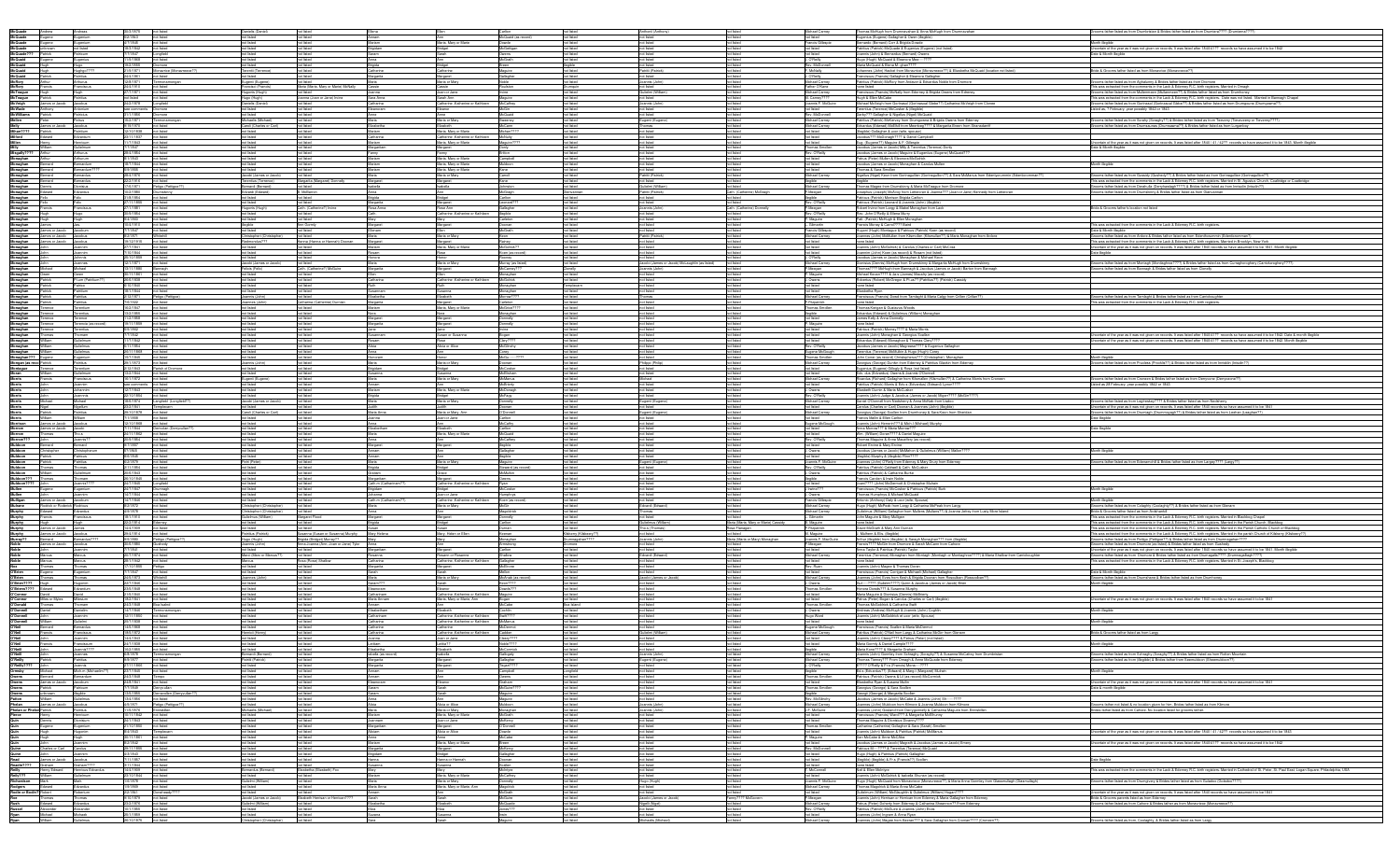|                                                                                                | /3/1875<br>not listed                                                                    | Danielis (Daniel)                                                    | <u>ot listed</u>                                                  |                                  |                                                                   |                                     | not listed<br>not listed                          | Anthonii (Anthony)                                           |                                                             | Michael Carney                                           | Thomas McHugh from Drumnavahan & Anna McHugh from Drumnavahan                                                                                                                                                                | Grooms father listed as from Drumbristan & Brides father listed as from Drumiera???? (Drumierna????                                                                                                                                                                                                                                                                                                 |
|------------------------------------------------------------------------------------------------|------------------------------------------------------------------------------------------|----------------------------------------------------------------------|-------------------------------------------------------------------|----------------------------------|-------------------------------------------------------------------|-------------------------------------|---------------------------------------------------|--------------------------------------------------------------|-------------------------------------------------------------|----------------------------------------------------------|------------------------------------------------------------------------------------------------------------------------------------------------------------------------------------------------------------------------------|-----------------------------------------------------------------------------------------------------------------------------------------------------------------------------------------------------------------------------------------------------------------------------------------------------------------------------------------------------------------------------------------------------|
| McQuade<br>McQuade<br>ugenium<br>McQuade                                                       | not listed<br>2/1843<br>1845<br>not listed                                               | not listed<br>not listed                                             | ot listed<br>ot listed                                            |                                  | aria, Mary or Marie                                               | :Quaid (as record)                  | not listed                                        | าot listed<br>ot listed                                      | not listed<br>not listed                                    | ot listed<br>Francis Gillespie                           | Eugenius (Eugene) Gallagher & Owen (illegible)<br>Bernardo (Bernard) Corr & Brigida Dowde                                                                                                                                    | Month illegible                                                                                                                                                                                                                                                                                                                                                                                     |
| <u>McQuade</u><br>McQuade???                                                                   | not listed<br><u>3/1842</u><br>Longfield                                                 | ot listed<br>ot listed                                               | ot listed<br>t listed                                             |                                  |                                                                   |                                     | not listed<br>not listed                          | ot listed<br>ot listed                                       |                                                             | ot listed<br><sup>t</sup> listec                         | Patritius (Patrick) McQuade & Eugenius (Eugene) (not listed)<br>Ioannis (John) & Bernardus (Bernard) Owen:                                                                                                                   | Uncertain of the year as it was not given on records. It was listed after 1840/41?? records so have assumed it to be 184<br>Date & Month illegible                                                                                                                                                                                                                                                  |
| <u>McQuaid</u><br><b>McQuaid</b><br>ahao????                                                   | l/9/1868<br>not listed<br>9/2/1855<br>Dromore                                            | ot listed<br>ot listed                                               | ot listed<br>t listed                                             |                                  |                                                                   |                                     | not listed<br>illegible                           | าot listed<br>ot listed                                      | not listed<br>not listed                                    | O'Reilly<br>lev. McDonnell                               | lugo (Hugh) McQuaid & Eleanora Mee----???<br>Maria McQuaid & Elena M--ghan????                                                                                                                                               |                                                                                                                                                                                                                                                                                                                                                                                                     |
| <u>McQuaid</u><br><u>McQuaid</u><br>Patritius                                                  | 1/9/1871<br>Monavrice (Monavreece??<br>1/4/1861<br>2/8/1871                              | Terentii (Terrence)<br>ot listed                                     | t listed<br>t listed<br>t listed                                  | Catherine                        | Catherine<br>Margare<br>Maria or Mary                             |                                     | not listed<br>not listed                          | Patritii (Patrick)<br>าot listed<br>Joannis (John)           | not listed<br>not listed                                    | . McNally<br>J. O'Reilly<br>Michael Carney               | hannes (John) Hacket from Monavrice (Monavreece??) & Elizabetha McQuaid (location not listed)<br>Franciscus (Francis) Gallagher & Eleanora Gallaghe<br>Patritius (Patrick) McRory from Ardaver & Edvardus Noble from Dromore | Bride & Grooms father listed as from Monavrice (Monavreece??                                                                                                                                                                                                                                                                                                                                        |
| <u> McRory</u><br><u>McRory</u><br>anciscus<br>McTeague                                        | I ermonamonga<br>1/4/1910<br>not listed<br>not listed<br>7/1871                          | Eugenii (Eugene)<br>Francisci (Francis)<br>lugonis (Hugh)            | laria (Maria, Mary or Marie) McNally<br>t listed                  |                                  | oan or Jane                                                       |                                     | not listed<br><u>)rumquin</u><br>not listed       | t listed<br>Gulielmi (William                                | not listed                                                  | Father O'Kane<br>Michael Carney                          | ranciscus (Francis) McNally from Ederney & Brigida Owens from Edreney                                                                                                                                                        | ooms father listed as from Aghalunny & Brides father listed as from Dromore<br>iis was extracted from the comments in the Lack & Ederney R.C. birth registers. Married in Omagh<br>irooms father listed as from Mullenmeen (Mullanmeen??) & Brides father listed as from Drumhoney                                                                                                                  |
| McTeague<br><b>McVeigh</b><br>Jacobus<br>James or Jacob                                        | not listed<br>ot listed<br>1/2/1878<br><u>Longfiel</u>                                   | Hugo (Hugh)<br>Danielis (Daniel)                                     | oanna (Joan or Jane) Irvine<br>it listed                          | ıra Anna<br>atharina             | Sarah Ann<br>Catherine ,Katherine or Kathleen                     |                                     | not listed<br>not listed                          | pt listed<br>Joannis (John)                                  | not listed                                                  | 1. Carney????<br>oannis F. McGuire                       | lugh & Ellen McCabe<br>lichael McVeigh from Gortnasol (Gortnasoal Glebe??) Catharina McVeigh from Clonee                                                                                                                     | his was extracted from the comments in the Lack & Ederney R.C. birth registers. Date was not listed. Married in Bannagh Chape<br>3 Trooms father listed as from Gortnasol (Gortnasoal Glebe??) & Brides father listed as from Drumgouna (Drumgowna??                                                                                                                                                |
| <b>McWade</b><br><b>McWilliams</b>                                                             | comments Dromore<br>/1856                                                                | ot listed<br>ot listed                                               | t listed<br>t listed                                              | eanoram                          |                                                                   |                                     | not listed<br>not listed                          | t listed<br>ot listed                                        |                                                             | t listec<br>Rev. McDonnell                               | erentius (Terence) McCosker & (illegible)<br>Jarby??? Gallagher & Nigellus (Nigel) McQuaid                                                                                                                                   | Listed as, ? February, year possibly 1842 or 1843                                                                                                                                                                                                                                                                                                                                                   |
| Mellen<br>Melly<br>ames or Jacob                                                               | /2/1871<br>/19/1970<br>not listed                                                        | Michaelis (Michael)<br>Caroli (Charles or Carl)                      | t listed<br>t listed                                              | lizabetha                        | <i>l</i> laria or Mary                                            |                                     | not listed<br>not listed                          | Eugenii (Eugene)                                             | not listed<br>not listed                                    | Michael Carney<br>Michael Carney                         | Patritius (Patrick) McKervey from Drumgowna & Brigida Owens from Ederney<br>Edvardus (Edwrad) McElkill from Meenbeg???? & Margarita Breen from Stranadarriff                                                                 | rooms father listed as from Scrahy (Scraghy??) & Brides father listed as from Teeveny (Tievaveeny or Tievenny????<br>irooms father listed as from Drumsaunas (Drumsawna??) & Brides father listed as from Lurganboy                                                                                                                                                                                 |
| Mihan????<br>Patritium<br><u>Milford</u><br>dvardum                                            | not listed<br>2/10/1838<br>1/1837<br>not listed                                          | ot listed<br>ot listed                                               | t listed<br>t listed                                              | atharina:                        | <i>l</i> laria, Mary or Marie<br>Catherine ,Katherine or Kathleen | chan????                            | not listed<br>not listed                          | าot listed<br>ot listed                                      | not listed<br>not listed                                    | าot listed<br>ot listed                                  | (illegible) Gallagher & uxor (wife, spouse)<br>Jacobus??? McDonagh???? & Daniel Campbell                                                                                                                                     |                                                                                                                                                                                                                                                                                                                                                                                                     |
| <b>Millen</b><br><b>Milly</b><br>ulielmum                                                      | $\frac{1}{1843}$<br>not listed<br>not listed<br>1847                                     | ot listed<br>ot listed                                               | t listed<br>ot listed                                             | argaritam                        | aria, Mary or Marie                                               |                                     | not listed<br>not listed                          | <u>ot listed</u><br>not listed                               | not listed                                                  | )t listec<br>Thomas Smollen                              | Eug. (Eugene??) Maguire & F. Gillespi<br>Jacobus (James or Jacob) Milly & Terentius (Terence) Donly                                                                                                                          | Uncertain of the year as it was not given on records. It was listed after 1840 / 41 / 42?? records so have assumed it to be 1843. Month illegible<br>Date & Month illegible                                                                                                                                                                                                                         |
| Misgally????<br><b>Monaghan</b>                                                                | 8/4/1854<br>not listed<br>not listed<br>1843.                                            | not listed<br>ot listed                                              | ot listed<br>t listed                                             |                                  | <i>A</i> aria, Mary or Marie                                      | mpbel                               | not listed<br>not listed                          | าot listed<br>ot listed                                      | not listed<br>ot listed                                     | Rev. O'Reilly<br>ot listed                               | Jacobus (James or Jacob) Maguire & Eugeniius (Eugene) McQuaid??<br>Petrus (Peter) Mullen & Eleonora McGolricł                                                                                                                |                                                                                                                                                                                                                                                                                                                                                                                                     |
| Monaghan<br>ernardum<br><u>Monaghan</u><br>rnardum???                                          | /?/1844<br>not listed<br>)/1855<br>not listed                                            | ot listed<br>ot listed                                               | t listed<br>t listed                                              |                                  | aria, Mary or Marie<br><i>A</i> aria, Mary or Marie               |                                     | not listed<br>not listed                          | pt listed<br>ot listed                                       | ıot listed                                                  | t listed<br>าot listed                                   | lacobus (James or Jacob) Monaghan & Carolus Mullen<br>nas & Sara Smoller                                                                                                                                                     | Month illegible                                                                                                                                                                                                                                                                                                                                                                                     |
| <b>Monaghan</b><br>rnardus<br>Monaghan<br>ernardus                                             | not listed<br>8/4/1876<br>not listed<br>2/1916<br>7/6/1871                               | Jacobi (James or Jacob)<br>erentius (Terrence)<br>Bernardi (Bernard) | t listed<br>largarita (Margaret) Donnelly<br>t listed             |                                  | <u>Maria or Mary</u>                                              |                                     | not listed<br>not listed<br>not listed            | Patritii (Patrick)<br>pt listed<br>Gulielmi (William         | not listed<br>not listed<br>not listed                      | Michael Carney<br>Michael Carney                         | igellus (Nigel) Keon from Gortnagullian (Gortnagullion??) & Sara McManus from Edentycrummin (Edenticromman??)                                                                                                                | 3 Trooms father listed as from Gussidy (Gushedy??) & Brides father listed as from Gortnagullian (Gortnagullion??<br>his was extracted from the comments in the Lack & Ederney R.C. birth registers. Married in St. Agustus Church, Coaltridge or Coatbridge                                                                                                                                         |
| <b>Monaghan</b><br>Monaghan<br>dvardus<br><u>Monaghan</u>                                      | Petigo (Pettigoe?<br>:/1880<br>Drumskinn <sup>,</sup><br>/8/1854<br>not listed           | Edvardi (Edward)<br>ot listed                                        | McBarron<br>t listed                                              |                                  |                                                                   |                                     | Glenvannan                                        | Patritii (Patrick)<br>t listed                               | Cath. (Catherine) McGragh                                   | <sup>2</sup> .Meegan                                     | Thomas Magee from Drumskinny & Maria McTeague from Dromore<br>losephus (Joseph) McAvoy from Lettercran & Joanna??? (Joan or Jane) Kennedy from Lettercran<br>Patricus (Patrick) Morrison Brigida Carltor                     | rooms father listed as from Derahulla (Derryhawlagh????) & Brides father listed as from Innisclin (Inisclin??)<br>ooms father listed as from Drumskinny & Brides father listed as from Glanvannar                                                                                                                                                                                                   |
| Monaghan<br>Monaghan<br>anciscus                                                               | 11/1855<br>not listed<br>not listed<br>/1881                                             | ot listed<br>Hugonis (Hugh)                                          | t listed<br>Cath. (Catherine?) Irvine                             | iosa Anna                        | Rose Anr                                                          | onard??                             | not listed<br>not listed<br>not listed            | not listed<br>Joannis (John)                                 | not listed<br>Cath. (Catherine) Donnelly                    | <u>llegible</u><br>Rev. O'Reilly<br><sup>o</sup> .Meegan | atricus (Patrick) Leonard & Joannis (John) (illegible)<br>Robert Irvine from Largy & Mabel Monaghan from Lack                                                                                                                | Bride & Grooms father's location not listed                                                                                                                                                                                                                                                                                                                                                         |
| Monaghan<br>Monaghan                                                                           | )/9/1854<br>not listed<br>not listed                                                     | ot listed<br>ot listed                                               | t listed<br>t listed                                              |                                  | Catherine ,Katherine or Kathleen                                  |                                     | not listed<br>not listed                          | ot listed<br>ot listed                                       | not listed                                                  | <u>lev. O'Reilly</u><br>. Maguire                        | ev. John O'Reilly & Ellena Murry<br>Patt. (Patrick) McHugh & Ellen Monaghan                                                                                                                                                  |                                                                                                                                                                                                                                                                                                                                                                                                     |
| <u>Monaghan</u><br><b>Monaghan</b><br>James or Jacob   Jacobum                                 | )/4/1910<br>not listed<br>not listed<br>1847                                             | illegible<br>ot listed                                               | <b>Ann Gormly</b><br>t listed                                     |                                  |                                                                   |                                     | not listed<br>not listed                          | าot listed<br>ot listed                                      | not listed                                                  | . Gilmartin<br>Francis Gillespie                         | rancis Money & Carrol???? Baird<br>Hugoni (Hugh) Montague & Patricus (Patrick) Koen (as record)                                                                                                                              | This was extracted from the comments in the Lack & Ederney R.C. birth registers<br>Date & Month illegible                                                                                                                                                                                                                                                                                           |
| Monaghan<br>ames or Jacob<br>Monaghan<br>James or Jacob<br>Jacobus                             | Whitehil<br>1871<br>9/12/1915<br>not listed                                              | hristopheri (Christopher)<br>Redmondus???                            | t listed<br>lanna (Hanna or Hannah) Doonan                        |                                  | <i>l</i> aria or Mary                                             |                                     | not listed<br>not listed                          | Patritii (Patrick)<br>ot listed                              | not listed<br>not listed                                    | lichael Carney<br>าot listed                             | loannes (John) McMullen from Kilsmollen (Kilsmullan??) & Maria Monaghan from Ardore                                                                                                                                          | irooms father listed as from Ardore & Brides father listed as from Edenthcrummin (Edenticromman?<br>This was extracted from the comments in the Lack & Ederney R.C. birth registers. Married in Brooklyn, New York                                                                                                                                                                                  |
| <u>Monaghan</u><br>Monaghan                                                                    | ?/1841<br>not listed<br>1844 ا<br>not listeo                                             | ot listed<br>t listed                                                | t listed<br>t listed                                              |                                  | Maria, Mary or Marie                                              | :Golrick??<br><u>pen (as record</u> | not listed<br><u>iot listed</u>                   | ot listed                                                    | not listed                                                  | ot listed                                                | Ioannis (John) McGolrick) & Carolus (Charles or Carl) McCrea<br>annim (John) Koen (as record) & Rosam (not listec                                                                                                            | Uncertain of the year as it was not given on records. It was listed after 1840 records so have assumed it to be 1841. Month illegible<br>Date illegible                                                                                                                                                                                                                                             |
| Monaghan<br>Monaghan                                                                           | /10/1859<br>not listed<br>1/1871<br>/11/1880                                             | ot listed<br>Jacobi (James or Jacob)<br>Felicis (Felix)              | t listed<br>t listed<br>Cath. (Catherine?) McGuire                |                                  | Maria or Marv                                                     | Aurray (as listed)<br>//dcCarney??? | not listed<br>not listed<br>Clonelly              | าot listed<br>Jacobi (James or Jacob) McLaughlin (as listed) | not listed                                                  | O'Reilly<br>Michael Carney                               | Jacobus (James or Jacob) Monaghan & Michael Keon<br>Dionisius (Dennis) McHugh from Drumskinny & Margarita McHugh from Drumskinn                                                                                              | Grooms father listed as from Montagh (Montiaghroe????) & Brides father listed as from Curraghcroghery (Carrickcroghery????)                                                                                                                                                                                                                                                                         |
| <b>Monaghan</b><br>Monaghan<br><b>Monaghan</b><br>t.um (Patritium??                            | not listed<br>1/1861<br>/6/1838<br>not listed                                            | ot listed<br>ıot listed                                              | t listed<br>t listed                                              |                                  | atherine ,Katherine or Kathleen                                   | AcGolrick                           | not listed<br>not listed                          | Joannis (John)<br>t listed<br>ot listed                      | not listed                                                  | P.Meegan<br>. Maguire<br>J. Owens                        | nomas???? McHugh from Bannagh & Jacobus (James or Jacob) Barton from Bannagh<br>Michael Keoan???? & Ja.s (James) Macafry (as record)<br>Robertus (Robert) McGregor & Pt.us?? (Patritius??) (Patrick) Cassidy                 | irooms father listed as from Bannagh & Brides father listed as from Clonelly                                                                                                                                                                                                                                                                                                                        |
| Monaghan<br>Monaghan                                                                           | 10/1840<br>not listed<br>not listed<br>/1/1844                                           | ot listed<br>ot listed                                               | ot listed<br>t listed                                             | annam                            |                                                                   | <u>nagha</u>                        | Templecarn<br>not listed                          | าot listed<br>ot listed                                      | not listed<br>not listed                                    | not listed<br>ot listed                                  | one listed<br>Elizabetha Ryon                                                                                                                                                                                                |                                                                                                                                                                                                                                                                                                                                                                                                     |
| <b>Monaghan</b><br>Patritius<br><b>Monaghan</b>                                                | Petigo (Pettigoe<br>12/1871<br>6/1922<br>not listed                                      | Joannis (John)<br>Joannes (John)                                     | t listed<br>atharina (Catherine) Durniar                          | lizabetha                        | Elizabeth                                                         | lorrow????                          | not listed<br>not listed                          | Thomas<br>ot listed                                          | not listed<br>not listed                                    | Michael Carney<br>.Fitzpatrick                           | ranciscus (Francis) Dowd from Tamlaght & Maria Calgy from Crillen (Crillan??)<br>าe listed                                                                                                                                   | Grooms father listed as from Tamlaght & Brides father listed as from Carrickoughte<br>his was extracted from the comments in the Lack & Ederney R.C. birth registers.                                                                                                                                                                                                                               |
| <u>Monaghan</u><br>rentium<br><u>Monaghan</u><br>erentius                                      | /2/1847<br>not listed<br>not listed<br>3/2/1855                                          | ot listed<br>not listed<br>not listed                                | t listed<br>ot listed                                             |                                  | aria, Mary or Marie                                               |                                     | not listed<br>not listed<br>not listed            | ot listed<br>not listed                                      | not listed                                                  | <b>Thomas Smollen</b>                                    | nomas Kerigan & Gustavus Woods<br>Edvardus (Edward) & Gulielmus (William) Monaghan                                                                                                                                           |                                                                                                                                                                                                                                                                                                                                                                                                     |
| Monaghan<br><b>Monaghan</b><br>erencia (as record)                                             | 2/1858<br>not listed<br>/11/1859<br>not listed                                           | ot listed                                                            | ot listed<br>ot listed                                            | argarita                         |                                                                   |                                     | not listed                                        | าot listed<br>ot listed                                      | not listed<br>not listed                                    | าot listed<br>. Maguire                                  | James Kelly & Anna Donnelly                                                                                                                                                                                                  |                                                                                                                                                                                                                                                                                                                                                                                                     |
| <u>Monaghan</u><br>erentius<br><b>Monaghan</b>                                                 | not listed<br>ة 1862<br>not listed<br>1842                                               | ot listed<br>ot listed                                               | t listed<br>t listed                                              |                                  | Susan or Susanna                                                  |                                     | not listed<br>not listed                          | ot listed<br>ot listed                                       | not listed                                                  | ot listec<br>ot listed                                   | Patricus (Patrick) Morney???? & Maria Morris<br>Joannis (John) Monaghan & Georgius Scallan                                                                                                                                   | Jncertain of the year as it was not given on records. It was listed after 1840/41?? records so have assumed it to be 1842. Date & month illegible                                                                                                                                                                                                                                                   |
| <b>Monaghan</b><br>ulielmum<br>Monaghan<br>ılielmus<br>ulielmus                                | $\frac{2}{1842}$<br>not listed<br>not listed<br>1/1854<br>$3/11/1868$ not listed         | not listed<br>not listed<br>not listed                               | ot listed<br>ot listed<br>ot listed                               |                                  | <b>Ilicia or Alice</b>                                            |                                     | not listed<br>not listed<br>not listed            | าot listed<br>ot listed<br>not listed                        | not listed<br>not listed                                    | ot listed<br>lev. O'Reilly<br>Eugene McGough             | Edvardus (Edward) Monaghan & Thomas Clery????<br>Jacobus (James or Jacob) Magrease???? & Eugenius Gallagher<br>Terentius (Terence) McMulkin & Hugo (Hugh) Corey                                                              | Jncertain of the year as it was not given on records. It was listed after 1840/41?? records so have assumed it to be 1842. Month illegible                                                                                                                                                                                                                                                          |
| <b>Monaghan</b><br>Monaghan???<br>ugenium<br>Mongan (as recol Patric                           | 5/?/1845<br>not listed<br>/1/1873<br>not listed                                          | not listed<br>Joannis (John)                                         | ot listed<br>t listed                                             |                                  | <i>l</i> aria or Mary                                             | AcGu------????                      | not listed<br>ot listed                           | ot listed<br>Philippi (Philip                                | not listed                                                  | Thomas Smollen<br>Michael Carney                         | John Coner (as record) Christopherus??? (Christopher) Monaghan<br>Reorgius (George) Dunkin from Ederney & Patritius Glackin from Ederney                                                                                     | Month illegible<br>ooms father listed as from Prucless (Procklis??) & Brides father listed as from Innisklin (Inisclin??)                                                                                                                                                                                                                                                                           |
| Montague<br>erentium<br>Moran<br>ulielmum                                                      | 12/1843<br>Parish of Dromore<br>2/1844<br>not listed                                     | not listed<br>not listed                                             | ot listed<br>ot listed                                            |                                  | <u>Bridget</u>                                                    | :Elisham ∶                          | not listed<br>not listed                          | าot listed<br>not listed                                     | not listed<br>not listed                                    | าot listed<br>าot listed                                 | Eugenius (Eugene) Gillogly & Rosa (not listed)<br>Edv. dus (Edvardus) Owens & Joannis O'Donnell                                                                                                                              |                                                                                                                                                                                                                                                                                                                                                                                                     |
| <b>Morris</b><br>ranciscus<br>rancis<br><b>Morris</b><br>nannim                                | 6/1/1872<br>not listed<br>e comments not listed                                          | Eugenii (Eugene)<br>ot listed                                        | ot listed<br>t listed                                             |                                  | Maria or Mary                                                     |                                     | not listed<br>not listed                          | Michael<br>ot listed                                         | not listed<br>not listed                                    | Michael Carney<br>ot listed                              | Ricardus (Richard) Gallagher from Kilsmallen (Kilsmullan??) & Catherina Morris from Cronee<br>Patritius (Patrick) Morris & Edv.s (Edvardus) (Edward) Lynon????                                                               | Grooms father listed as from Croneen & Brides father listed as from Derryvone (Derryveone??)<br>isted as 28 February, year possibly 1842 or 1843.                                                                                                                                                                                                                                                   |
| <b>Morris</b><br>Morris                                                                        | 7/1843<br>not listed<br>2/10/1854<br>not listed                                          | ot listed<br>ot listed                                               | t listed<br>t listed                                              |                                  | aria, Mary or Marie<br><u>ridget</u>                              |                                     | not listed<br>not listed                          | ot listed<br>าot listed                                      |                                                             | J. Owens<br>lev. O'Reilly                                | izabeth Durnin & Maria McCusker<br>loannis (John) Judge & Jacobus (James or Jacob) Migerr???? (McGirr????)                                                                                                                   |                                                                                                                                                                                                                                                                                                                                                                                                     |
| <u>Morris</u><br><b>Morris</b><br>Patritius                                                    | Langfield (Longfield??)<br>3/6/1874<br>/2/1841<br>Templecarı<br>29/10/1878<br>not listed | Jacobi (James or Jacob)<br>ot listed<br>Caroli (Charles or Carl)     | t listed<br>t listed<br>t listed                                  | Maria Anna                       | Maria or Mary<br>Maria or Mary, Ann                               | )onnel                              | not listed<br>not listed<br>not listed            | Eugenii (Eugene<br>not listed                                | not listed<br>not listed                                    | Michael Carney<br>not listed<br>Michael Carney           | Daniel O'Donnell from Nedsherry & Anna McNab from Lisdoo<br>Carolus (Charles or Carl) Doonan & Joannes (John) (illegible)<br>Georgius (George) Scollen from Drumhoney & Sara Keon from Sheridar                              | rooms father listed as from Legfreskey???? & Brides father listed as from Nedsherry<br>Jncertain of the year as it was not given on records. It was listed after 1840 records so have assumed it to be 1841<br>(Leaghan??) Troms father listed as from Drumiagh (Drummoyagh??) & Brides father listed as from Leehan (Leaghan??)                                                                    |
| <b>Morris</b><br><u>Morris</u><br><u>Morrison</u><br>ames or Jacob                             | 1858<br>not listed<br>not listed<br>2/10/1868                                            | t listed<br>not listed                                               | t listed<br>t listed                                              |                                  | oan or Jane                                                       |                                     | ot listed<br>not listed                           | Eugenii (Eugene)<br>t listed<br>าot listed                   | not listed                                                  | t listed<br>Eugene McGough                               | Francis Mallin & Ellen Carlton<br>Joannis (John) Herrerin??? & Mich.I (Michael) Murphy                                                                                                                                       | Date illegible                                                                                                                                                                                                                                                                                                                                                                                      |
| Morrow<br>ames or Jacob<br><u>Morrow</u>                                                       | Derivolan (Derryvullan??)<br>1/1844<br>/11/1862<br>not listed                            | not listed<br>ot listed                                              | ot listed<br>t listed                                             | lizabetham                       | aria, Mary or Marie                                               |                                     | not listed<br>not listed                          | าot listed<br>าot listed                                     | not listed                                                  | <u>not listed</u><br>t listed                            | Anna Morrow??? & Maria Morrow???<br>/m. (William) Doran???? & Daniel Maguire                                                                                                                                                 | Date illegible                                                                                                                                                                                                                                                                                                                                                                                      |
| Morrow???<br><b>Muldoon</b>                                                                    | )/9/1854<br>not listed<br>"/1857<br>not listed                                           | not listed<br>ot listed                                              | t listed<br>t listed                                              |                                  |                                                                   |                                     | not listed<br>not listed                          | ot listed<br>ot listed                                       | not listed<br>hetzil tor                                    | Rev. O'Reilly<br>ot listed                               | Thomas Maguire & Anna Macaffery (as record)<br>Robert Ervine & Mary Ervin                                                                                                                                                    |                                                                                                                                                                                                                                                                                                                                                                                                     |
| <u> Muldoon</u><br><u>ıristopherun</u><br><u> Muldoon</u>                                      | not listed<br>?/1845<br>not listed                                                       | not listed<br>not listed                                             | ot listed<br>t listed                                             |                                  |                                                                   |                                     | not listed<br>not listed                          | าot listed<br>ot listed                                      | not listed                                                  | . Owens<br><sup>ot listec</sup>                          | lacobus (James or Jacob) McMahon & Gulielmus (William) Mallon???'<br>legible) Murphy & (illegible) Flinn????                                                                                                                 | Month illegible                                                                                                                                                                                                                                                                                                                                                                                     |
| <u>Muldoon</u><br>Muldoon<br>ılielmum                                                          | 2/1879<br>not listed<br>1/1854<br>not listed<br>/6/1843<br>not listed                    | Petri (Peter)<br>not listed<br>ot listed                             | ot listed<br>ot listed<br>t listed                                |                                  | Maria or Mary                                                     | teward (as record)                  | not listed<br>not listed<br>ot listed             | Eugenii (Eugene)<br>ot listed<br>pt listed                   | not listed<br>not listed                                    | Joannis F. McGuire<br>Rev. O'Reilly<br>Owens             | Joannes (John) O'Reily from Ederney & Mary Drury from Ederney<br>Patritius (Patrick) Caldwell & Cath. McCusker<br>Patritius (Patrick) & Catharina Burke                                                                      | rooms father listed as from Edenamohill & Brides father listed as from Largey???? (Largy??)                                                                                                                                                                                                                                                                                                         |
| <u> Muldoon</u><br>Muldoon???<br>Muldoon????<br>annis????                                      | 3/10/1845<br>not listed<br>/7/1845<br>Longfield                                          | not listed<br>not listed                                             | t listed<br>t listed                                              | Cath.m (Catharinam??)            | Catherine ,Katherine or Kathleen                                  |                                     | not listed<br>not listed                          | าot listed<br>าot listed                                     | not listed<br>not listed                                    | าot listed                                               | rancis Carolen & Irwin Noble<br>bani???? (John) McDermott & Christopher Mulrain                                                                                                                                              |                                                                                                                                                                                                                                                                                                                                                                                                     |
| <b>Mullen</b><br>ugenium<br><b>Mullen</b>                                                      | /?/1847<br>Drumragh<br>4/7/1844<br>not listed                                            | not listed<br>not listed                                             | t listed<br>ot listed                                             |                                  | oan or Jane                                                       |                                     | not listed<br>not listed                          | าot listed<br>ot listed                                      | not listed<br>not listed                                    | Irwine???<br>Owens                                       | anciscus (Francis) McCosker & Patricus (Patrick) Burk<br>homas Humphrys & Michael McQuaid                                                                                                                                    | Month illegible                                                                                                                                                                                                                                                                                                                                                                                     |
| <b>Mulligan</b><br>James or Jacob<br>Jacobum<br><b>Mulrane</b><br>Rodrick or Roderick Rodricus | 1/?/1846<br>not listed<br>not listed<br>3/2/1872                                         | ot listed<br>Christopheri (Christopher)                              | t listed<br>ot listed                                             | 2ath.m (Catharinam??)            | Catherine ,Katherine or Kathleen<br>Maria or Mary                 | Koen (as record)                    | not listed<br>not listed                          | ot listed<br>Edvardi (Edward)                                | ıot listed<br>not listed                                    | rancis Gillespie<br>Michael Carney                       | ntonio (Anthony) Daly & uxor (wife, Spouse)<br>Hugo (Hugh) McPeak from Largy & Catharina McPeak from Largy                                                                                                                   | Aonth illegible<br>Grooms father listed as from Colaghty (Coolaghty??) & Brides father listed as from Glenarn                                                                                                                                                                                                                                                                                       |
| Murphy<br>Murphy<br>ranciscus                                                                  | 9/1878<br>not listed<br>3/1/1910<br>not listed                                           | Christophori (Christopher)<br>ulielmus (William)                     | Margaret Flood                                                    |                                  |                                                                   |                                     | not listed<br>not listed                          | ot listed                                                    |                                                             | Gilmartin                                                | Gulielmus (William) Gallagher from Mullens (Mullans??) & Joanna Jefrey from Lusty More Island<br>'ohn Maguire & Mary Mulligan                                                                                                | Bride & Grooms father listed as from Ardshankill<br>is was extracted from the comments in the Lack & Ederney R.C. birth registers. Married in Blackbog Chapel                                                                                                                                                                                                                                       |
| Murphy<br><u>Murphy</u><br>James or Jacob<br>ames or Jacob                                     | /2/1814<br>Ederney<br>1/4/1909<br>not listed<br>9/4/1814<br>not listed                   | ot listed<br>t listed<br>Patritius (Patrick)                         | ot listed<br>t listed<br>ısanna (Susan or Susanna) Murphy         | Mary Helena                      | Aary, Helen or Ellen                                              |                                     | not listed<br>ot listed<br>Kilskerry (Kilskeery?? | Gulielmus (William)<br>าo.s (Thomas)<br>ot listed            | Maria (Maria, Mary or Marie) Cassidy<br><u>osa Flanagan</u> | Maguire<br>Fitzpatrick                                   | ne listed<br>avid McGrath & Mary Ann Durnar<br>Mulhern & Elis. (illegible)                                                                                                                                                   | his was extracted from the comments in the Lack & Ederney R.C. birth registers. Married in the Parish Church, Blackboo<br>is was extracted from the comments in the Lack & Ederney R.C. birth registers. Married in the Parish Catholic Church of Blackbog<br>is was extracted from the comments in the Lack & Ederney R.C. birth registers. Married in the parish Church of Kilskerry (Kilskeery?? |
| Murphy<br>Murray??<br>:rnardus??<br><b>Noble</b><br>James or Jacob<br>Jacobus                  | Pettigo (Pettigoe?<br>/6/1880<br>Gushedy                                                 | Hugo (Hugh)<br>Joannis (John)                                        | rigida (Bridget) Murray??<br>nna Joanna (Ann, Joan or Jane) Tylor |                                  |                                                                   |                                     | umnagahan???                                      | <u>Joannis (John)</u><br>งt listed                           | Maria (Maria or Mary) Monaghan                              | 1. Maguire<br>Joannis F. MacGuire                        | Arthur (illegible) from (illegible) & Saragh Monaghan??? from (illegible)<br>Francis???? McGirr from Dromore & Sarah McCann from Cahore                                                                                      | irooms father listed as from Pettigo (Pettigoe??) & Brides father listed as from Drumnagahan????<br>irooms father listed as from Dromore (as listed) & Brides father listed as from Gushedy                                                                                                                                                                                                         |
| <b>Noble</b><br>Noble                                                                          | not listed<br>1841<br>7/1874<br>not listed                                               | ot listed<br>Marci (Marc or Marcus??)                                | ıt listed<br>t listed                                             | rgaritam                         | Rosann or Rosanne                                                 |                                     | not listed<br>not listed                          | ot listed<br>Edvardi (Edward)                                | not listed<br>not listed                                    | ot listed<br>Michael Carney                              | Anna Taylor & Patritius (Patrick) Taylor<br>Terentius (Terrence) Monaghan from Montagh (Montiagh or Montiaghroe????) & Maria Shallow from Carrickoughte                                                                      | Jncertain of the year as it was not given on records. It was listed after 1840 records so have assumed it to be 1841. Month illegible<br>(Drumnagalliagh????) rooms father listed as from Drumagalla???? (Drumnagalliagh????)                                                                                                                                                                       |
| <u>Noble</u><br>Nox                                                                            | not listed<br>/1/1942<br>0/1855                                                          | pt listed                                                            | Rosa (Rose) Shallow<br>t listed                                   | atharina                         | Catherine, Katherine or Kathleen                                  |                                     | not listed<br>not listed                          | งt listed<br>ot listed                                       | not listed                                                  | t listed<br><u>v. Ryan</u>                               | ne listed<br>bannis (John) Magee & Thomas Doran                                                                                                                                                                              | his was extracted from the comments in the Lack & Ederney R.C. birth registers. Married in St. Joseph's, Blackbog                                                                                                                                                                                                                                                                                   |
| O'Brien<br>ugenium<br>O'Brien                                                                  | 1847<br>not listed<br>4/5/1873<br>Whitehil                                               | ot listed<br>Joannes (John)                                          | t listed<br>t listed                                              |                                  | Maria or Mary                                                     | McAnab (as record)                  | not listed<br>not listed                          | าot listed<br>Jacobi (James or Jacob)                        | not listed<br>not listed                                    | not listed<br>Michael Carney                             | ranciscus (Francis) Corrigan & Michaeli (Michael) Gallagher<br>loannes (John) Eves from Kesh & Brigida Doonan from Rosculban (Rosscolban??                                                                                   | Date & Month illegible<br>Grooms father listed as from Drumshane & Brides father listed as from Drumhoney                                                                                                                                                                                                                                                                                           |
| O'Brien????<br>O'Briens????<br>:dvardum<br><u>)'Connor</u>                                     | ?/1846<br>not listed<br>not listed<br>/5/1848<br>1840\<br>not listed                     | ot listed<br>not listed<br>ot listed                                 | t listed<br>t listed<br>t listed                                  | ram???<br>leanoram:<br>atharinam | atherine ,Katherine or Kathleen                                   |                                     | ot listed<br>not listed<br>not listed             | t listed<br>าot listed<br>าot listed                         | not listed                                                  | Owens<br>homas Smollen<br><u>ot listed</u>               | I-----???? (Gulielmi????) Quinn & Jacobus (James or Jacob) Brier<br>Ionora Dowds??? & Susanna Murphy<br>aria Maguire & Dionisius (Dennis) McBrierty                                                                          | Month illegible                                                                                                                                                                                                                                                                                                                                                                                     |
| O'Connor<br>Miles or Mvles<br>D'Donald                                                         | /2/1841<br>not listed<br>4/3/1848<br>Boa Isalnd                                          | ot listed<br>ot listed                                               | t listed<br>t listed                                              | laria Annam                      | ria, Mary or Marie, Ann                                           |                                     | not listed<br>Boa Island                          | าot listed<br>ot listed                                      | not listed<br>not listed                                    | t listed<br>Thomas Smollen                               | Petrus (Peter) Bogan & Carolus (Charles or Carl) (illegible<br>iomas McGoldrick & Catharina Swift                                                                                                                            | Jncertain of the year as it was not given on records. It was listed after 1840 records so have assumed it to be 184                                                                                                                                                                                                                                                                                 |
| <b>D'Donnell</b><br>)'Donnell                                                                  | /?/1846<br>Termonamong<br><u>11/1850 -</u><br>not listed                                 | ot listed<br>ot listed                                               | t listed<br>t listed                                              | Iizabetham<br>atharinam;         | Catherine ,Katherine or Kathleen                                  |                                     | not listed<br>not listed                          | ot listed<br>าot listed                                      | not listed<br>not listed                                    | . Owens<br><u> Hugo Ward</u>                             | ndreas (Andrew) McHugh & Joannis (John) Coghlin<br>loannis (John) McGoldrick et uxor (wife, Spouse)                                                                                                                          | Month illegible                                                                                                                                                                                                                                                                                                                                                                                     |
| <b>D'Donnell</b><br><u> D'Neil</u><br>nardus                                                   | ?/1838<br>not listed<br>1/5/1868<br>not listed                                           | ot listed<br>not listed                                              | t listed<br>ot listed                                             | tharina<br>Catherine             | atherine ,Katherine or Kathleen                                   |                                     | not listed<br>not listed                          | ot listed<br>not listed                                      | not listed                                                  | ›t listec<br>Eugene McGough                              | ranciscus (Francis) Scallen & Maria McDermot                                                                                                                                                                                 | Month illegible                                                                                                                                                                                                                                                                                                                                                                                     |
| D'Neil<br>ranciscus<br>D'Neil                                                                  | 8/5/1872<br>not listed<br>1/4/1843<br>not listed                                         | Henricii (Henry)<br>ot listed                                        | ot listed<br>t listed                                             | atharina                         | Catherine ,Katherine or Kathleen<br>oan or Jane                   |                                     | not listed<br>not listed                          | Gulielmi (William<br>ot listed                               | not listed<br>not listed                                    | Michael Carney<br>ot listed                              | Patritius (Patrick) O'Neil from Largy & Catharina McGirr from Glenarn<br>loannis (John) Cleary???? & Petrus (Peter) (not listed)                                                                                             | Bride & Grooms father listed as from Larg                                                                                                                                                                                                                                                                                                                                                           |
| D'Neil<br>D'Neill<br>ranciscum<br>nnie 222                                                     | not listed<br>1/?/1838<br>2/1855<br>not listed                                           | ot listed<br>ot listed                                               | t listed<br>it listed                                             | lizabetha                        |                                                                   |                                     | not listed<br>not listed                          | าot listed<br>ot listed                                      | not listed                                                  | าot listed                                               | Maria Gormly & Daniel Cample????<br>laria Kone???? & Margarita Graham                                                                                                                                                        | Month illegible                                                                                                                                                                                                                                                                                                                                                                                     |
| O'Neill<br>O'Reilly                                                                            | 8/1878<br><u>I</u> ermonamong<br>)/1877<br>not listed                                    | Bernardi (Bernard)<br>Patritii (Patrick)                             | t listed<br>t listed                                              | labella (as record)<br>largarita |                                                                   |                                     | not listed<br>not listed                          | Joannis (John)<br>Eugenii (Eugene)                           | not listed<br>not listed                                    | Michael Carney<br>Michael Carney                         | Joannis (John) Gormley from Schraghy (Scraghy??) & Susanna McCafrey from Drumbrista<br>Thomas Tierney??? From Omagh & Anne McQuade from Ederney                                                                              | Grooms father listed as from Schraghy (Scraghy??) & Brides father listed as from Rotten Mountair<br>irooms father listed as from (illegible) & Brides father from Seemuldoon (Sheemuldoon??)                                                                                                                                                                                                        |
| O'Reilly????<br>)rmsby<br>Mich.m (Michaelim??<br>Owens<br>าardun                               | 1/1866<br>not listed<br>?/1845<br>not listed<br>1848\                                    | ot listed<br>ot listed<br>ot listed                                  | t listed<br>ot listed<br>t listed                                 | <u>Margarita</u>                 |                                                                   | ampbe                               | not listed<br>Longfield<br>not listed             | ot listed<br>ot listed<br>ot listed                          | not listed<br>not listed                                    | . O'Reilly<br><u>llegible</u><br>Thomas Smollen          | ?? O'Reilly & Fr.s (Francis) Mona----????<br>d.s (Edvardus??) (Edward) & Marg.t (Margaret) Mulrain<br>atricus (Patrick) Owens & Lil (as record) McCormick                                                                    | Month illegible                                                                                                                                                                                                                                                                                                                                                                                     |
| <u><b>Owens</b></u><br>Jacobum<br>James or Jacob<br><u><b>Owens</b></u>                        | 1/8/1841<br>not listed<br>/1849<br>Derryvulla                                            | not listed<br>ot listed                                              | ot listed<br>ot listed                                            | :leanoram                        |                                                                   | Cuire????                           | not listed<br>not listed                          | าot listed<br>ot listed                                      | not listed<br>not listed                                    | ot listed<br>Thomas Smollen                              | izabetha Ryan & Susana Mullin<br>Reorgius (George) & Sara Scollen                                                                                                                                                            | Uncertain of the year as it was not given on records. It was listed after 1840 records so have assumed it to be 1841<br>Date & month illegible                                                                                                                                                                                                                                                      |
| <u>Owens</u><br>nknown<br>Patton<br>aulielmus.                                                 | /5/1855<br>Derravollen (Derryvullan??<br>3/4/1856<br>not listed                          | ot listed<br>ot listed                                               | t listed<br>ot listed                                             |                                  |                                                                   |                                     | not listed<br>not listed                          | ot listed<br>not listed                                      | not listed<br>not listed                                    | Rev. McGlinchy                                           | Georgii (George) & Margarita Scollen<br>Jacobus (James or Jacob) McCabe & Joannis (John) Sh------????                                                                                                                        |                                                                                                                                                                                                                                                                                                                                                                                                     |
| Phelan<br><b>Phelan or Phelon Pa</b>                                                           | 5/1871<br>Petigo (Pettigoe?<br>/5/1876<br>Enniskiller                                    | ot listed<br>Michaelis (Michael                                      | t listed<br>ot listed                                             |                                  | Alicia or Alice<br>Maria or Mary                                  | <u>nagna</u>                        | not listed<br>not listed                          | Joannis (John)<br>Joannis (John)                             | not listed                                                  | Michael Carney<br>F. McGuire                             | annes (John) Muldoon from Kilmore & Joanna Muldoon from Kilmor $\epsilon$<br>Ioannes (John) Gosland from Derrygonnelly & Catharina Maguire from Enniskillen                                                                  | ooms father not listed & no location given for him. Brides father listed as from Kilmore<br>Brides father listed as from Cahore. No location listed for grooms father.                                                                                                                                                                                                                              |
| Pierce<br>lenricum<br><u>Quin</u><br>iugenium                                                  | 11/1842<br>not listed<br>not listed<br>1/1843<br>not listed                              | ot listed<br>ot listed<br>ot listed                                  | t listed<br>t listed<br>ot listed                                 |                                  | Aaria, Mary or Marie<br>oan or Jane                               |                                     | not listed<br>not listed                          | t listed<br>ot listed                                        | not listed<br>not listed                                    | ot listed<br>ot listed                                   | ranciscus (Francis) Ward??? & Margarita McElhunny<br>omas Maguire & Dionisius Divanny????                                                                                                                                    |                                                                                                                                                                                                                                                                                                                                                                                                     |
|                                                                                                | l/10/1850<br>/11/1861<br>not listed                                                      | ot listed<br>not listed                                              | t listed<br>ot listed                                             | largaritam                       | licia or Alice                                                    |                                     | not listed<br>not listed<br>not listed            | าot listed<br>ot liste<br>าot listed                         | not listed                                                  | Thomas Smollen<br><sup>2</sup> . Maguire                 | Catharina (Catherine) Gollagher & Sara (Sarah) Smollen<br>pannis (John) Muldoon & Patritius (Patrick) McManus<br>n McCabe & Anne McCAbe                                                                                      | ncertain of the year as it was not given on records. It was listed after 1840 / 41 / 42?? records so have assumed it to be 184                                                                                                                                                                                                                                                                      |
|                                                                                                |                                                                                          | ot listed                                                            | t listed                                                          |                                  | ria, Mary or Marie                                                |                                     | not listed<br>ot listed                           | ot listed<br>nt lister                                       |                                                             | ot listed<br>ev. McDonnell                               | Jacobus (James or Jacob) Magrath & Jacobus (James or Jacob) Emery<br>Patricus M----???? & Terentius (Terence) McQuaid                                                                                                        | Jncertain of the year as it was not given on records. It was listed after 1840/41?? records so have assumed it to be 1842                                                                                                                                                                                                                                                                           |
| Quinn<br>harles or Carl:                                                                       | not listed<br>1/1855                                                                     | hetail tr                                                            |                                                                   |                                  |                                                                   |                                     | not listed                                        | าot listed                                                   |                                                             | าot listed                                               | Hugo (Hugh) & Patritius (Patrick) Gallagher                                                                                                                                                                                  |                                                                                                                                                                                                                                                                                                                                                                                                     |
| James or Jacob<br><b>Jacobus</b>                                                               | not listed<br>1/1857<br>not listed                                                       | ot listed<br>not listed                                              | ot listed<br>ot listed                                            |                                  | Hanna or Hannah                                                   |                                     | not listed                                        | าot listed                                                   | not listed                                                  | าot listed                                               | (illegible) (illegible) & Fr.s (Francis??) Scollen                                                                                                                                                                           | Date illegible                                                                                                                                                                                                                                                                                                                                                                                      |
| Graham????<br>Graham<br>Henry Edward<br>Henricus Edvardus                                      | 1/1844<br>not listed<br>not listed<br>4/4/1909                                           | not listed<br>Bernardus (Bernard)                                    | t listed<br>Elizabetha (Elizabeth) Fox                            |                                  |                                                                   |                                     | not listed<br>not listed                          | not listed<br>not listed                                     | not listed<br>hetail ton                                    | ot listed<br><b>T. McConnell</b>                         | none listed<br>Neil & Ellen McIntyre                                                                                                                                                                                         | This was extracted from the comments in the Lack & Ederney R.C. birth registers. Married in Cathedral of St. Peter, St. Paul East, Logan Square, Philadelphia, USA                                                                                                                                                                                                                                  |
| Quinn Journ<br>Read Ja<br>Readin???? G<br>Reilly<br>Reily??? What<br>aulielmum<br>Richardson   | /10/1844<br>not listed<br>not listed<br>1/6/1878                                         | not listed<br>Gulielmi (William)                                     | ıt listed<br>ot listed                                            |                                  | Aaria, Mary or Marie<br>Maria or Mary                             | <b>IcCaffrev</b>                    | not listed<br>not listed                          | าot listed<br>Hugo (Hugh)                                    | not listed<br>not listed<br>not listed                      | not listed<br>Joannis F. McGuire                         | Joannis (John) McGolrick & Isabella Shunan (as record)<br>Hugo (Hugh) McQuaid from Monavriece (Monavreece??) & Maria Anna Gormley from Glassmullagh (Glasmullagh)                                                            | Grooms father listed as from Drumgivery & Brides father listed as from Guladoo (Goladoo????)                                                                                                                                                                                                                                                                                                        |
| Rodgers<br>Rodin or Bodin? Robert<br>nhertum                                                   | 9/1869<br>not listed<br>Donaheady??'<br>2/1841<br>not listed                             | ot listed<br>not listed                                              | t listed<br>t listed                                              | laria Anna                       | Aaria, Mary or Marie, Ann                                         |                                     | not listed<br>not listed                          | not listed<br>not listed                                     | not listed                                                  | Michael Carney<br>าot listed                             | Thomas Magolrick & Maria Anna McCabe<br>Gulielmum (William) McGlaughlin & Gulielmus (William) Hogan????                                                                                                                      | Uncertain of the year as it was not given on records. It was listed after 1840 records so have assumed it to be 1841                                                                                                                                                                                                                                                                                |
| Roe<br><b>Rush</b><br>dvardus.<br>Russel<br>Ryan<br>Alexander<br>Alexander                     | 10/1879<br>not listed<br>/2/1876<br>not listed<br>)/1/1855                               | Jacobi (James or Jacob)<br>Gulielmi (William)<br>not listed          | lizabeth Herrisan or Herrican????<br>ıt listed<br>ot listed       | abetha                           |                                                                   | :Quade<br>nnes???                   | not listed<br>not listed<br>not listed            | Jacobi (James or Jacob)<br>Nigelli (Nigel)<br>not listed     | Fanny???? McGovern<br>ıot listed<br>not listed              | P.Meegan<br>Michael Carney<br>Rev. O'Reilly              | Joannis (John) Herrisan or Herrican from Ederney & Maria Gallagher from Ederney<br>Petrus (Peter) Doherty from Ederney & Catharina Sheannon?? From Ederney<br>Patritius (Patrick) McGuire & Joannis (John) Eves              | Bride & Grooms parents listed as from Ederney<br>irooms father listed as from Cahore & Brides father as from Monavriece (Monavreece??)                                                                                                                                                                                                                                                              |